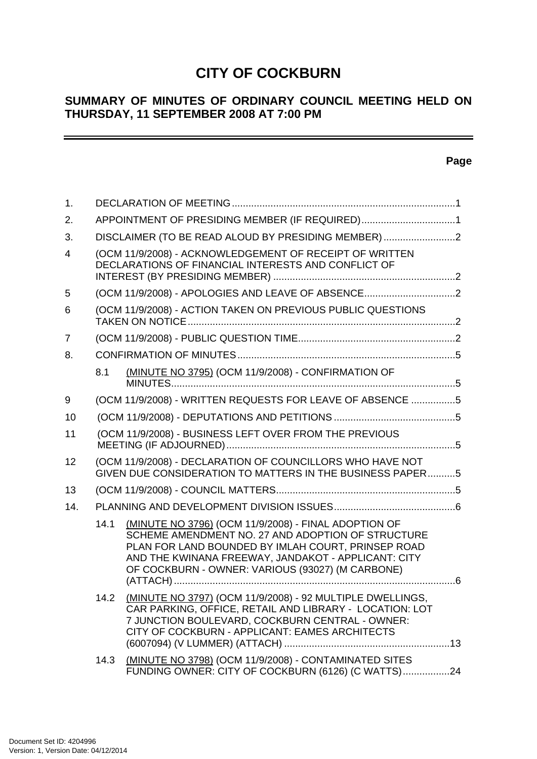# **CITY OF COCKBURN**

# **SUMMARY OF MINUTES OF ORDINARY COUNCIL MEETING HELD ON THURSDAY, 11 SEPTEMBER 2008 AT 7:00 PM**

# **Page**

| 1.  |                                                     |                                                                                                                                                                                                                                                                            |  |
|-----|-----------------------------------------------------|----------------------------------------------------------------------------------------------------------------------------------------------------------------------------------------------------------------------------------------------------------------------------|--|
| 2.  | APPOINTMENT OF PRESIDING MEMBER (IF REQUIRED)1      |                                                                                                                                                                                                                                                                            |  |
| 3.  | DISCLAIMER (TO BE READ ALOUD BY PRESIDING MEMBER) 2 |                                                                                                                                                                                                                                                                            |  |
| 4   |                                                     | (OCM 11/9/2008) - ACKNOWLEDGEMENT OF RECEIPT OF WRITTEN<br>DECLARATIONS OF FINANCIAL INTERESTS AND CONFLICT OF                                                                                                                                                             |  |
| 5   | (OCM 11/9/2008) - APOLOGIES AND LEAVE OF ABSENCE    |                                                                                                                                                                                                                                                                            |  |
| 6   |                                                     | (OCM 11/9/2008) - ACTION TAKEN ON PREVIOUS PUBLIC QUESTIONS                                                                                                                                                                                                                |  |
| 7   |                                                     |                                                                                                                                                                                                                                                                            |  |
| 8.  |                                                     |                                                                                                                                                                                                                                                                            |  |
|     | 8.1                                                 | (MINUTE NO 3795) (OCM 11/9/2008) - CONFIRMATION OF                                                                                                                                                                                                                         |  |
| 9   |                                                     | (OCM 11/9/2008) - WRITTEN REQUESTS FOR LEAVE OF ABSENCE 5                                                                                                                                                                                                                  |  |
| 10  |                                                     |                                                                                                                                                                                                                                                                            |  |
| 11  |                                                     | (OCM 11/9/2008) - BUSINESS LEFT OVER FROM THE PREVIOUS                                                                                                                                                                                                                     |  |
| 12  |                                                     | (OCM 11/9/2008) - DECLARATION OF COUNCILLORS WHO HAVE NOT<br>GIVEN DUE CONSIDERATION TO MATTERS IN THE BUSINESS PAPER5                                                                                                                                                     |  |
| 13  |                                                     |                                                                                                                                                                                                                                                                            |  |
| 14. |                                                     |                                                                                                                                                                                                                                                                            |  |
|     | 14.1                                                | (MINUTE NO 3796) (OCM 11/9/2008) - FINAL ADOPTION OF<br>SCHEME AMENDMENT NO. 27 AND ADOPTION OF STRUCTURE<br>PLAN FOR LAND BOUNDED BY IMLAH COURT, PRINSEP ROAD<br>AND THE KWINANA FREEWAY, JANDAKOT - APPLICANT: CITY<br>OF COCKBURN - OWNER: VARIOUS (93027) (M CARBONE) |  |
|     |                                                     | 14.2 (MINUTE NO 3797) (OCM 11/9/2008) - 92 MULTIPLE DWELLINGS,<br>CAR PARKING, OFFICE, RETAIL AND LIBRARY - LOCATION: LOT<br>7 JUNCTION BOULEVARD, COCKBURN CENTRAL - OWNER:<br>CITY OF COCKBURN - APPLICANT: EAMES ARCHITECTS                                             |  |
|     | 14.3                                                | (MINUTE NO 3798) (OCM 11/9/2008) - CONTAMINATED SITES<br>FUNDING OWNER: CITY OF COCKBURN (6126) (C WATTS)24                                                                                                                                                                |  |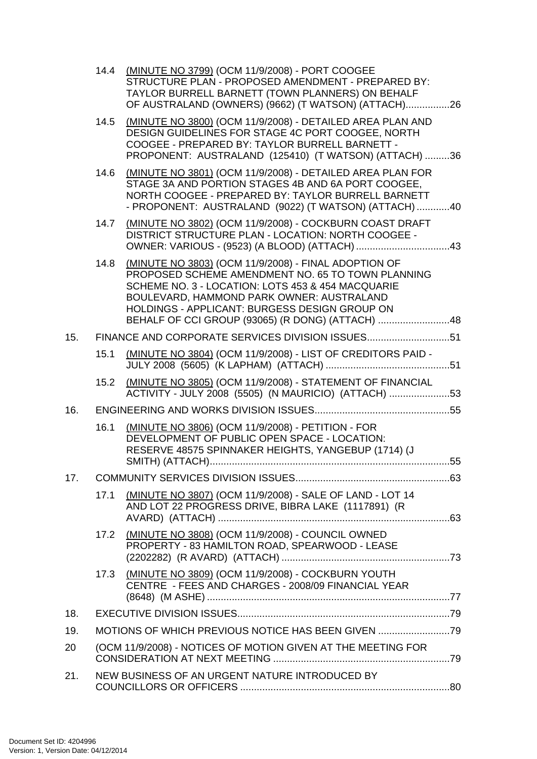|     |                                                    | 14.4 (MINUTE NO 3799) (OCM 11/9/2008) - PORT COOGEE<br>STRUCTURE PLAN - PROPOSED AMENDMENT - PREPARED BY:<br>TAYLOR BURRELL BARNETT (TOWN PLANNERS) ON BEHALF<br>OF AUSTRALAND (OWNERS) (9662) (T WATSON) (ATTACH)26                                                                                             |     |
|-----|----------------------------------------------------|------------------------------------------------------------------------------------------------------------------------------------------------------------------------------------------------------------------------------------------------------------------------------------------------------------------|-----|
|     | 14.5                                               | (MINUTE NO 3800) (OCM 11/9/2008) - DETAILED AREA PLAN AND<br>DESIGN GUIDELINES FOR STAGE 4C PORT COOGEE, NORTH<br>COOGEE - PREPARED BY: TAYLOR BURRELL BARNETT -<br>PROPONENT: AUSTRALAND (125410) (T WATSON) (ATTACH) 36                                                                                        |     |
|     | 14.6                                               | (MINUTE NO 3801) (OCM 11/9/2008) - DETAILED AREA PLAN FOR<br>STAGE 3A AND PORTION STAGES 4B AND 6A PORT COOGEE,<br>NORTH COOGEE - PREPARED BY: TAYLOR BURRELL BARNETT<br>- PROPONENT: AUSTRALAND (9022) (T WATSON) (ATTACH) 40                                                                                   |     |
|     | 14.7                                               | (MINUTE NO 3802) (OCM 11/9/2008) - COCKBURN COAST DRAFT<br>DISTRICT STRUCTURE PLAN - LOCATION: NORTH COOGEE -                                                                                                                                                                                                    |     |
|     | 14.8                                               | (MINUTE NO 3803) (OCM 11/9/2008) - FINAL ADOPTION OF<br>PROPOSED SCHEME AMENDMENT NO. 65 TO TOWN PLANNING<br>SCHEME NO. 3 - LOCATION: LOTS 453 & 454 MACQUARIE<br>BOULEVARD, HAMMOND PARK OWNER: AUSTRALAND<br>HOLDINGS - APPLICANT: BURGESS DESIGN GROUP ON<br>BEHALF OF CCI GROUP (93065) (R DONG) (ATTACH) 48 |     |
| 15. |                                                    | FINANCE AND CORPORATE SERVICES DIVISION ISSUES51                                                                                                                                                                                                                                                                 |     |
|     | 15.1                                               | (MINUTE NO 3804) (OCM 11/9/2008) - LIST OF CREDITORS PAID -                                                                                                                                                                                                                                                      |     |
|     | 15.2                                               | (MINUTE NO 3805) (OCM 11/9/2008) - STATEMENT OF FINANCIAL<br>ACTIVITY - JULY 2008 (5505) (N MAURICIO) (ATTACH) 53                                                                                                                                                                                                |     |
| 16. |                                                    |                                                                                                                                                                                                                                                                                                                  |     |
|     | 16.1                                               | (MINUTE NO 3806) (OCM 11/9/2008) - PETITION - FOR<br>DEVELOPMENT OF PUBLIC OPEN SPACE - LOCATION:<br>RESERVE 48575 SPINNAKER HEIGHTS, YANGEBUP (1714) (J<br>SMITH) (ATTACH)                                                                                                                                      | .55 |
| 17. |                                                    |                                                                                                                                                                                                                                                                                                                  |     |
|     | 17.1                                               | (MINUTE NO 3807) (OCM 11/9/2008) - SALE OF LAND - LOT 14<br>AND LOT 22 PROGRESS DRIVE, BIBRA LAKE (1117891) (R                                                                                                                                                                                                   |     |
|     |                                                    | 17.2 (MINUTE NO 3808) (OCM 11/9/2008) - COUNCIL OWNED<br>PROPERTY - 83 HAMILTON ROAD, SPEARWOOD - LEASE                                                                                                                                                                                                          |     |
|     | 17.3                                               | (MINUTE NO 3809) (OCM 11/9/2008) - COCKBURN YOUTH<br>CENTRE - FEES AND CHARGES - 2008/09 FINANCIAL YEAR                                                                                                                                                                                                          |     |
| 18. |                                                    |                                                                                                                                                                                                                                                                                                                  |     |
| 19. | MOTIONS OF WHICH PREVIOUS NOTICE HAS BEEN GIVEN 79 |                                                                                                                                                                                                                                                                                                                  |     |
| 20  |                                                    | (OCM 11/9/2008) - NOTICES OF MOTION GIVEN AT THE MEETING FOR                                                                                                                                                                                                                                                     |     |
| 21. |                                                    | NEW BUSINESS OF AN URGENT NATURE INTRODUCED BY                                                                                                                                                                                                                                                                   |     |
|     |                                                    |                                                                                                                                                                                                                                                                                                                  |     |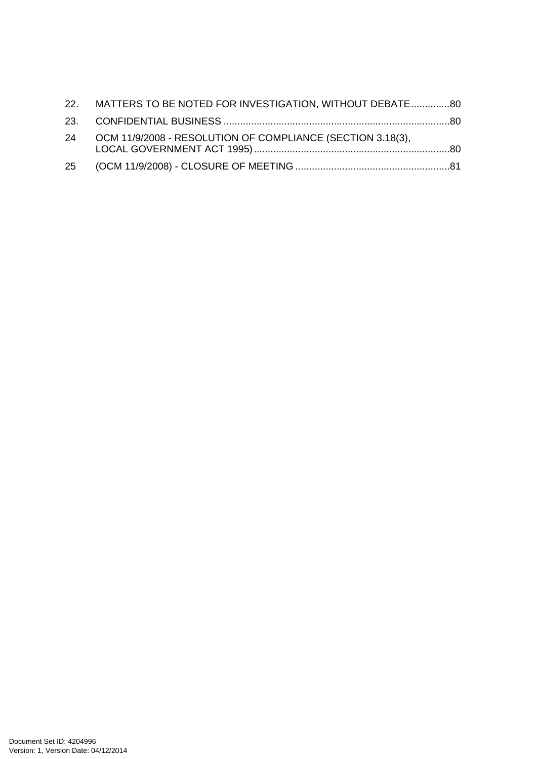| 22. MATTERS TO BE NOTED FOR INVESTIGATION, WITHOUT DEBATE80   |  |
|---------------------------------------------------------------|--|
|                                                               |  |
| 24 OCM 11/9/2008 - RESOLUTION OF COMPLIANCE (SECTION 3.18(3), |  |
|                                                               |  |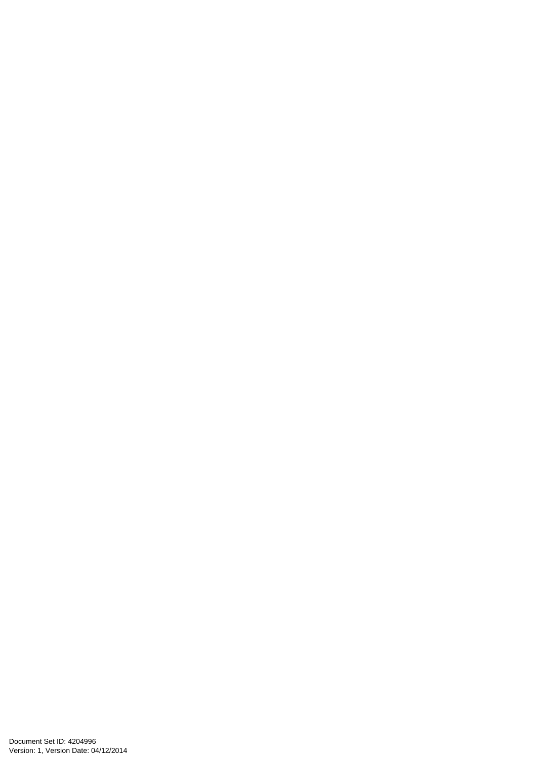Document Set ID: 4204996<br>Version: 1, Version Date: 04/12/2014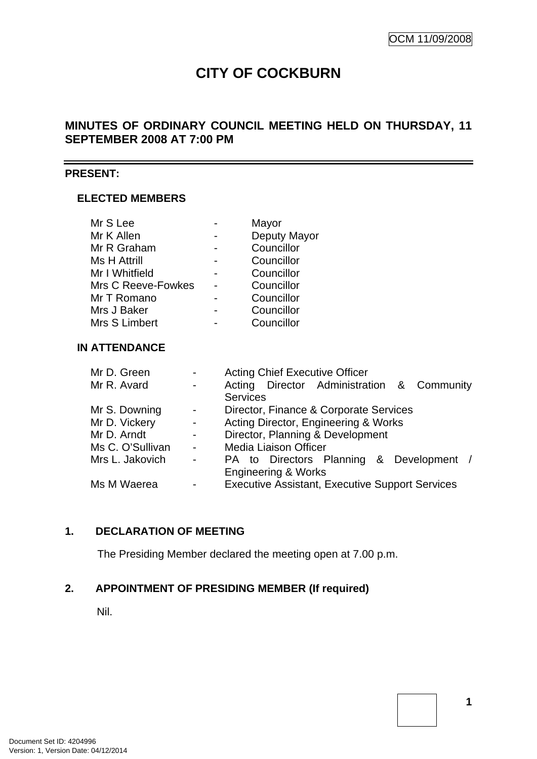# **CITY OF COCKBURN**

# **MINUTES OF ORDINARY COUNCIL MEETING HELD ON THURSDAY, 11 SEPTEMBER 2008 AT 7:00 PM**

### **PRESENT:**

### **ELECTED MEMBERS**

| Mr S Lee            | Mayor        |
|---------------------|--------------|
| Mr K Allen          | Deputy Mayor |
| Mr R Graham         | Councillor   |
| <b>Ms H Attrill</b> | Councillor   |
| Mr I Whitfield      | Councillor   |
| Mrs C Reeve-Fowkes  | Councillor   |
| Mr T Romano         | Councillor   |
| Mrs J Baker         | Councillor   |
| Mrs S Limbert       | Councillor   |

### **IN ATTENDANCE**

| Mr D. Green      |                          | <b>Acting Chief Executive Officer</b>                  |
|------------------|--------------------------|--------------------------------------------------------|
| Mr R. Avard      | $\sim$                   | Acting Director Administration & Community             |
|                  |                          | <b>Services</b>                                        |
| Mr S. Downing    | $\overline{\phantom{a}}$ | Director, Finance & Corporate Services                 |
| Mr D. Vickery    | $\blacksquare$           | Acting Director, Engineering & Works                   |
| Mr D. Arndt      | $\overline{\phantom{a}}$ | Director, Planning & Development                       |
| Ms C. O'Sullivan | $\blacksquare$           | <b>Media Liaison Officer</b>                           |
| Mrs L. Jakovich  | $\blacksquare$           | PA to Directors Planning & Development /               |
|                  |                          | <b>Engineering &amp; Works</b>                         |
| Ms M Waerea      | $\overline{\phantom{a}}$ | <b>Executive Assistant, Executive Support Services</b> |

# <span id="page-4-0"></span>**1. DECLARATION OF MEETING**

The Presiding Member declared the meeting open at 7.00 p.m.

### <span id="page-4-1"></span>**2. APPOINTMENT OF PRESIDING MEMBER (If required)**

Nil.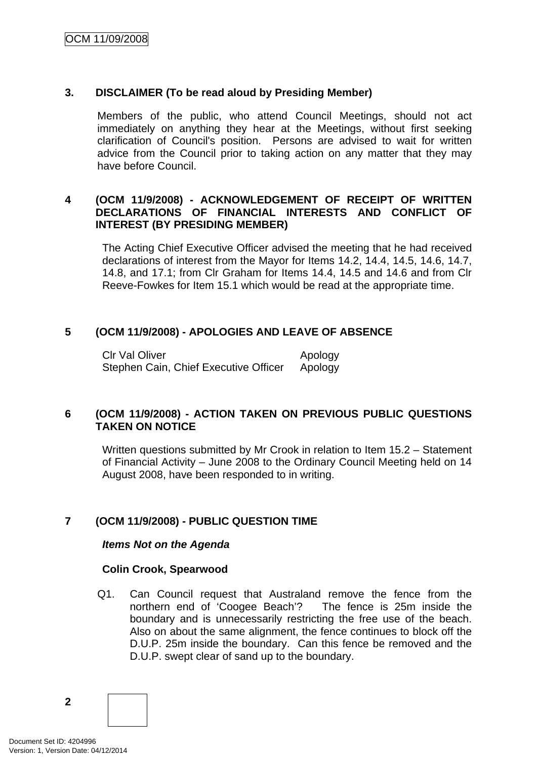# **3. DISCLAIMER (To be read aloud by Presiding Member)**

Members of the public, who attend Council Meetings, should not act immediately on anything they hear at the Meetings, without first seeking clarification of Council's position. Persons are advised to wait for written advice from the Council prior to taking action on any matter that they may have before Council.

# <span id="page-5-1"></span>**4 (OCM 11/9/2008) - ACKNOWLEDGEMENT OF RECEIPT OF WRITTEN DECLARATIONS OF FINANCIAL INTERESTS AND CONFLICT OF INTEREST (BY PRESIDING MEMBER)**

The Acting Chief Executive Officer advised the meeting that he had received declarations of interest from the Mayor for Items 14.2, 14.4, 14.5, 14.6, 14.7, 14.8, and 17.1; from Clr Graham for Items 14.4, 14.5 and 14.6 and from Clr Reeve-Fowkes for Item 15.1 which would be read at the appropriate time.

# <span id="page-5-2"></span>**5 (OCM 11/9/2008) - APOLOGIES AND LEAVE OF ABSENCE**

Clr Val Oliver **Apology** Stephen Cain, Chief Executive Officer Apology

# <span id="page-5-3"></span>**6 (OCM 11/9/2008) - ACTION TAKEN ON PREVIOUS PUBLIC QUESTIONS TAKEN ON NOTICE**

Written questions submitted by Mr Crook in relation to Item 15.2 – Statement of Financial Activity – June 2008 to the Ordinary Council Meeting held on 14 August 2008, have been responded to in writing.

# <span id="page-5-4"></span>**7 (OCM 11/9/2008) - PUBLIC QUESTION TIME**

### *Items Not on the Agenda*

### **Colin Crook, Spearwood**

<span id="page-5-0"></span>Q1. Can Council request that Australand remove the fence from the northern end of 'Coogee Beach'? The fence is 25m inside the boundary and is unnecessarily restricting the free use of the beach. Also on about the same alignment, the fence continues to block off the D.U.P. 25m inside the boundary. Can this fence be removed and the D.U.P. swept clear of sand up to the boundary.

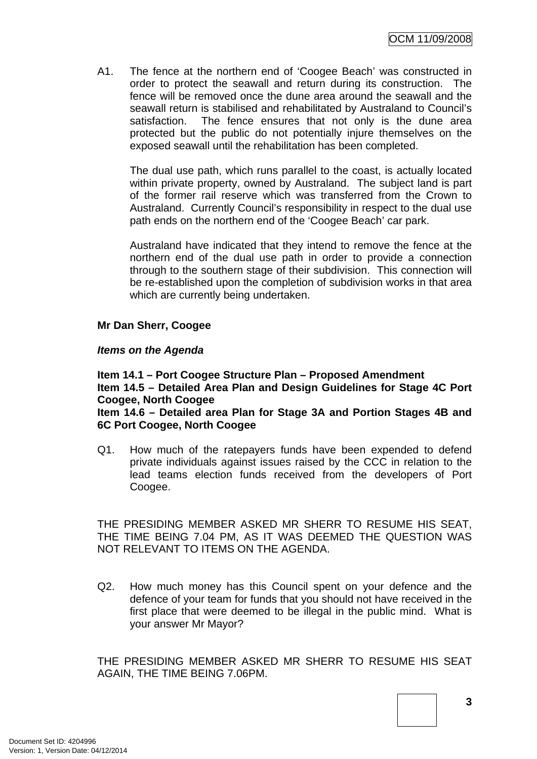A1. The fence at the northern end of 'Coogee Beach' was constructed in order to protect the seawall and return during its construction. The fence will be removed once the dune area around the seawall and the seawall return is stabilised and rehabilitated by Australand to Council's satisfaction. The fence ensures that not only is the dune area protected but the public do not potentially injure themselves on the exposed seawall until the rehabilitation has been completed.

The dual use path, which runs parallel to the coast, is actually located within private property, owned by Australand. The subject land is part of the former rail reserve which was transferred from the Crown to Australand. Currently Council's responsibility in respect to the dual use path ends on the northern end of the 'Coogee Beach' car park.

Australand have indicated that they intend to remove the fence at the northern end of the dual use path in order to provide a connection through to the southern stage of their subdivision. This connection will be re-established upon the completion of subdivision works in that area which are currently being undertaken.

### **Mr Dan Sherr, Coogee**

### *Items on the Agenda*

**Item 14.1 – Port Coogee Structure Plan – Proposed Amendment Item 14.5 – Detailed Area Plan and Design Guidelines for Stage 4C Port Coogee, North Coogee Item 14.6 – Detailed area Plan for Stage 3A and Portion Stages 4B and 6C Port Coogee, North Coogee** 

Q1. How much of the ratepayers funds have been expended to defend private individuals against issues raised by the CCC in relation to the lead teams election funds received from the developers of Port Coogee.

THE PRESIDING MEMBER ASKED MR SHERR TO RESUME HIS SEAT, THE TIME BEING 7.04 PM, AS IT WAS DEEMED THE QUESTION WAS NOT RELEVANT TO ITEMS ON THE AGENDA.

Q2. How much money has this Council spent on your defence and the defence of your team for funds that you should not have received in the first place that were deemed to be illegal in the public mind. What is your answer Mr Mayor?

THE PRESIDING MEMBER ASKED MR SHERR TO RESUME HIS SEAT AGAIN, THE TIME BEING 7.06PM.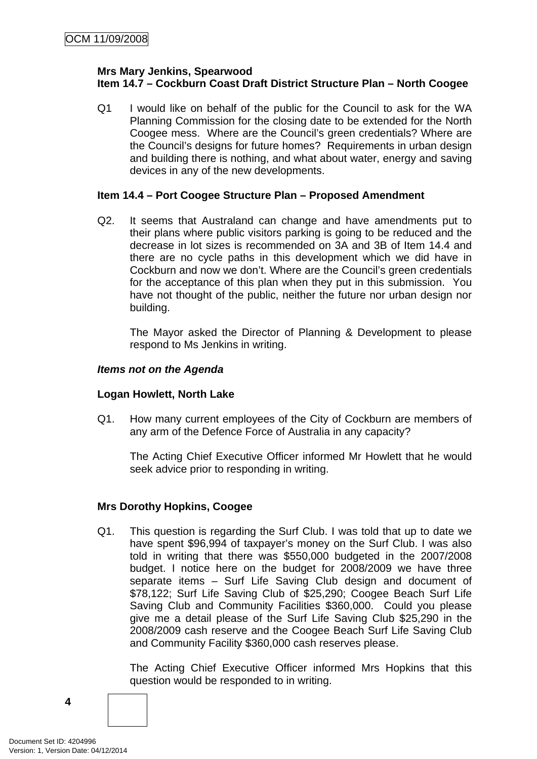# **Mrs Mary Jenkins, Spearwood**

# **Item 14.7 – Cockburn Coast Draft District Structure Plan – North Coogee**

Q1 I would like on behalf of the public for the Council to ask for the WA Planning Commission for the closing date to be extended for the North Coogee mess. Where are the Council's green credentials? Where are the Council's designs for future homes? Requirements in urban design and building there is nothing, and what about water, energy and saving devices in any of the new developments.

### **Item 14.4 – Port Coogee Structure Plan – Proposed Amendment**

Q2. It seems that Australand can change and have amendments put to their plans where public visitors parking is going to be reduced and the decrease in lot sizes is recommended on 3A and 3B of Item 14.4 and there are no cycle paths in this development which we did have in Cockburn and now we don't. Where are the Council's green credentials for the acceptance of this plan when they put in this submission. You have not thought of the public, neither the future nor urban design nor building.

The Mayor asked the Director of Planning & Development to please respond to Ms Jenkins in writing.

### *Items not on the Agenda*

### **Logan Howlett, North Lake**

Q1. How many current employees of the City of Cockburn are members of any arm of the Defence Force of Australia in any capacity?

The Acting Chief Executive Officer informed Mr Howlett that he would seek advice prior to responding in writing.

### **Mrs Dorothy Hopkins, Coogee**

Q1. This question is regarding the Surf Club. I was told that up to date we have spent \$96,994 of taxpayer's money on the Surf Club. I was also told in writing that there was \$550,000 budgeted in the 2007/2008 budget. I notice here on the budget for 2008/2009 we have three separate items – Surf Life Saving Club design and document of \$78,122; Surf Life Saving Club of \$25,290; Coogee Beach Surf Life Saving Club and Community Facilities \$360,000. Could you please give me a detail please of the Surf Life Saving Club \$25,290 in the 2008/2009 cash reserve and the Coogee Beach Surf Life Saving Club and Community Facility \$360,000 cash reserves please.

The Acting Chief Executive Officer informed Mrs Hopkins that this question would be responded to in writing.

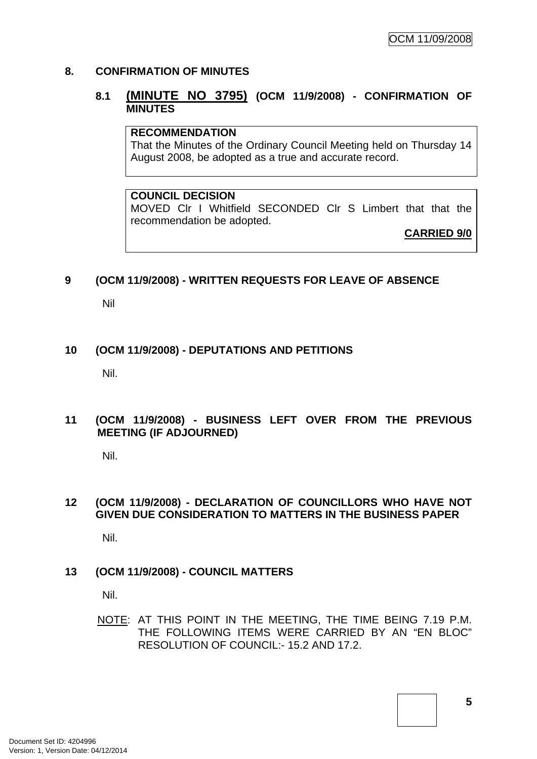### <span id="page-8-1"></span><span id="page-8-0"></span>**8. CONFIRMATION OF MINUTES**

# **8.1 (MINUTE NO 3795) (OCM 11/9/2008) - CONFIRMATION OF MINUTES**

#### **RECOMMENDATION**

That the Minutes of the Ordinary Council Meeting held on Thursday 14 August 2008, be adopted as a true and accurate record.

### **COUNCIL DECISION**

MOVED Clr I Whitfield SECONDED Clr S Limbert that that the recommendation be adopted.

**CARRIED 9/0**

### <span id="page-8-2"></span>**9 (OCM 11/9/2008) - WRITTEN REQUESTS FOR LEAVE OF ABSENCE**

Nil

### <span id="page-8-3"></span>**10 (OCM 11/9/2008) - DEPUTATIONS AND PETITIONS**

Nil.

### <span id="page-8-4"></span>**11 (OCM 11/9/2008) - BUSINESS LEFT OVER FROM THE PREVIOUS MEETING (IF ADJOURNED)**

Nil.

# <span id="page-8-5"></span>**12 (OCM 11/9/2008) - DECLARATION OF COUNCILLORS WHO HAVE NOT GIVEN DUE CONSIDERATION TO MATTERS IN THE BUSINESS PAPER**

Nil.

### <span id="page-8-6"></span>**13 (OCM 11/9/2008) - COUNCIL MATTERS**

Nil.

NOTE: AT THIS POINT IN THE MEETING, THE TIME BEING 7.19 P.M. THE FOLLOWING ITEMS WERE CARRIED BY AN "EN BLOC" RESOLUTION OF COUNCIL:- 15.2 AND 17.2.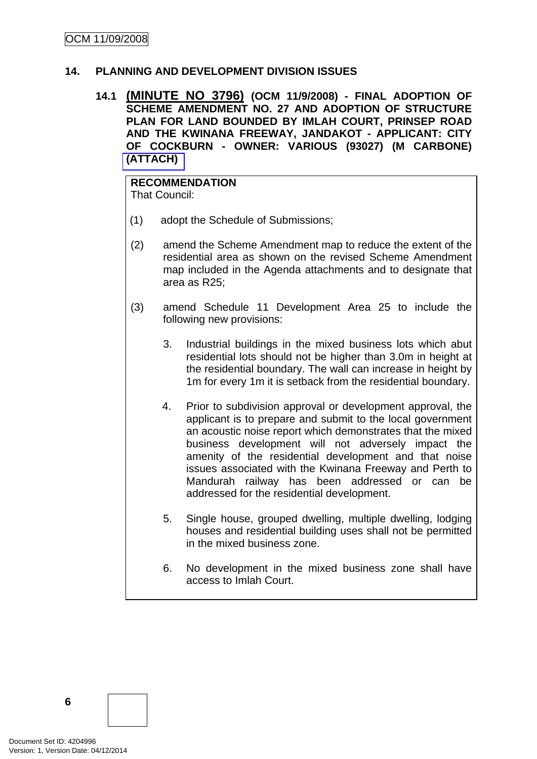# <span id="page-9-1"></span>**14. PLANNING AND DEVELOPMENT DIVISION ISSUES**

**14.1 (MINUTE NO 3796) (OCM 11/9/2008) - FINAL ADOPTION OF SCHEME AMENDMENT NO. 27 AND ADOPTION OF STRUCTURE PLAN FOR LAND BOUNDED BY IMLAH COURT, PRINSEP ROAD AND THE KWINANA FREEWAY, JANDAKOT - APPLICANT: CITY OF COCKBURN - OWNER: VARIOUS (93027) (M CARBONE) (ATTACH)** 

**RECOMMENDATION** That Council:

- (1) adopt the Schedule of Submissions;
- (2) amend the Scheme Amendment map to reduce the extent of the residential area as shown on the revised Scheme Amendment map included in the Agenda attachments and to designate that area as R25;
- <span id="page-9-0"></span>(3) amend Schedule 11 Development Area 25 to include the following new provisions:
	- 3. Industrial buildings in the mixed business lots which abut residential lots should not be higher than 3.0m in height at the residential boundary. The wall can increase in height by 1m for every 1m it is setback from the residential boundary.
	- 4. Prior to subdivision approval or development approval, the applicant is to prepare and submit to the local government an acoustic noise report which demonstrates that the mixed business development will not adversely impact the amenity of the residential development and that noise issues associated with the Kwinana Freeway and Perth to Mandurah railway has been addressed or can be addressed for the residential development.
	- 5. Single house, grouped dwelling, multiple dwelling, lodging houses and residential building uses shall not be permitted in the mixed business zone.
	- 6. No development in the mixed business zone shall have access to Imlah Court.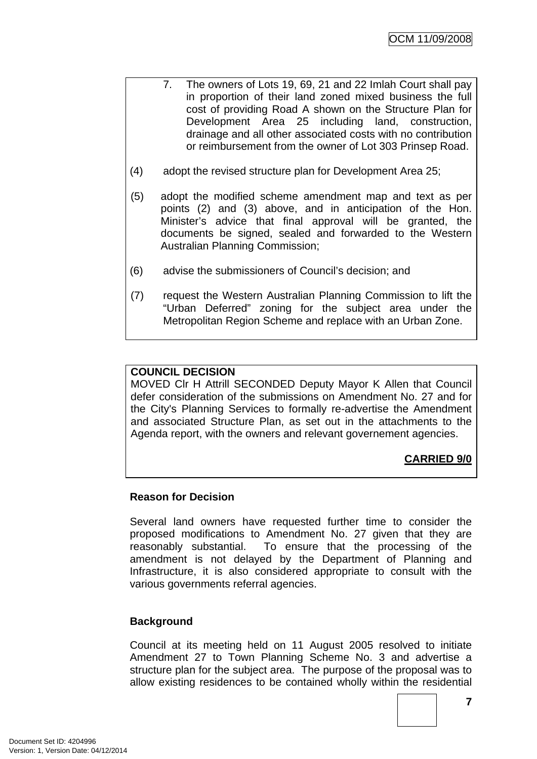- 7. The owners of Lots 19, 69, 21 and 22 Imlah Court shall pay in proportion of their land zoned mixed business the full cost of providing Road A shown on the Structure Plan for Development Area 25 including land, construction, drainage and all other associated costs with no contribution or reimbursement from the owner of Lot 303 Prinsep Road.
- (4) adopt the revised structure plan for Development Area 25;
- (5) adopt the modified scheme amendment map and text as per points (2) and (3) above, and in anticipation of the Hon. Minister's advice that final approval will be granted, the documents be signed, sealed and forwarded to the Western Australian Planning Commission;
- (6) advise the submissioners of Council's decision; and
- (7) request the Western Australian Planning Commission to lift the "Urban Deferred" zoning for the subject area under the Metropolitan Region Scheme and replace with an Urban Zone.

### **COUNCIL DECISION**

MOVED Clr H Attrill SECONDED Deputy Mayor K Allen that Council defer consideration of the submissions on Amendment No. 27 and for the City's Planning Services to formally re-advertise the Amendment and associated Structure Plan, as set out in the attachments to the Agenda report, with the owners and relevant governement agencies.

# **CARRIED 9/0**

### **Reason for Decision**

Several land owners have requested further time to consider the proposed modifications to Amendment No. 27 given that they are reasonably substantial. To ensure that the processing of the amendment is not delayed by the Department of Planning and Infrastructure, it is also considered appropriate to consult with the various governments referral agencies.

### **Background**

Council at its meeting held on 11 August 2005 resolved to initiate Amendment 27 to Town Planning Scheme No. 3 and advertise a structure plan for the subject area. The purpose of the proposal was to allow existing residences to be contained wholly within the residential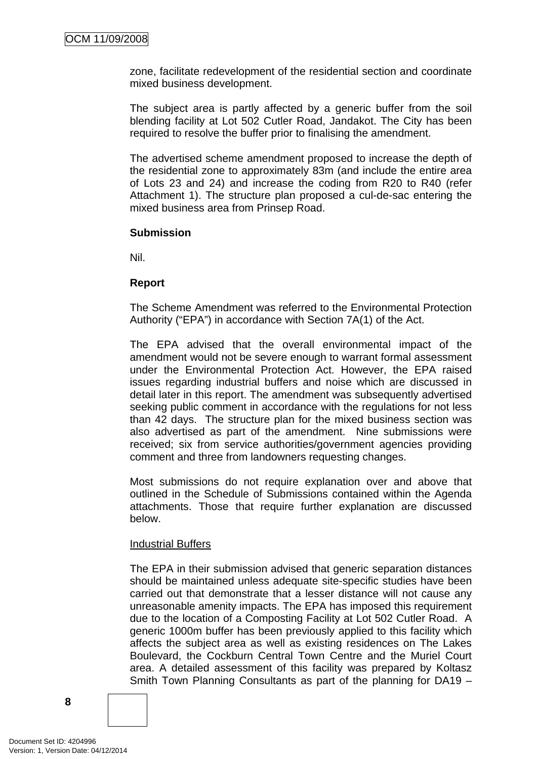zone, facilitate redevelopment of the residential section and coordinate mixed business development.

The subject area is partly affected by a generic buffer from the soil blending facility at Lot 502 Cutler Road, Jandakot. The City has been required to resolve the buffer prior to finalising the amendment.

The advertised scheme amendment proposed to increase the depth of the residential zone to approximately 83m (and include the entire area of Lots 23 and 24) and increase the coding from R20 to R40 (refer Attachment 1). The structure plan proposed a cul-de-sac entering the mixed business area from Prinsep Road.

### **Submission**

Nil.

### **Report**

The Scheme Amendment was referred to the Environmental Protection Authority ("EPA") in accordance with Section 7A(1) of the Act.

The EPA advised that the overall environmental impact of the amendment would not be severe enough to warrant formal assessment under the Environmental Protection Act. However, the EPA raised issues regarding industrial buffers and noise which are discussed in detail later in this report. The amendment was subsequently advertised seeking public comment in accordance with the regulations for not less than 42 days. The structure plan for the mixed business section was also advertised as part of the amendment. Nine submissions were received; six from service authorities/government agencies providing comment and three from landowners requesting changes.

Most submissions do not require explanation over and above that outlined in the Schedule of Submissions contained within the Agenda attachments. Those that require further explanation are discussed below.

### Industrial Buffers

The EPA in their submission advised that generic separation distances should be maintained unless adequate site-specific studies have been carried out that demonstrate that a lesser distance will not cause any unreasonable amenity impacts. The EPA has imposed this requirement due to the location of a Composting Facility at Lot 502 Cutler Road. A generic 1000m buffer has been previously applied to this facility which affects the subject area as well as existing residences on The Lakes Boulevard, the Cockburn Central Town Centre and the Muriel Court area. A detailed assessment of this facility was prepared by Koltasz Smith Town Planning Consultants as part of the planning for DA19 –

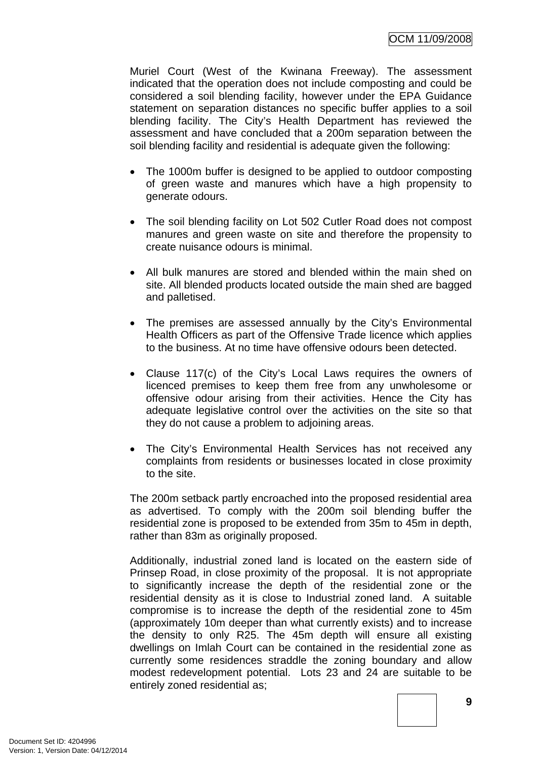Muriel Court (West of the Kwinana Freeway). The assessment indicated that the operation does not include composting and could be considered a soil blending facility, however under the EPA Guidance statement on separation distances no specific buffer applies to a soil blending facility. The City's Health Department has reviewed the assessment and have concluded that a 200m separation between the soil blending facility and residential is adequate given the following:

- The 1000m buffer is designed to be applied to outdoor composting of green waste and manures which have a high propensity to generate odours.
- The soil blending facility on Lot 502 Cutler Road does not compost manures and green waste on site and therefore the propensity to create nuisance odours is minimal.
- All bulk manures are stored and blended within the main shed on site. All blended products located outside the main shed are bagged and palletised.
- The premises are assessed annually by the City's Environmental Health Officers as part of the Offensive Trade licence which applies to the business. At no time have offensive odours been detected.
- Clause 117(c) of the City's Local Laws requires the owners of licenced premises to keep them free from any unwholesome or offensive odour arising from their activities. Hence the City has adequate legislative control over the activities on the site so that they do not cause a problem to adjoining areas.
- The City's Environmental Health Services has not received any complaints from residents or businesses located in close proximity to the site.

The 200m setback partly encroached into the proposed residential area as advertised. To comply with the 200m soil blending buffer the residential zone is proposed to be extended from 35m to 45m in depth, rather than 83m as originally proposed.

Additionally, industrial zoned land is located on the eastern side of Prinsep Road, in close proximity of the proposal. It is not appropriate to significantly increase the depth of the residential zone or the residential density as it is close to Industrial zoned land. A suitable compromise is to increase the depth of the residential zone to 45m (approximately 10m deeper than what currently exists) and to increase the density to only R25. The 45m depth will ensure all existing dwellings on Imlah Court can be contained in the residential zone as currently some residences straddle the zoning boundary and allow modest redevelopment potential. Lots 23 and 24 are suitable to be entirely zoned residential as;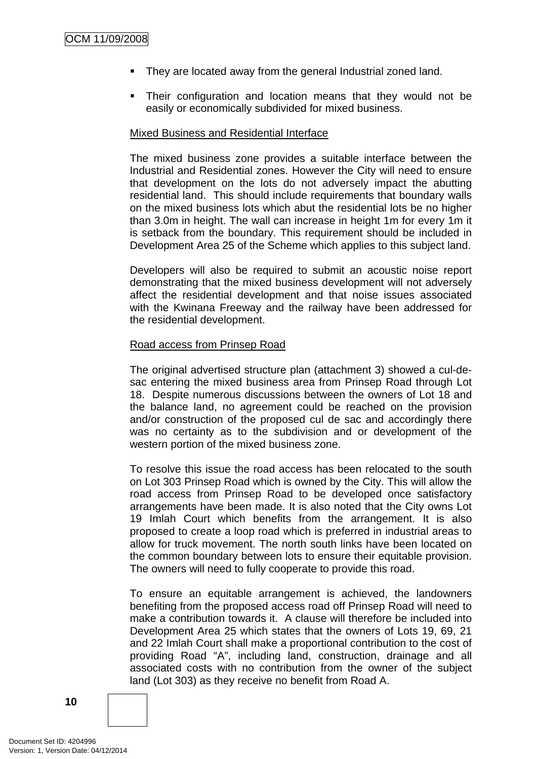- They are located away from the general Industrial zoned land.
- Their configuration and location means that they would not be easily or economically subdivided for mixed business.

### Mixed Business and Residential Interface

The mixed business zone provides a suitable interface between the Industrial and Residential zones. However the City will need to ensure that development on the lots do not adversely impact the abutting residential land. This should include requirements that boundary walls on the mixed business lots which abut the residential lots be no higher than 3.0m in height. The wall can increase in height 1m for every 1m it is setback from the boundary. This requirement should be included in Development Area 25 of the Scheme which applies to this subject land.

Developers will also be required to submit an acoustic noise report demonstrating that the mixed business development will not adversely affect the residential development and that noise issues associated with the Kwinana Freeway and the railway have been addressed for the residential development.

### Road access from Prinsep Road

The original advertised structure plan (attachment 3) showed a cul-desac entering the mixed business area from Prinsep Road through Lot 18. Despite numerous discussions between the owners of Lot 18 and the balance land, no agreement could be reached on the provision and/or construction of the proposed cul de sac and accordingly there was no certainty as to the subdivision and or development of the western portion of the mixed business zone.

To resolve this issue the road access has been relocated to the south on Lot 303 Prinsep Road which is owned by the City. This will allow the road access from Prinsep Road to be developed once satisfactory arrangements have been made. It is also noted that the City owns Lot 19 Imlah Court which benefits from the arrangement. It is also proposed to create a loop road which is preferred in industrial areas to allow for truck movement. The north south links have been located on the common boundary between lots to ensure their equitable provision. The owners will need to fully cooperate to provide this road.

To ensure an equitable arrangement is achieved, the landowners benefiting from the proposed access road off Prinsep Road will need to make a contribution towards it. A clause will therefore be included into Development Area 25 which states that the owners of Lots 19, 69, 21 and 22 Imlah Court shall make a proportional contribution to the cost of providing Road "A", including land, construction, drainage and all associated costs with no contribution from the owner of the subject land (Lot 303) as they receive no benefit from Road A.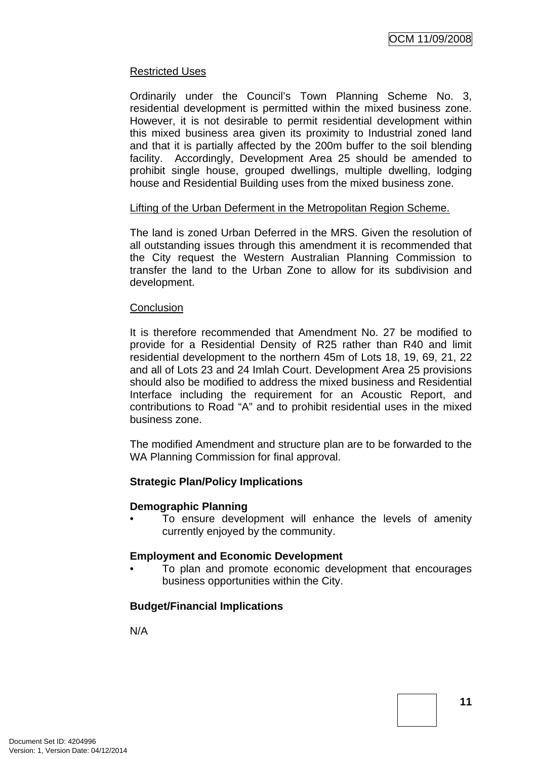## Restricted Uses

Ordinarily under the Council's Town Planning Scheme No. 3, residential development is permitted within the mixed business zone. However, it is not desirable to permit residential development within this mixed business area given its proximity to Industrial zoned land and that it is partially affected by the 200m buffer to the soil blending facility. Accordingly, Development Area 25 should be amended to prohibit single house, grouped dwellings, multiple dwelling, lodging house and Residential Building uses from the mixed business zone.

### Lifting of the Urban Deferment in the Metropolitan Region Scheme.

The land is zoned Urban Deferred in the MRS. Given the resolution of all outstanding issues through this amendment it is recommended that the City request the Western Australian Planning Commission to transfer the land to the Urban Zone to allow for its subdivision and development.

### **Conclusion**

It is therefore recommended that Amendment No. 27 be modified to provide for a Residential Density of R25 rather than R40 and limit residential development to the northern 45m of Lots 18, 19, 69, 21, 22 and all of Lots 23 and 24 Imlah Court. Development Area 25 provisions should also be modified to address the mixed business and Residential Interface including the requirement for an Acoustic Report, and contributions to Road "A" and to prohibit residential uses in the mixed business zone.

The modified Amendment and structure plan are to be forwarded to the WA Planning Commission for final approval.

### **Strategic Plan/Policy Implications**

#### **Demographic Planning**

To ensure development will enhance the levels of amenity currently enjoyed by the community.

#### **Employment and Economic Development**

• To plan and promote economic development that encourages business opportunities within the City.

### **Budget/Financial Implications**

N/A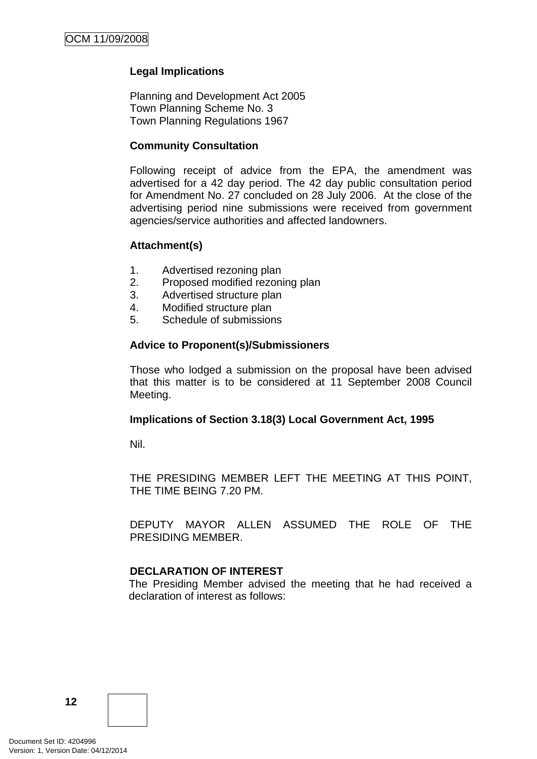# **Legal Implications**

Planning and Development Act 2005 Town Planning Scheme No. 3 Town Planning Regulations 1967

### **Community Consultation**

Following receipt of advice from the EPA, the amendment was advertised for a 42 day period. The 42 day public consultation period for Amendment No. 27 concluded on 28 July 2006. At the close of the advertising period nine submissions were received from government agencies/service authorities and affected landowners.

### **Attachment(s)**

- 1. Advertised rezoning plan
- 2. Proposed modified rezoning plan
- 3. Advertised structure plan
- 4. Modified structure plan
- 5. Schedule of submissions

### **Advice to Proponent(s)/Submissioners**

Those who lodged a submission on the proposal have been advised that this matter is to be considered at 11 September 2008 Council Meeting.

#### **Implications of Section 3.18(3) Local Government Act, 1995**

Nil.

THE PRESIDING MEMBER LEFT THE MEETING AT THIS POINT, THE TIME BEING 7.20 PM.

DEPUTY MAYOR ALLEN ASSUMED THE ROLE OF THE PRESIDING MEMBER.

## **DECLARATION OF INTEREST**

The Presiding Member advised the meeting that he had received a declaration of interest as follows: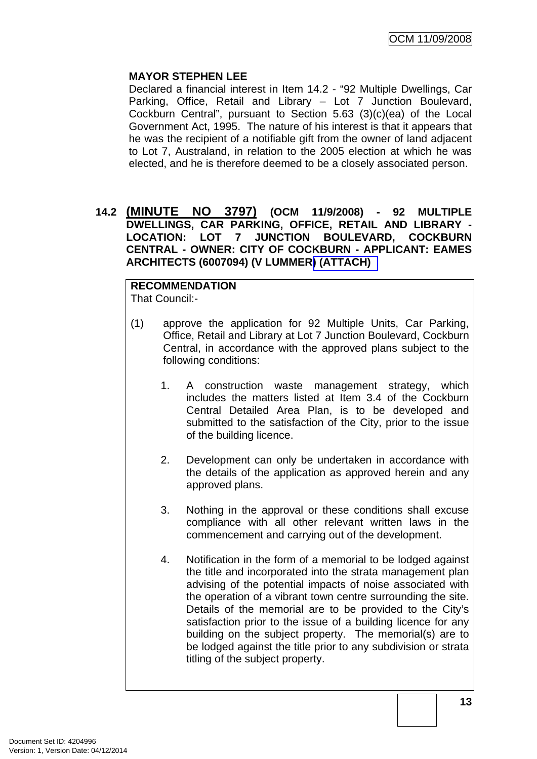OCM 11/09/2008

### **MAYOR STEPHEN LEE**

Declared a financial interest in Item 14.2 - "92 Multiple Dwellings, Car Parking, Office, Retail and Library – Lot 7 Junction Boulevard, Cockburn Central", pursuant to Section 5.63 (3)(c)(ea) of the Local Government Act, 1995. The nature of his interest is that it appears that he was the recipient of a notifiable gift from the owner of land adjacent to Lot 7, Australand, in relation to the 2005 election at which he was elected, and he is therefore deemed to be a closely associated person.

## <span id="page-16-0"></span>**14.2 (MINUTE NO 3797) (OCM 11/9/2008) - 92 MULTIPLE DWELLINGS, CAR PARKING, OFFICE, RETAIL AND LIBRARY - LOCATION: LOT 7 JUNCTION BOULEVARD, COCKBURN CENTRAL - OWNER: CITY OF COCKBURN - APPLICANT: EAMES ARCHITECTS (6007094) (V LUMMER) (ATTACH)**

**RECOMMENDATION** That Council:-

- (1) approve the application for 92 Multiple Units, Car Parking, Office, Retail and Library at Lot 7 Junction Boulevard, Cockburn Central, in accordance with the approved plans subject to the following conditions:
	- 1. A construction waste management strategy, which includes the matters listed at Item 3.4 of the Cockburn Central Detailed Area Plan, is to be developed and submitted to the satisfaction of the City, prior to the issue of the building licence.
	- 2. Development can only be undertaken in accordance with the details of the application as approved herein and any approved plans.
	- 3. Nothing in the approval or these conditions shall excuse compliance with all other relevant written laws in the commencement and carrying out of the development.
	- 4. Notification in the form of a memorial to be lodged against the title and incorporated into the strata management plan advising of the potential impacts of noise associated with the operation of a vibrant town centre surrounding the site. Details of the memorial are to be provided to the City's satisfaction prior to the issue of a building licence for any building on the subject property. The memorial(s) are to be lodged against the title prior to any subdivision or strata titling of the subject property.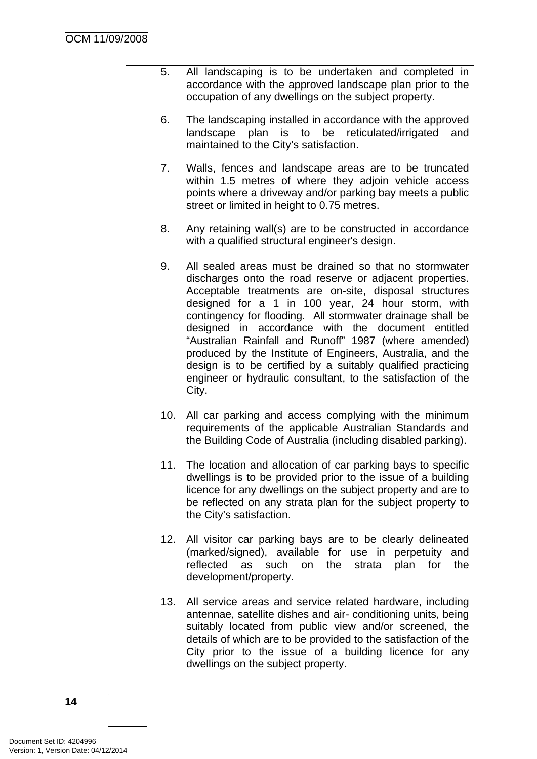- 5. All landscaping is to be undertaken and completed in accordance with the approved landscape plan prior to the occupation of any dwellings on the subject property.
- 6. The landscaping installed in accordance with the approved landscape plan is to be reticulated/irrigated and maintained to the City's satisfaction.
- 7. Walls, fences and landscape areas are to be truncated within 1.5 metres of where they adjoin vehicle access points where a driveway and/or parking bay meets a public street or limited in height to 0.75 metres.
- 8. Any retaining wall(s) are to be constructed in accordance with a qualified structural engineer's design.
- 9. All sealed areas must be drained so that no stormwater discharges onto the road reserve or adjacent properties. Acceptable treatments are on-site, disposal structures designed for a 1 in 100 year, 24 hour storm, with contingency for flooding. All stormwater drainage shall be designed in accordance with the document entitled "Australian Rainfall and Runoff" 1987 (where amended) produced by the Institute of Engineers, Australia, and the design is to be certified by a suitably qualified practicing engineer or hydraulic consultant, to the satisfaction of the City.
- 10. All car parking and access complying with the minimum requirements of the applicable Australian Standards and the Building Code of Australia (including disabled parking).
- 11. The location and allocation of car parking bays to specific dwellings is to be provided prior to the issue of a building licence for any dwellings on the subject property and are to be reflected on any strata plan for the subject property to the City's satisfaction.
- 12. All visitor car parking bays are to be clearly delineated (marked/signed), available for use in perpetuity and reflected as such on the strata plan for the development/property.
- 13. All service areas and service related hardware, including antennae, satellite dishes and air- conditioning units, being suitably located from public view and/or screened, the details of which are to be provided to the satisfaction of the City prior to the issue of a building licence for any dwellings on the subject property.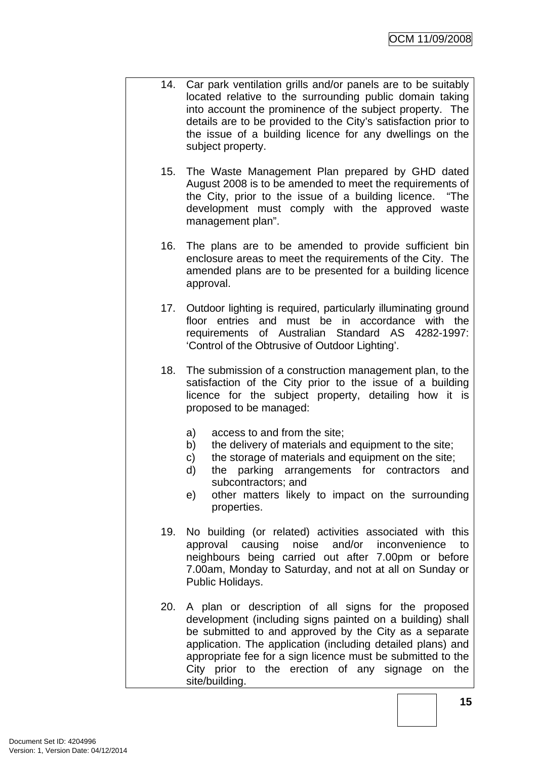- 14. Car park ventilation grills and/or panels are to be suitably located relative to the surrounding public domain taking into account the prominence of the subject property. The details are to be provided to the City's satisfaction prior to the issue of a building licence for any dwellings on the subject property.
	- 15. The Waste Management Plan prepared by GHD dated August 2008 is to be amended to meet the requirements of the City, prior to the issue of a building licence. "The development must comply with the approved waste management plan".
	- 16. The plans are to be amended to provide sufficient bin enclosure areas to meet the requirements of the City. The amended plans are to be presented for a building licence approval.
	- 17. Outdoor lighting is required, particularly illuminating ground floor entries and must be in accordance with the requirements of Australian Standard AS 4282-1997: 'Control of the Obtrusive of Outdoor Lighting'.
	- 18. The submission of a construction management plan, to the satisfaction of the City prior to the issue of a building licence for the subject property, detailing how it is proposed to be managed:
		- a) access to and from the site;
		- b) the delivery of materials and equipment to the site;
		- c) the storage of materials and equipment on the site;
		- d) the parking arrangements for contractors and subcontractors; and
		- e) other matters likely to impact on the surrounding properties.
	- 19. No building (or related) activities associated with this approval causing noise and/or inconvenience to neighbours being carried out after 7.00pm or before 7.00am, Monday to Saturday, and not at all on Sunday or Public Holidays.
- 20. A plan or description of all signs for the proposed development (including signs painted on a building) shall be submitted to and approved by the City as a separate application. The application (including detailed plans) and appropriate fee for a sign licence must be submitted to the City prior to the erection of any signage on the site/building.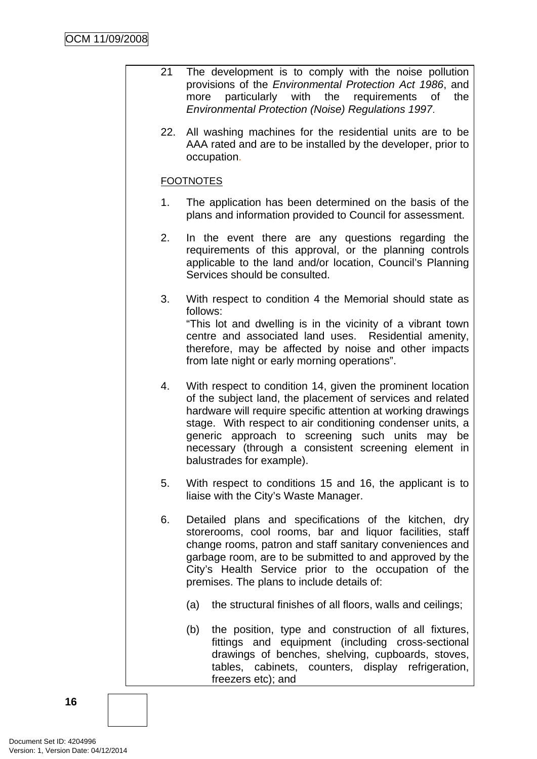- 21 The development is to comply with the noise pollution provisions of the *Environmental Protection Act 1986*, and more particularly with the requirements of the *Environmental Protection (Noise) Regulations 1997*.
	- 22. All washing machines for the residential units are to be AAA rated and are to be installed by the developer, prior to occupation.

# FOOTNOTES

- 1. The application has been determined on the basis of the plans and information provided to Council for assessment.
- 2. In the event there are any questions regarding the requirements of this approval, or the planning controls applicable to the land and/or location, Council's Planning Services should be consulted.
- 3. With respect to condition 4 the Memorial should state as follows: "This lot and dwelling is in the vicinity of a vibrant town centre and associated land uses. Residential amenity, therefore, may be affected by noise and other impacts from late night or early morning operations".
- 4. With respect to condition 14, given the prominent location of the subject land, the placement of services and related hardware will require specific attention at working drawings stage. With respect to air conditioning condenser units, a generic approach to screening such units may be necessary (through a consistent screening element in balustrades for example).
- 5. With respect to conditions 15 and 16, the applicant is to liaise with the City's Waste Manager.
- 6. Detailed plans and specifications of the kitchen, dry storerooms, cool rooms, bar and liquor facilities, staff change rooms, patron and staff sanitary conveniences and garbage room, are to be submitted to and approved by the City's Health Service prior to the occupation of the premises. The plans to include details of:
	- (a) the structural finishes of all floors, walls and ceilings;
	- (b) the position, type and construction of all fixtures, fittings and equipment (including cross-sectional drawings of benches, shelving, cupboards, stoves, tables, cabinets, counters, display refrigeration, freezers etc); and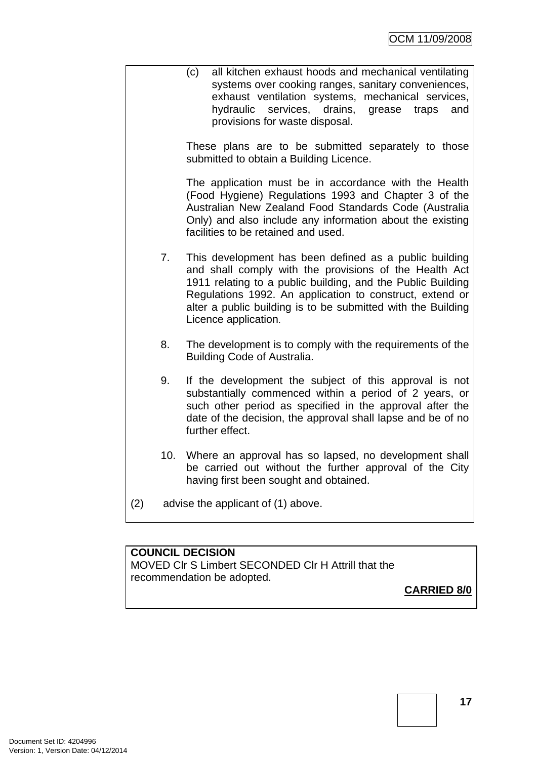(c) all kitchen exhaust hoods and mechanical ventilating systems over cooking ranges, sanitary conveniences, exhaust ventilation systems, mechanical services, hydraulic services, drains, grease traps and provisions for waste disposal.

These plans are to be submitted separately to those submitted to obtain a Building Licence.

The application must be in accordance with the Health (Food Hygiene) Regulations 1993 and Chapter 3 of the Australian New Zealand Food Standards Code (Australia Only) and also include any information about the existing facilities to be retained and used.

- 7. This development has been defined as a public building and shall comply with the provisions of the Health Act 1911 relating to a public building, and the Public Building Regulations 1992. An application to construct, extend or alter a public building is to be submitted with the Building Licence application.
- 8. The development is to comply with the requirements of the Building Code of Australia.
- 9. If the development the subject of this approval is not substantially commenced within a period of 2 years, or such other period as specified in the approval after the date of the decision, the approval shall lapse and be of no further effect.
- 10. Where an approval has so lapsed, no development shall be carried out without the further approval of the City having first been sought and obtained.
- (2) advise the applicant of (1) above.

# **COUNCIL DECISION**  MOVED Clr S Limbert SECONDED Clr H Attrill that the recommendation be adopted.

Document Set ID: 4204996<br>Version: 1, Version Date: 04/12/2014

**CARRIED 8/0**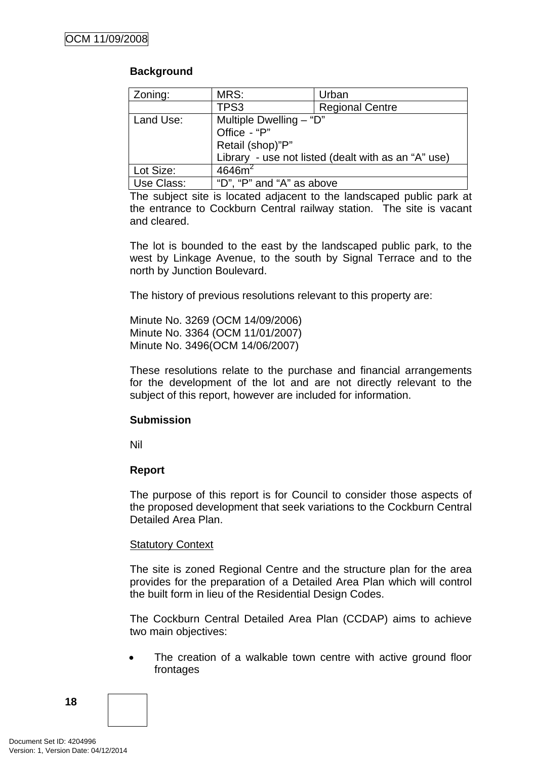# **Background**

| Zoning:                              | MRS:                      | Urban                                               |
|--------------------------------------|---------------------------|-----------------------------------------------------|
|                                      | TPS3                      | <b>Regional Centre</b>                              |
| Multiple Dwelling - "D"<br>Land Use: |                           |                                                     |
|                                      | Office - "P"              |                                                     |
|                                      | Retail (shop)"P"          |                                                     |
|                                      |                           | Library - use not listed (dealt with as an "A" use) |
| Lot Size:                            | $4646m^2$                 |                                                     |
| Use Class:                           | "D", "P" and "A" as above |                                                     |

The subject site is located adjacent to the landscaped public park at the entrance to Cockburn Central railway station. The site is vacant and cleared.

The lot is bounded to the east by the landscaped public park, to the west by Linkage Avenue, to the south by Signal Terrace and to the north by Junction Boulevard.

The history of previous resolutions relevant to this property are:

Minute No. 3269 (OCM 14/09/2006) Minute No. 3364 (OCM 11/01/2007) Minute No. 3496(OCM 14/06/2007)

These resolutions relate to the purchase and financial arrangements for the development of the lot and are not directly relevant to the subject of this report, however are included for information.

# **Submission**

Nil

# **Report**

The purpose of this report is for Council to consider those aspects of the proposed development that seek variations to the Cockburn Central Detailed Area Plan.

### **Statutory Context**

The site is zoned Regional Centre and the structure plan for the area provides for the preparation of a Detailed Area Plan which will control the built form in lieu of the Residential Design Codes.

The Cockburn Central Detailed Area Plan (CCDAP) aims to achieve two main objectives:

• The creation of a walkable town centre with active ground floor frontages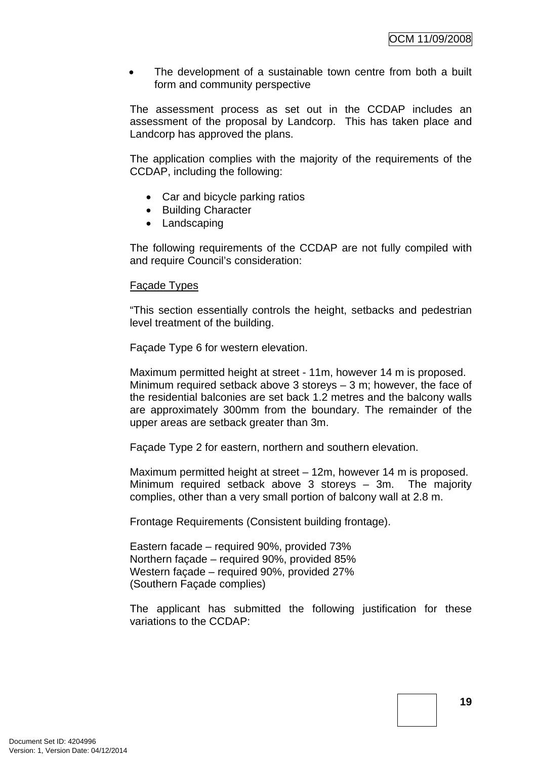• The development of a sustainable town centre from both a built form and community perspective

The assessment process as set out in the CCDAP includes an assessment of the proposal by Landcorp. This has taken place and Landcorp has approved the plans.

The application complies with the majority of the requirements of the CCDAP, including the following:

- Car and bicycle parking ratios
- Building Character
- Landscaping

The following requirements of the CCDAP are not fully compiled with and require Council's consideration:

### Façade Types

"This section essentially controls the height, setbacks and pedestrian level treatment of the building.

Façade Type 6 for western elevation.

Maximum permitted height at street - 11m, however 14 m is proposed. Minimum required setback above 3 storeys – 3 m; however, the face of the residential balconies are set back 1.2 metres and the balcony walls are approximately 300mm from the boundary. The remainder of the upper areas are setback greater than 3m.

Façade Type 2 for eastern, northern and southern elevation.

Maximum permitted height at street – 12m, however 14 m is proposed. Minimum required setback above 3 storeys – 3m. The majority complies, other than a very small portion of balcony wall at 2.8 m.

Frontage Requirements (Consistent building frontage).

Eastern facade – required 90%, provided 73% Northern façade – required 90%, provided 85% Western façade – required 90%, provided 27% (Southern Façade complies)

The applicant has submitted the following justification for these variations to the CCDAP: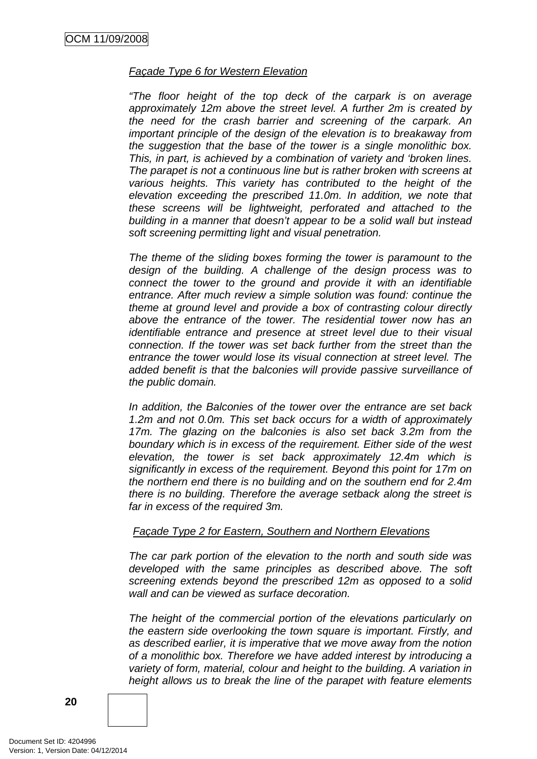### *Façade Type 6 for Western Elevation*

*"The floor height of the top deck of the carpark is on average approximately 12m above the street level. A further 2m is created by the need for the crash barrier and screening of the carpark. An important principle of the design of the elevation is to breakaway from the suggestion that the base of the tower is a single monolithic box. This, in part, is achieved by a combination of variety and 'broken lines. The parapet is not a continuous line but is rather broken with screens at various heights. This variety has contributed to the height of the elevation exceeding the prescribed 11.0m. In addition, we note that these screens will be lightweight, perforated and attached to the building in a manner that doesn't appear to be a solid wall but instead soft screening permitting light and visual penetration.* 

*The theme of the sliding boxes forming the tower is paramount to the design of the building. A challenge of the design process was to connect the tower to the ground and provide it with an identifiable entrance. After much review a simple solution was found: continue the theme at ground level and provide a box of contrasting colour directly above the entrance of the tower. The residential tower now has an identifiable entrance and presence at street level due to their visual connection. If the tower was set back further from the street than the entrance the tower would lose its visual connection at street level. The added benefit is that the balconies will provide passive surveillance of the public domain.* 

*In addition, the Balconies of the tower over the entrance are set back 1.2m and not 0.0m. This set back occurs for a width of approximately 17m. The glazing on the balconies is also set back 3.2m from the boundary which is in excess of the requirement. Either side of the west elevation, the tower is set back approximately 12.4m which is significantly in excess of the requirement. Beyond this point for 17m on the northern end there is no building and on the southern end for 2.4m there is no building. Therefore the average setback along the street is far in excess of the required 3m.* 

#### *Façade Type 2 for Eastern, Southern and Northern Elevations*

*The car park portion of the elevation to the north and south side was developed with the same principles as described above. The soft screening extends beyond the prescribed 12m as opposed to a solid wall and can be viewed as surface decoration.* 

*The height of the commercial portion of the elevations particularly on the eastern side overlooking the town square is important. Firstly, and as described earlier, it is imperative that we move away from the notion of a monolithic box. Therefore we have added interest by introducing a variety of form, material, colour and height to the building. A variation in height allows us to break the line of the parapet with feature elements*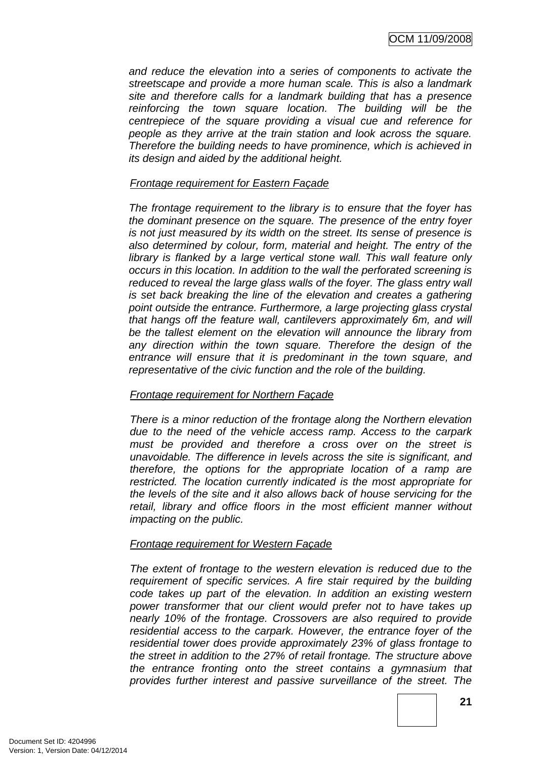*and reduce the elevation into a series of components to activate the streetscape and provide a more human scale. This is also a landmark site and therefore calls for a landmark building that has a presence*  reinforcing the town square location. The building will be the *centrepiece of the square providing a visual cue and reference for people as they arrive at the train station and look across the square. Therefore the building needs to have prominence, which is achieved in its design and aided by the additional height.* 

### *Frontage requirement for Eastern Façade*

*The frontage requirement to the library is to ensure that the foyer has the dominant presence on the square. The presence of the entry foyer is not just measured by its width on the street. Its sense of presence is also determined by colour, form, material and height. The entry of the library is flanked by a large vertical stone wall. This wall feature only occurs in this location. In addition to the wall the perforated screening is reduced to reveal the large glass walls of the foyer. The glass entry wall is set back breaking the line of the elevation and creates a gathering point outside the entrance. Furthermore, a large projecting glass crystal that hangs off the feature wall, cantilevers approximately 6m, and will be the tallest element on the elevation will announce the library from any direction within the town square. Therefore the design of the entrance will ensure that it is predominant in the town square, and representative of the civic function and the role of the building.* 

### *Frontage requirement for Northern Façade*

*There is a minor reduction of the frontage along the Northern elevation due to the need of the vehicle access ramp. Access to the carpark must be provided and therefore a cross over on the street is unavoidable. The difference in levels across the site is significant, and therefore, the options for the appropriate location of a ramp are restricted. The location currently indicated is the most appropriate for the levels of the site and it also allows back of house servicing for the retail, library and office floors in the most efficient manner without impacting on the public.* 

### *Frontage requirement for Western Façade*

*The extent of frontage to the western elevation is reduced due to the requirement of specific services. A fire stair required by the building code takes up part of the elevation. In addition an existing western power transformer that our client would prefer not to have takes up nearly 10% of the frontage. Crossovers are also required to provide residential access to the carpark. However, the entrance foyer of the residential tower does provide approximately 23% of glass frontage to the street in addition to the 27% of retail frontage. The structure above the entrance fronting onto the street contains a gymnasium that provides further interest and passive surveillance of the street. The*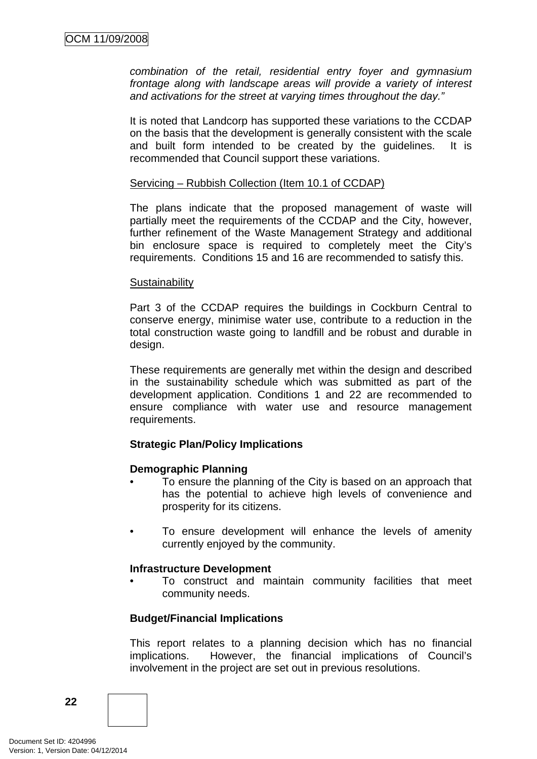*combination of the retail, residential entry foyer and gymnasium frontage along with landscape areas will provide a variety of interest and activations for the street at varying times throughout the day."* 

It is noted that Landcorp has supported these variations to the CCDAP on the basis that the development is generally consistent with the scale and built form intended to be created by the guidelines. It is recommended that Council support these variations.

### Servicing – Rubbish Collection (Item 10.1 of CCDAP)

The plans indicate that the proposed management of waste will partially meet the requirements of the CCDAP and the City, however, further refinement of the Waste Management Strategy and additional bin enclosure space is required to completely meet the City's requirements. Conditions 15 and 16 are recommended to satisfy this.

### **Sustainability**

Part 3 of the CCDAP requires the buildings in Cockburn Central to conserve energy, minimise water use, contribute to a reduction in the total construction waste going to landfill and be robust and durable in design.

These requirements are generally met within the design and described in the sustainability schedule which was submitted as part of the development application. Conditions 1 and 22 are recommended to ensure compliance with water use and resource management requirements.

### **Strategic Plan/Policy Implications**

### **Demographic Planning**

- To ensure the planning of the City is based on an approach that has the potential to achieve high levels of convenience and prosperity for its citizens.
- To ensure development will enhance the levels of amenity currently enjoyed by the community.

#### **Infrastructure Development**

• To construct and maintain community facilities that meet community needs.

### **Budget/Financial Implications**

This report relates to a planning decision which has no financial implications. However, the financial implications of Council's involvement in the project are set out in previous resolutions.

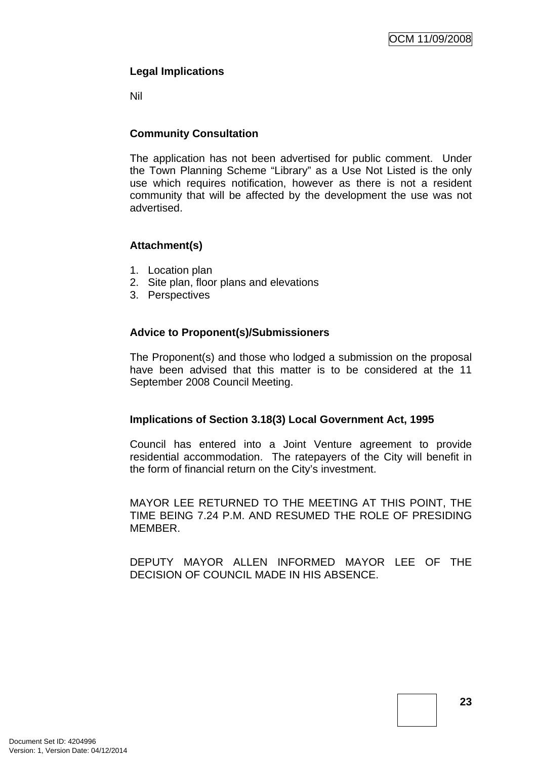# **Legal Implications**

Nil

# **Community Consultation**

The application has not been advertised for public comment. Under the Town Planning Scheme "Library" as a Use Not Listed is the only use which requires notification, however as there is not a resident community that will be affected by the development the use was not advertised.

# **Attachment(s)**

- 1. Location plan
- 2. Site plan, floor plans and elevations
- 3. Perspectives

# **Advice to Proponent(s)/Submissioners**

The Proponent(s) and those who lodged a submission on the proposal have been advised that this matter is to be considered at the 11 September 2008 Council Meeting.

### **Implications of Section 3.18(3) Local Government Act, 1995**

Council has entered into a Joint Venture agreement to provide residential accommodation. The ratepayers of the City will benefit in the form of financial return on the City's investment.

MAYOR LEE RETURNED TO THE MEETING AT THIS POINT, THE TIME BEING 7.24 P.M. AND RESUMED THE ROLE OF PRESIDING MEMBER.

DEPUTY MAYOR ALLEN INFORMED MAYOR LEE OF THE DECISION OF COUNCIL MADE IN HIS ABSENCE.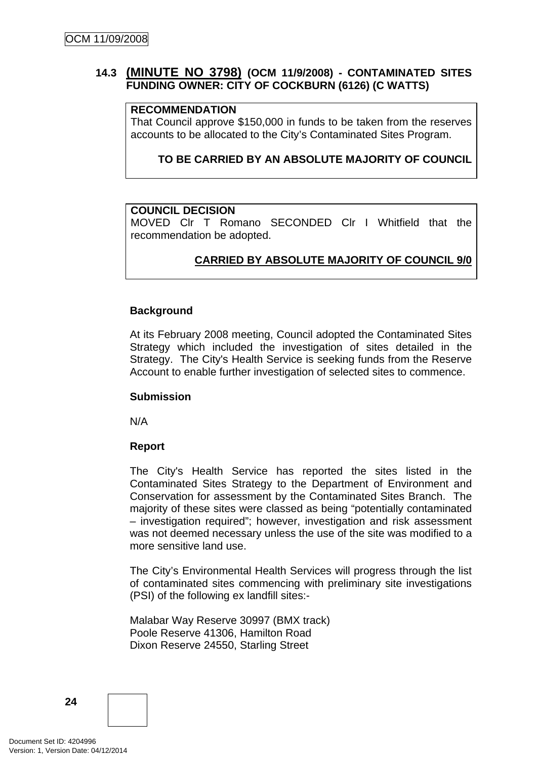# <span id="page-27-0"></span>**14.3 (MINUTE NO 3798) (OCM 11/9/2008) - CONTAMINATED SITES FUNDING OWNER: CITY OF COCKBURN (6126) (C WATTS)**

#### **RECOMMENDATION**

That Council approve \$150,000 in funds to be taken from the reserves accounts to be allocated to the City's Contaminated Sites Program.

# **TO BE CARRIED BY AN ABSOLUTE MAJORITY OF COUNCIL**

### **COUNCIL DECISION**

MOVED Clr T Romano SECONDED Clr I Whitfield that the recommendation be adopted.

# **CARRIED BY ABSOLUTE MAJORITY OF COUNCIL 9/0**

### **Background**

At its February 2008 meeting, Council adopted the Contaminated Sites Strategy which included the investigation of sites detailed in the Strategy. The City's Health Service is seeking funds from the Reserve Account to enable further investigation of selected sites to commence.

#### **Submission**

N/A

### **Report**

The City's Health Service has reported the sites listed in the Contaminated Sites Strategy to the Department of Environment and Conservation for assessment by the Contaminated Sites Branch. The majority of these sites were classed as being "potentially contaminated – investigation required"; however, investigation and risk assessment was not deemed necessary unless the use of the site was modified to a more sensitive land use.

The City's Environmental Health Services will progress through the list of contaminated sites commencing with preliminary site investigations (PSI) of the following ex landfill sites:-

Malabar Way Reserve 30997 (BMX track) Poole Reserve 41306, Hamilton Road Dixon Reserve 24550, Starling Street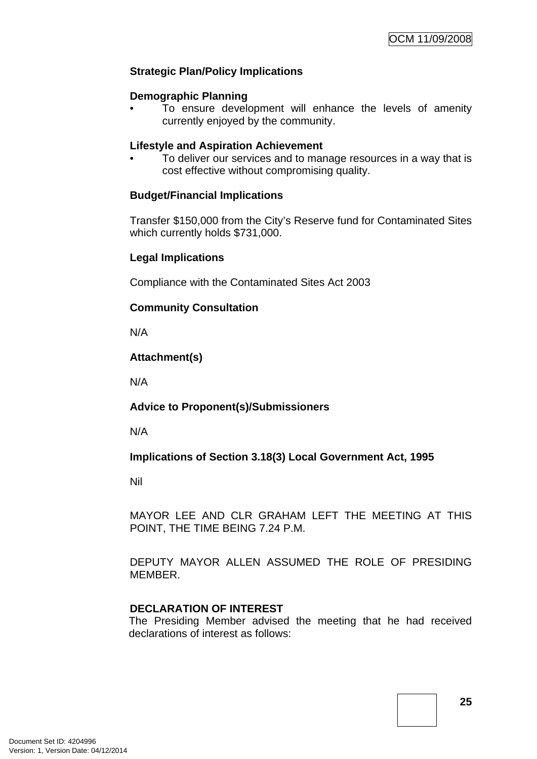# **Strategic Plan/Policy Implications**

### **Demographic Planning**

To ensure development will enhance the levels of amenity currently enjoyed by the community.

### **Lifestyle and Aspiration Achievement**

• To deliver our services and to manage resources in a way that is cost effective without compromising quality.

### **Budget/Financial Implications**

Transfer \$150,000 from the City's Reserve fund for Contaminated Sites which currently holds \$731,000.

### **Legal Implications**

Compliance with the Contaminated Sites Act 2003

### **Community Consultation**

N/A

### **Attachment(s)**

N/A

### **Advice to Proponent(s)/Submissioners**

N/A

### **Implications of Section 3.18(3) Local Government Act, 1995**

Nil

MAYOR LEE AND CLR GRAHAM LEFT THE MEETING AT THIS POINT, THE TIME BEING 7.24 P.M.

DEPUTY MAYOR ALLEN ASSUMED THE ROLE OF PRESIDING MEMBER.

### **DECLARATION OF INTEREST**

The Presiding Member advised the meeting that he had received declarations of interest as follows: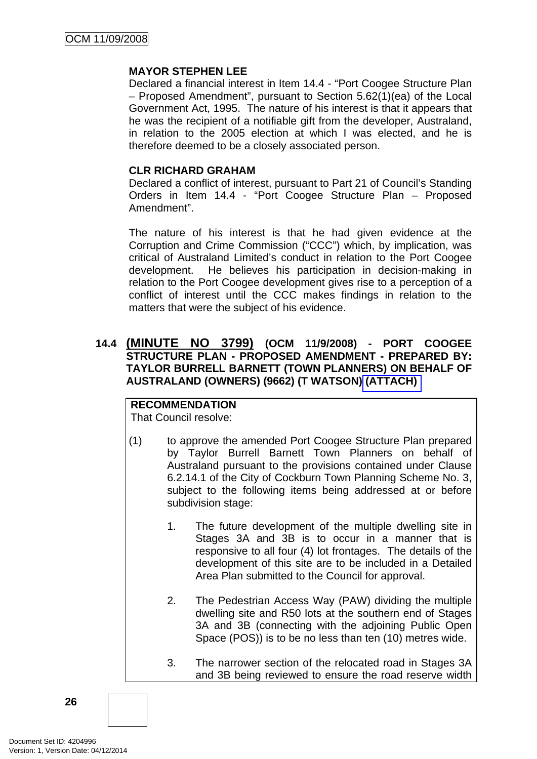### **MAYOR STEPHEN LEE**

Declared a financial interest in Item 14.4 - "Port Coogee Structure Plan – Proposed Amendment", pursuant to Section 5.62(1)(ea) of the Local Government Act, 1995. The nature of his interest is that it appears that he was the recipient of a notifiable gift from the developer, Australand, in relation to the 2005 election at which I was elected, and he is therefore deemed to be a closely associated person.

### **CLR RICHARD GRAHAM**

Declared a conflict of interest, pursuant to Part 21 of Council's Standing Orders in Item 14.4 - "Port Coogee Structure Plan – Proposed Amendment".

The nature of his interest is that he had given evidence at the Corruption and Crime Commission ("CCC") which, by implication, was critical of Australand Limited's conduct in relation to the Port Coogee development. He believes his participation in decision-making in relation to the Port Coogee development gives rise to a perception of a conflict of interest until the CCC makes findings in relation to the matters that were the subject of his evidence.

# <span id="page-29-0"></span>**14.4 (MINUTE NO 3799) (OCM 11/9/2008) - PORT COOGEE STRUCTURE PLAN - PROPOSED AMENDMENT - PREPARED BY: TAYLOR BURRELL BARNETT (TOWN PLANNERS) ON BEHALF OF AUSTRALAND (OWNERS) (9662) (T WATSON) (ATTACH)**

## **RECOMMENDATION**

That Council resolve:

- (1) to approve the amended Port Coogee Structure Plan prepared by Taylor Burrell Barnett Town Planners on behalf of Australand pursuant to the provisions contained under Clause 6.2.14.1 of the City of Cockburn Town Planning Scheme No. 3, subject to the following items being addressed at or before subdivision stage:
	- 1. The future development of the multiple dwelling site in Stages 3A and 3B is to occur in a manner that is responsive to all four (4) lot frontages. The details of the development of this site are to be included in a Detailed Area Plan submitted to the Council for approval.
	- 2. The Pedestrian Access Way (PAW) dividing the multiple dwelling site and R50 lots at the southern end of Stages 3A and 3B (connecting with the adjoining Public Open Space (POS)) is to be no less than ten (10) metres wide.
	- 3. The narrower section of the relocated road in Stages 3A and 3B being reviewed to ensure the road reserve width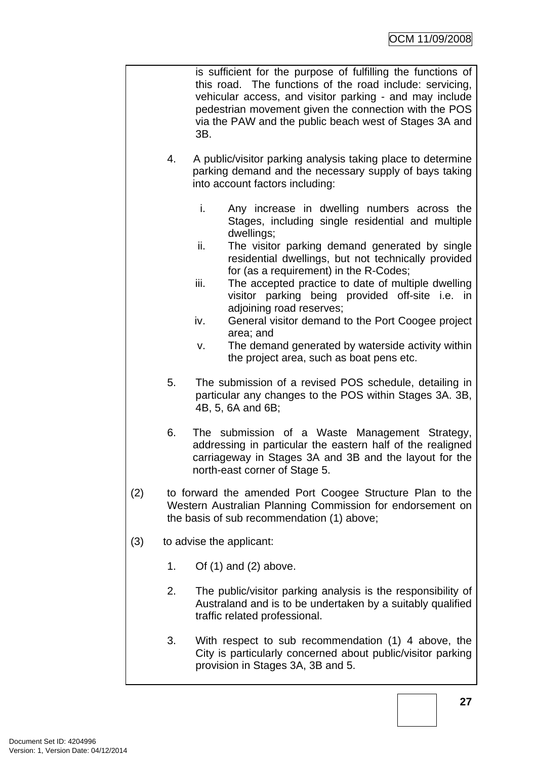|     |    | is sufficient for the purpose of fulfilling the functions of<br>this road. The functions of the road include: servicing,<br>vehicular access, and visitor parking - and may include<br>pedestrian movement given the connection with the POS<br>via the PAW and the public beach west of Stages 3A and<br>3B.                                                                                                                                                                                                                                                                                               |  |  |
|-----|----|-------------------------------------------------------------------------------------------------------------------------------------------------------------------------------------------------------------------------------------------------------------------------------------------------------------------------------------------------------------------------------------------------------------------------------------------------------------------------------------------------------------------------------------------------------------------------------------------------------------|--|--|
|     | 4. | A public/visitor parking analysis taking place to determine<br>parking demand and the necessary supply of bays taking<br>into account factors including:                                                                                                                                                                                                                                                                                                                                                                                                                                                    |  |  |
|     |    | i.<br>Any increase in dwelling numbers across the<br>Stages, including single residential and multiple<br>dwellings;<br>ii.<br>The visitor parking demand generated by single<br>residential dwellings, but not technically provided<br>for (as a requirement) in the R-Codes;<br>iii.<br>The accepted practice to date of multiple dwelling<br>visitor parking being provided off-site i.e. in<br>adjoining road reserves;<br>iv.<br>General visitor demand to the Port Coogee project<br>area; and<br>The demand generated by waterside activity within<br>٧.<br>the project area, such as boat pens etc. |  |  |
|     | 5. | The submission of a revised POS schedule, detailing in<br>particular any changes to the POS within Stages 3A. 3B,<br>4B, 5, 6A and 6B;                                                                                                                                                                                                                                                                                                                                                                                                                                                                      |  |  |
|     | 6. | The submission of a Waste Management Strategy,<br>addressing in particular the eastern half of the realigned<br>carriageway in Stages 3A and 3B and the layout for the<br>north-east corner of Stage 5.                                                                                                                                                                                                                                                                                                                                                                                                     |  |  |
| (2) |    | to forward the amended Port Coogee Structure Plan to the<br>Western Australian Planning Commission for endorsement on<br>the basis of sub recommendation (1) above;                                                                                                                                                                                                                                                                                                                                                                                                                                         |  |  |
| (3) |    | to advise the applicant:                                                                                                                                                                                                                                                                                                                                                                                                                                                                                                                                                                                    |  |  |
|     | 1. | Of $(1)$ and $(2)$ above.                                                                                                                                                                                                                                                                                                                                                                                                                                                                                                                                                                                   |  |  |
|     | 2. | The public/visitor parking analysis is the responsibility of<br>Australand and is to be undertaken by a suitably qualified<br>traffic related professional.                                                                                                                                                                                                                                                                                                                                                                                                                                                 |  |  |
|     | 3. | With respect to sub recommendation (1) 4 above, the                                                                                                                                                                                                                                                                                                                                                                                                                                                                                                                                                         |  |  |

City is particularly concerned about public/visitor parking

provision in Stages 3A, 3B and 5.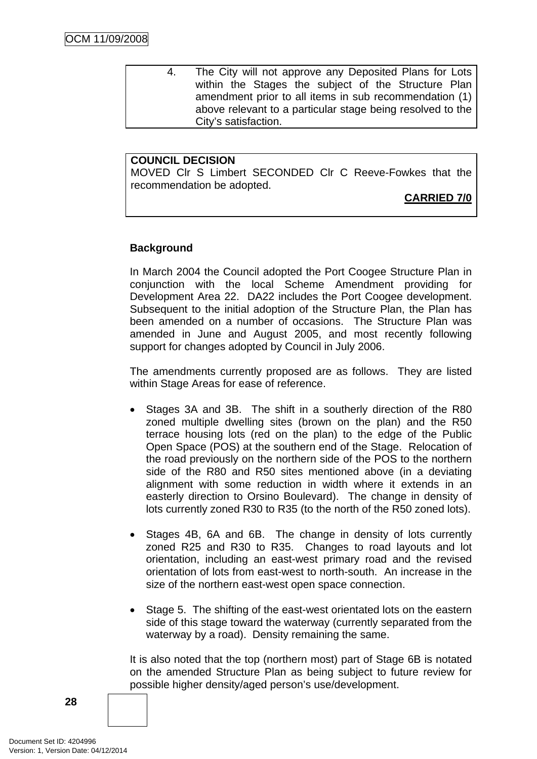4. The City will not approve any Deposited Plans for Lots within the Stages the subject of the Structure Plan amendment prior to all items in sub recommendation (1) above relevant to a particular stage being resolved to the City's satisfaction.

### **COUNCIL DECISION**  MOVED Clr S Limbert SECONDED Clr C Reeve-Fowkes that the recommendation be adopted.

# **CARRIED 7/0**

# **Background**

In March 2004 the Council adopted the Port Coogee Structure Plan in conjunction with the local Scheme Amendment providing for Development Area 22. DA22 includes the Port Coogee development. Subsequent to the initial adoption of the Structure Plan, the Plan has been amended on a number of occasions. The Structure Plan was amended in June and August 2005, and most recently following support for changes adopted by Council in July 2006.

The amendments currently proposed are as follows. They are listed within Stage Areas for ease of reference.

- Stages 3A and 3B. The shift in a southerly direction of the R80 zoned multiple dwelling sites (brown on the plan) and the R50 terrace housing lots (red on the plan) to the edge of the Public Open Space (POS) at the southern end of the Stage. Relocation of the road previously on the northern side of the POS to the northern side of the R80 and R50 sites mentioned above (in a deviating alignment with some reduction in width where it extends in an easterly direction to Orsino Boulevard). The change in density of lots currently zoned R30 to R35 (to the north of the R50 zoned lots).
- Stages 4B, 6A and 6B. The change in density of lots currently zoned R25 and R30 to R35. Changes to road layouts and lot orientation, including an east-west primary road and the revised orientation of lots from east-west to north-south. An increase in the size of the northern east-west open space connection.
- Stage 5. The shifting of the east-west orientated lots on the eastern side of this stage toward the waterway (currently separated from the waterway by a road). Density remaining the same.

It is also noted that the top (northern most) part of Stage 6B is notated on the amended Structure Plan as being subject to future review for possible higher density/aged person's use/development.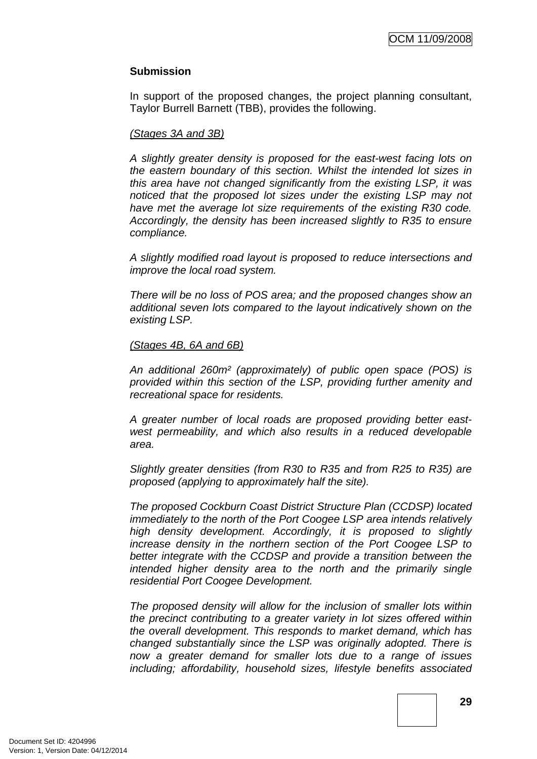# **Submission**

In support of the proposed changes, the project planning consultant, Taylor Burrell Barnett (TBB), provides the following.

### *(Stages 3A and 3B)*

*A slightly greater density is proposed for the east-west facing lots on the eastern boundary of this section. Whilst the intended lot sizes in this area have not changed significantly from the existing LSP, it was noticed that the proposed lot sizes under the existing LSP may not have met the average lot size requirements of the existing R30 code. Accordingly, the density has been increased slightly to R35 to ensure compliance.* 

*A slightly modified road layout is proposed to reduce intersections and improve the local road system.* 

*There will be no loss of POS area; and the proposed changes show an additional seven lots compared to the layout indicatively shown on the existing LSP.* 

### *(Stages 4B, 6A and 6B)*

*An additional 260m² (approximately) of public open space (POS) is provided within this section of the LSP, providing further amenity and recreational space for residents.* 

*A greater number of local roads are proposed providing better eastwest permeability, and which also results in a reduced developable area.* 

*Slightly greater densities (from R30 to R35 and from R25 to R35) are proposed (applying to approximately half the site).* 

*The proposed Cockburn Coast District Structure Plan (CCDSP) located immediately to the north of the Port Coogee LSP area intends relatively high density development. Accordingly, it is proposed to slightly increase density in the northern section of the Port Coogee LSP to better integrate with the CCDSP and provide a transition between the intended higher density area to the north and the primarily single residential Port Coogee Development.* 

*The proposed density will allow for the inclusion of smaller lots within the precinct contributing to a greater variety in lot sizes offered within the overall development. This responds to market demand, which has changed substantially since the LSP was originally adopted. There is now a greater demand for smaller lots due to a range of issues including; affordability, household sizes, lifestyle benefits associated*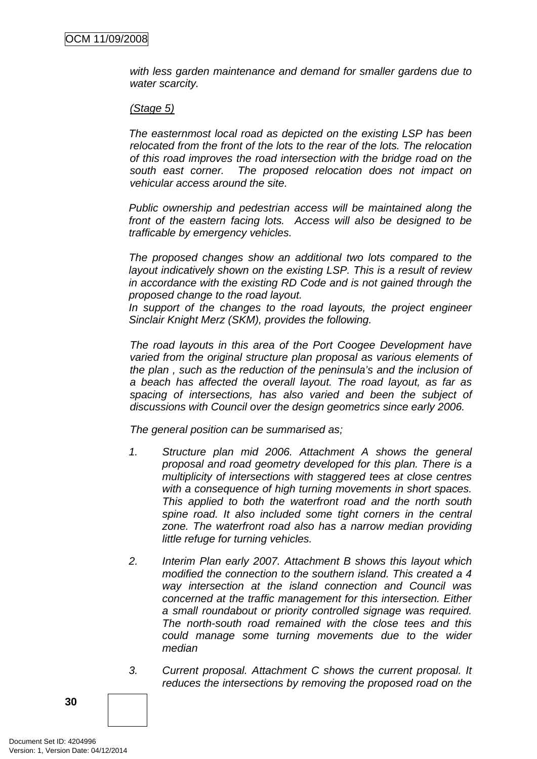*with less garden maintenance and demand for smaller gardens due to water scarcity.* 

### *(Stage 5)*

*The easternmost local road as depicted on the existing LSP has been relocated from the front of the lots to the rear of the lots. The relocation of this road improves the road intersection with the bridge road on the south east corner. The proposed relocation does not impact on vehicular access around the site.* 

*Public ownership and pedestrian access will be maintained along the front of the eastern facing lots. Access will also be designed to be trafficable by emergency vehicles.* 

*The proposed changes show an additional two lots compared to the layout indicatively shown on the existing LSP. This is a result of review in accordance with the existing RD Code and is not gained through the proposed change to the road layout.* 

In support of the changes to the road layouts, the project engineer *Sinclair Knight Merz (SKM), provides the following.* 

*The road layouts in this area of the Port Coogee Development have varied from the original structure plan proposal as various elements of the plan , such as the reduction of the peninsula's and the inclusion of a beach has affected the overall layout. The road layout, as far as spacing of intersections, has also varied and been the subject of discussions with Council over the design geometrics since early 2006.* 

*The general position can be summarised as;* 

- *1. Structure plan mid 2006. Attachment A shows the general proposal and road geometry developed for this plan. There is a multiplicity of intersections with staggered tees at close centres with a consequence of high turning movements in short spaces. This applied to both the waterfront road and the north south spine road. It also included some tight corners in the central*  zone. The waterfront road also has a narrow median providing *little refuge for turning vehicles.*
- *2. Interim Plan early 2007. Attachment B shows this layout which modified the connection to the southern island. This created a 4 way intersection at the island connection and Council was concerned at the traffic management for this intersection. Either a small roundabout or priority controlled signage was required. The north-south road remained with the close tees and this could manage some turning movements due to the wider median*
- *3. Current proposal. Attachment C shows the current proposal. It reduces the intersections by removing the proposed road on the*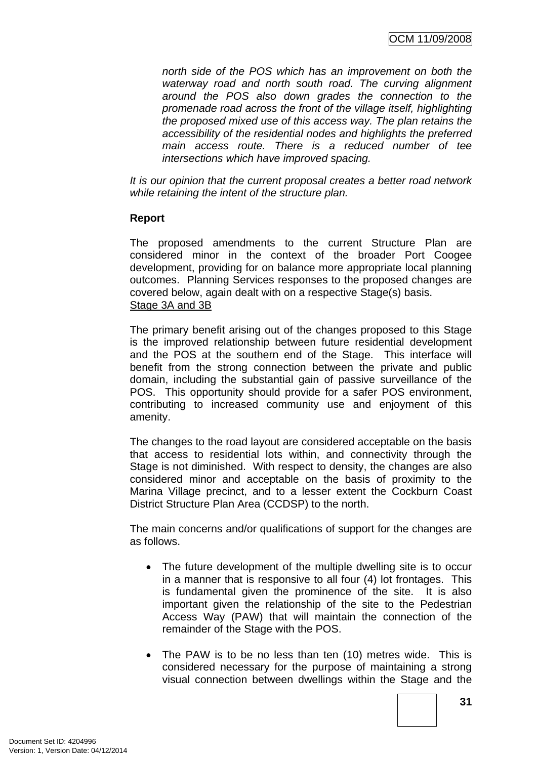*north side of the POS which has an improvement on both the waterway road and north south road. The curving alignment around the POS also down grades the connection to the promenade road across the front of the village itself, highlighting the proposed mixed use of this access way. The plan retains the accessibility of the residential nodes and highlights the preferred main access route. There is a reduced number of tee intersections which have improved spacing.* 

*It is our opinion that the current proposal creates a better road network while retaining the intent of the structure plan.* 

### **Report**

The proposed amendments to the current Structure Plan are considered minor in the context of the broader Port Coogee development, providing for on balance more appropriate local planning outcomes. Planning Services responses to the proposed changes are covered below, again dealt with on a respective Stage(s) basis. Stage 3A and 3B

The primary benefit arising out of the changes proposed to this Stage is the improved relationship between future residential development and the POS at the southern end of the Stage. This interface will benefit from the strong connection between the private and public domain, including the substantial gain of passive surveillance of the POS. This opportunity should provide for a safer POS environment, contributing to increased community use and enjoyment of this amenity.

The changes to the road layout are considered acceptable on the basis that access to residential lots within, and connectivity through the Stage is not diminished. With respect to density, the changes are also considered minor and acceptable on the basis of proximity to the Marina Village precinct, and to a lesser extent the Cockburn Coast District Structure Plan Area (CCDSP) to the north.

The main concerns and/or qualifications of support for the changes are as follows.

- The future development of the multiple dwelling site is to occur in a manner that is responsive to all four (4) lot frontages. This is fundamental given the prominence of the site. It is also important given the relationship of the site to the Pedestrian Access Way (PAW) that will maintain the connection of the remainder of the Stage with the POS.
- The PAW is to be no less than ten (10) metres wide. This is considered necessary for the purpose of maintaining a strong visual connection between dwellings within the Stage and the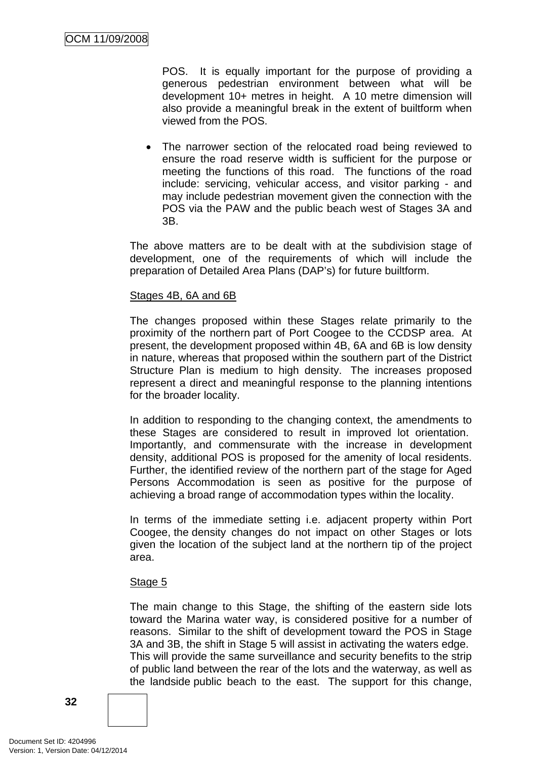POS. It is equally important for the purpose of providing a generous pedestrian environment between what will be development 10+ metres in height. A 10 metre dimension will also provide a meaningful break in the extent of builtform when viewed from the POS.

• The narrower section of the relocated road being reviewed to ensure the road reserve width is sufficient for the purpose or meeting the functions of this road. The functions of the road include: servicing, vehicular access, and visitor parking - and may include pedestrian movement given the connection with the POS via the PAW and the public beach west of Stages 3A and 3B.

The above matters are to be dealt with at the subdivision stage of development, one of the requirements of which will include the preparation of Detailed Area Plans (DAP's) for future builtform.

### Stages 4B, 6A and 6B

The changes proposed within these Stages relate primarily to the proximity of the northern part of Port Coogee to the CCDSP area. At present, the development proposed within 4B, 6A and 6B is low density in nature, whereas that proposed within the southern part of the District Structure Plan is medium to high density. The increases proposed represent a direct and meaningful response to the planning intentions for the broader locality.

In addition to responding to the changing context, the amendments to these Stages are considered to result in improved lot orientation. Importantly, and commensurate with the increase in development density, additional POS is proposed for the amenity of local residents. Further, the identified review of the northern part of the stage for Aged Persons Accommodation is seen as positive for the purpose of achieving a broad range of accommodation types within the locality.

In terms of the immediate setting i.e. adjacent property within Port Coogee, the density changes do not impact on other Stages or lots given the location of the subject land at the northern tip of the project area.

#### Stage 5

The main change to this Stage, the shifting of the eastern side lots toward the Marina water way, is considered positive for a number of reasons. Similar to the shift of development toward the POS in Stage 3A and 3B, the shift in Stage 5 will assist in activating the waters edge. This will provide the same surveillance and security benefits to the strip of public land between the rear of the lots and the waterway, as well as the landside public beach to the east. The support for this change,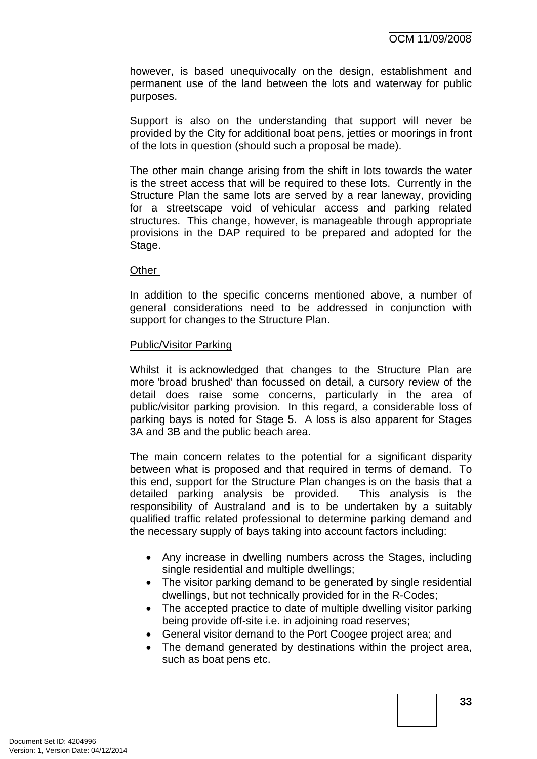however, is based unequivocally on the design, establishment and permanent use of the land between the lots and waterway for public purposes.

Support is also on the understanding that support will never be provided by the City for additional boat pens, jetties or moorings in front of the lots in question (should such a proposal be made).

The other main change arising from the shift in lots towards the water is the street access that will be required to these lots. Currently in the Structure Plan the same lots are served by a rear laneway, providing for a streetscape void of vehicular access and parking related structures. This change, however, is manageable through appropriate provisions in the DAP required to be prepared and adopted for the Stage.

#### **Other**

In addition to the specific concerns mentioned above, a number of general considerations need to be addressed in conjunction with support for changes to the Structure Plan.

#### Public/Visitor Parking

Whilst it is acknowledged that changes to the Structure Plan are more 'broad brushed' than focussed on detail, a cursory review of the detail does raise some concerns, particularly in the area of public/visitor parking provision. In this regard, a considerable loss of parking bays is noted for Stage 5. A loss is also apparent for Stages 3A and 3B and the public beach area.

The main concern relates to the potential for a significant disparity between what is proposed and that required in terms of demand. To this end, support for the Structure Plan changes is on the basis that a detailed parking analysis be provided. This analysis is the responsibility of Australand and is to be undertaken by a suitably qualified traffic related professional to determine parking demand and the necessary supply of bays taking into account factors including:

- Any increase in dwelling numbers across the Stages, including single residential and multiple dwellings;
- The visitor parking demand to be generated by single residential dwellings, but not technically provided for in the R-Codes;
- The accepted practice to date of multiple dwelling visitor parking being provide off-site i.e. in adjoining road reserves;
- General visitor demand to the Port Coogee project area; and
- The demand generated by destinations within the project area, such as boat pens etc.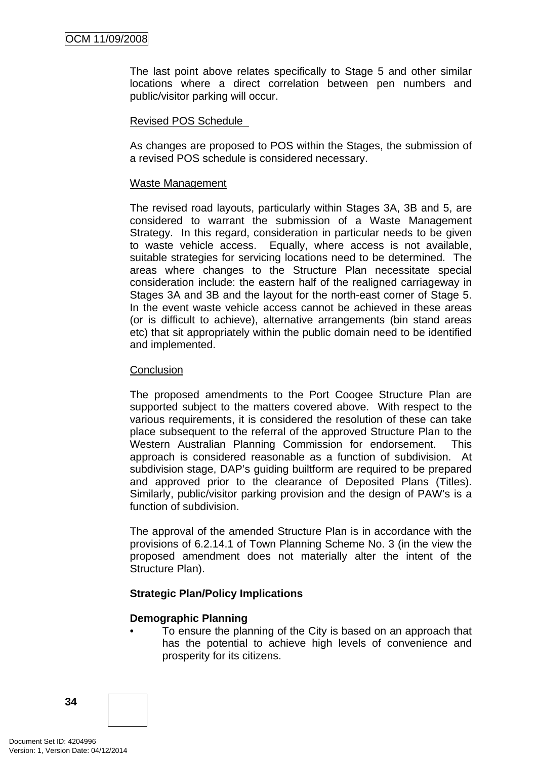The last point above relates specifically to Stage 5 and other similar locations where a direct correlation between pen numbers and public/visitor parking will occur.

#### Revised POS Schedule

As changes are proposed to POS within the Stages, the submission of a revised POS schedule is considered necessary.

#### Waste Management

The revised road layouts, particularly within Stages 3A, 3B and 5, are considered to warrant the submission of a Waste Management Strategy. In this regard, consideration in particular needs to be given to waste vehicle access. Equally, where access is not available, suitable strategies for servicing locations need to be determined. The areas where changes to the Structure Plan necessitate special consideration include: the eastern half of the realigned carriageway in Stages 3A and 3B and the layout for the north-east corner of Stage 5. In the event waste vehicle access cannot be achieved in these areas (or is difficult to achieve), alternative arrangements (bin stand areas etc) that sit appropriately within the public domain need to be identified and implemented.

#### **Conclusion**

The proposed amendments to the Port Coogee Structure Plan are supported subject to the matters covered above. With respect to the various requirements, it is considered the resolution of these can take place subsequent to the referral of the approved Structure Plan to the Western Australian Planning Commission for endorsement. This approach is considered reasonable as a function of subdivision. At subdivision stage, DAP's guiding builtform are required to be prepared and approved prior to the clearance of Deposited Plans (Titles). Similarly, public/visitor parking provision and the design of PAW's is a function of subdivision.

The approval of the amended Structure Plan is in accordance with the provisions of 6.2.14.1 of Town Planning Scheme No. 3 (in the view the proposed amendment does not materially alter the intent of the Structure Plan).

### **Strategic Plan/Policy Implications**

### **Demographic Planning**

• To ensure the planning of the City is based on an approach that has the potential to achieve high levels of convenience and prosperity for its citizens.

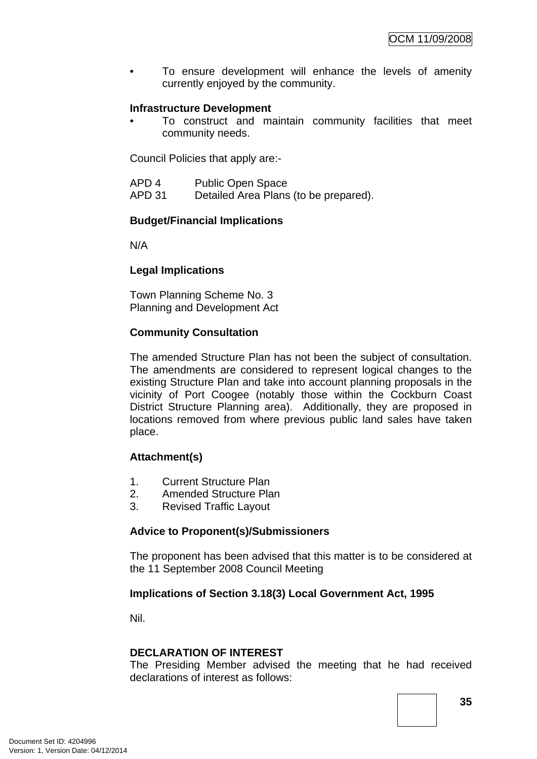To ensure development will enhance the levels of amenity currently enjoyed by the community.

### **Infrastructure Development**

• To construct and maintain community facilities that meet community needs.

Council Policies that apply are:-

| APD <sub>4</sub> | <b>Public Open Space</b> |
|------------------|--------------------------|
|------------------|--------------------------|

APD 31 Detailed Area Plans (to be prepared).

#### **Budget/Financial Implications**

N/A

#### **Legal Implications**

Town Planning Scheme No. 3 Planning and Development Act

### **Community Consultation**

The amended Structure Plan has not been the subject of consultation. The amendments are considered to represent logical changes to the existing Structure Plan and take into account planning proposals in the vicinity of Port Coogee (notably those within the Cockburn Coast District Structure Planning area). Additionally, they are proposed in locations removed from where previous public land sales have taken place.

### **Attachment(s)**

- 1. Current Structure Plan
- 2. Amended Structure Plan
- 3. Revised Traffic Layout

### **Advice to Proponent(s)/Submissioners**

The proponent has been advised that this matter is to be considered at the 11 September 2008 Council Meeting

### **Implications of Section 3.18(3) Local Government Act, 1995**

Nil.

#### **DECLARATION OF INTEREST**

The Presiding Member advised the meeting that he had received declarations of interest as follows: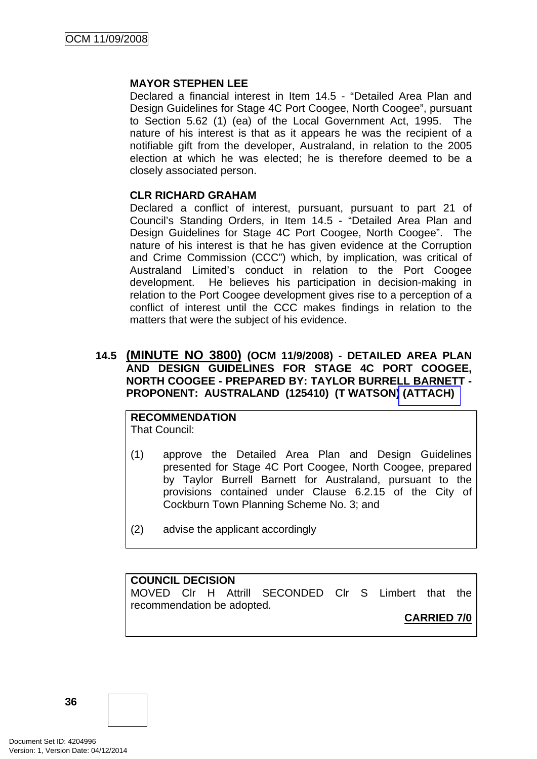#### **MAYOR STEPHEN LEE**

Declared a financial interest in Item 14.5 - "Detailed Area Plan and Design Guidelines for Stage 4C Port Coogee, North Coogee", pursuant to Section 5.62 (1) (ea) of the Local Government Act, 1995. The nature of his interest is that as it appears he was the recipient of a notifiable gift from the developer, Australand, in relation to the 2005 election at which he was elected; he is therefore deemed to be a closely associated person.

#### **CLR RICHARD GRAHAM**

Declared a conflict of interest, pursuant, pursuant to part 21 of Council's Standing Orders, in Item 14.5 - "Detailed Area Plan and Design Guidelines for Stage 4C Port Coogee, North Coogee". The nature of his interest is that he has given evidence at the Corruption and Crime Commission (CCC") which, by implication, was critical of Australand Limited's conduct in relation to the Port Coogee development. He believes his participation in decision-making in relation to the Port Coogee development gives rise to a perception of a conflict of interest until the CCC makes findings in relation to the matters that were the subject of his evidence.

### **14.5 (MINUTE NO 3800) (OCM 11/9/2008) - DETAILED AREA PLAN AND DESIGN GUIDELINES FOR STAGE 4C PORT COOGEE, NORTH COOGEE - PREPARED BY: TAYLOR BURRELL BARNETT - PROPONENT: AUSTRALAND (125410) (T WATSON) (ATTACH)**

**RECOMMENDATION** That Council:

- (1) approve the Detailed Area Plan and Design Guidelines presented for Stage 4C Port Coogee, North Coogee, prepared by Taylor Burrell Barnett for Australand, pursuant to the provisions contained under Clause 6.2.15 of the City of Cockburn Town Planning Scheme No. 3; and
- (2) advise the applicant accordingly

### **COUNCIL DECISION**

MOVED Clr H Attrill SECONDED Clr S Limbert that the recommendation be adopted.

**CARRIED 7/0**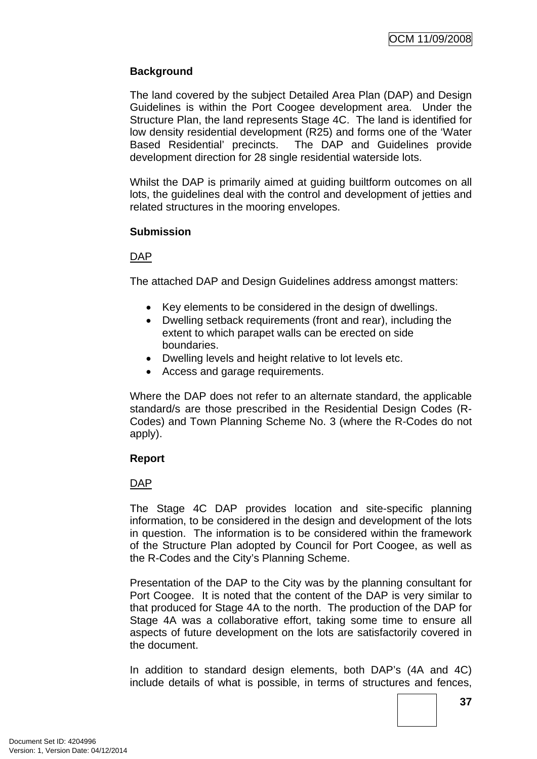# **Background**

The land covered by the subject Detailed Area Plan (DAP) and Design Guidelines is within the Port Coogee development area. Under the Structure Plan, the land represents Stage 4C. The land is identified for low density residential development (R25) and forms one of the 'Water Based Residential' precincts. The DAP and Guidelines provide development direction for 28 single residential waterside lots.

Whilst the DAP is primarily aimed at guiding builtform outcomes on all lots, the guidelines deal with the control and development of jetties and related structures in the mooring envelopes.

### **Submission**

### DAP

The attached DAP and Design Guidelines address amongst matters:

- Key elements to be considered in the design of dwellings.
- Dwelling setback requirements (front and rear), including the extent to which parapet walls can be erected on side boundaries.
- Dwelling levels and height relative to lot levels etc.
- Access and garage requirements.

Where the DAP does not refer to an alternate standard, the applicable standard/s are those prescribed in the Residential Design Codes (R-Codes) and Town Planning Scheme No. 3 (where the R-Codes do not apply).

### **Report**

### DAP

The Stage 4C DAP provides location and site-specific planning information, to be considered in the design and development of the lots in question. The information is to be considered within the framework of the Structure Plan adopted by Council for Port Coogee, as well as the R-Codes and the City's Planning Scheme.

Presentation of the DAP to the City was by the planning consultant for Port Coogee. It is noted that the content of the DAP is very similar to that produced for Stage 4A to the north. The production of the DAP for Stage 4A was a collaborative effort, taking some time to ensure all aspects of future development on the lots are satisfactorily covered in the document.

In addition to standard design elements, both DAP's (4A and 4C) include details of what is possible, in terms of structures and fences,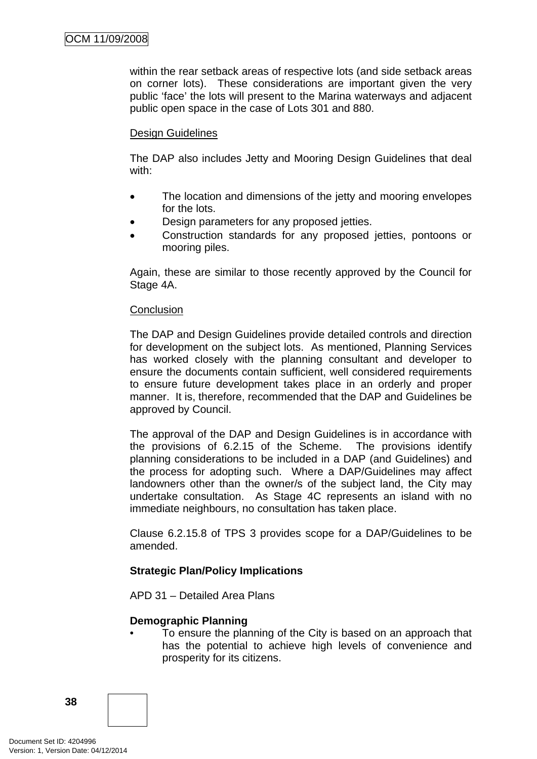within the rear setback areas of respective lots (and side setback areas on corner lots). These considerations are important given the very public 'face' the lots will present to the Marina waterways and adjacent public open space in the case of Lots 301 and 880.

### Design Guidelines

The DAP also includes Jetty and Mooring Design Guidelines that deal with:

- The location and dimensions of the jetty and mooring envelopes for the lots.
- Design parameters for any proposed jetties.
- Construction standards for any proposed jetties, pontoons or mooring piles.

Again, these are similar to those recently approved by the Council for Stage 4A.

#### **Conclusion**

The DAP and Design Guidelines provide detailed controls and direction for development on the subject lots. As mentioned, Planning Services has worked closely with the planning consultant and developer to ensure the documents contain sufficient, well considered requirements to ensure future development takes place in an orderly and proper manner. It is, therefore, recommended that the DAP and Guidelines be approved by Council.

The approval of the DAP and Design Guidelines is in accordance with the provisions of 6.2.15 of the Scheme. The provisions identify planning considerations to be included in a DAP (and Guidelines) and the process for adopting such. Where a DAP/Guidelines may affect landowners other than the owner/s of the subject land, the City may undertake consultation. As Stage 4C represents an island with no immediate neighbours, no consultation has taken place.

Clause 6.2.15.8 of TPS 3 provides scope for a DAP/Guidelines to be amended.

# **Strategic Plan/Policy Implications**

APD 31 – Detailed Area Plans

### **Demographic Planning**

• To ensure the planning of the City is based on an approach that has the potential to achieve high levels of convenience and prosperity for its citizens.

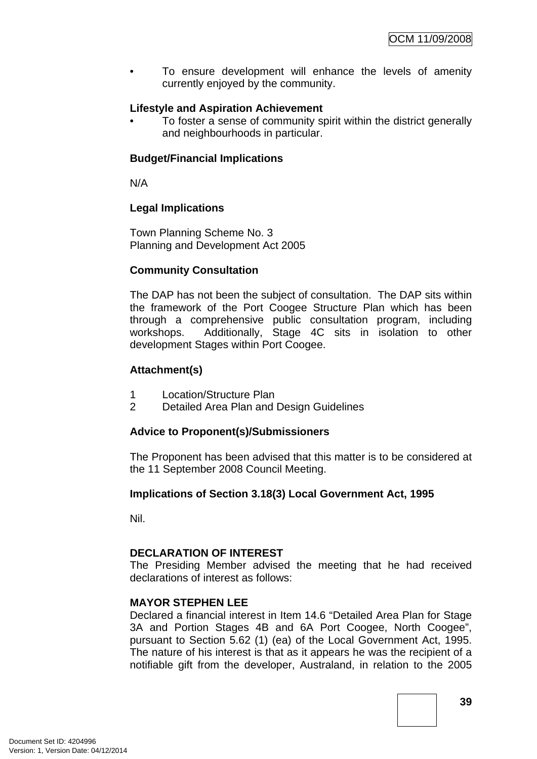To ensure development will enhance the levels of amenity currently enjoyed by the community.

# **Lifestyle and Aspiration Achievement**

• To foster a sense of community spirit within the district generally and neighbourhoods in particular.

# **Budget/Financial Implications**

N/A

### **Legal Implications**

Town Planning Scheme No. 3 Planning and Development Act 2005

### **Community Consultation**

The DAP has not been the subject of consultation. The DAP sits within the framework of the Port Coogee Structure Plan which has been through a comprehensive public consultation program, including workshops. Additionally, Stage 4C sits in isolation to other development Stages within Port Coogee.

### **Attachment(s)**

- 1 Location/Structure Plan
- 2 Detailed Area Plan and Design Guidelines

# **Advice to Proponent(s)/Submissioners**

The Proponent has been advised that this matter is to be considered at the 11 September 2008 Council Meeting.

### **Implications of Section 3.18(3) Local Government Act, 1995**

Nil.

### **DECLARATION OF INTEREST**

The Presiding Member advised the meeting that he had received declarations of interest as follows:

### **MAYOR STEPHEN LEE**

Declared a financial interest in Item 14.6 "Detailed Area Plan for Stage 3A and Portion Stages 4B and 6A Port Coogee, North Coogee", pursuant to Section 5.62 (1) (ea) of the Local Government Act, 1995. The nature of his interest is that as it appears he was the recipient of a notifiable gift from the developer, Australand, in relation to the 2005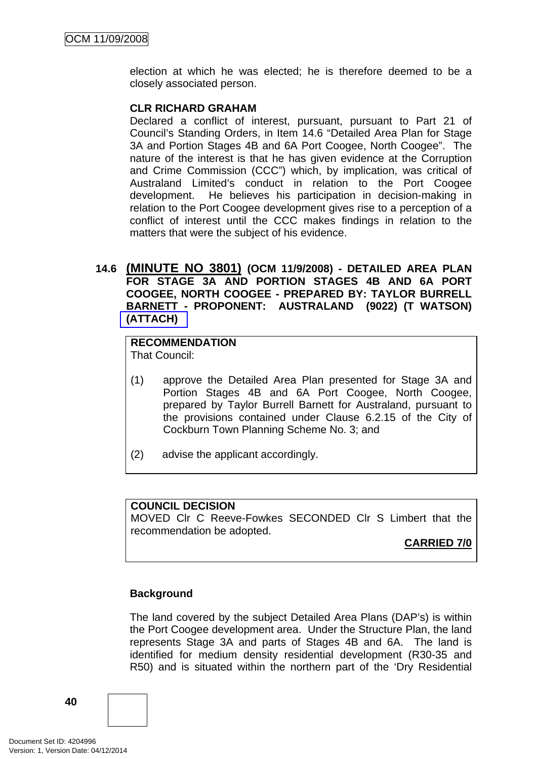election at which he was elected; he is therefore deemed to be a closely associated person.

#### **CLR RICHARD GRAHAM**

Declared a conflict of interest, pursuant, pursuant to Part 21 of Council's Standing Orders, in Item 14.6 "Detailed Area Plan for Stage 3A and Portion Stages 4B and 6A Port Coogee, North Coogee". The nature of the interest is that he has given evidence at the Corruption and Crime Commission (CCC") which, by implication, was critical of Australand Limited's conduct in relation to the Port Coogee development. He believes his participation in decision-making in relation to the Port Coogee development gives rise to a perception of a conflict of interest until the CCC makes findings in relation to the matters that were the subject of his evidence.

### **14.6 (MINUTE NO 3801) (OCM 11/9/2008) - DETAILED AREA PLAN FOR STAGE 3A AND PORTION STAGES 4B AND 6A PORT COOGEE, NORTH COOGEE - PREPARED BY: TAYLOR BURRELL BARNETT - PROPONENT: AUSTRALAND (9022) (T WATSON) (ATTACH)**

# **RECOMMENDATION**

That Council:

- (1) approve the Detailed Area Plan presented for Stage 3A and Portion Stages 4B and 6A Port Coogee, North Coogee, prepared by Taylor Burrell Barnett for Australand, pursuant to the provisions contained under Clause 6.2.15 of the City of Cockburn Town Planning Scheme No. 3; and
- (2) advise the applicant accordingly.

### **COUNCIL DECISION**

MOVED Clr C Reeve-Fowkes SECONDED Clr S Limbert that the recommendation be adopted.

**CARRIED 7/0**

### **Background**

The land covered by the subject Detailed Area Plans (DAP's) is within the Port Coogee development area. Under the Structure Plan, the land represents Stage 3A and parts of Stages 4B and 6A. The land is identified for medium density residential development (R30-35 and R50) and is situated within the northern part of the 'Dry Residential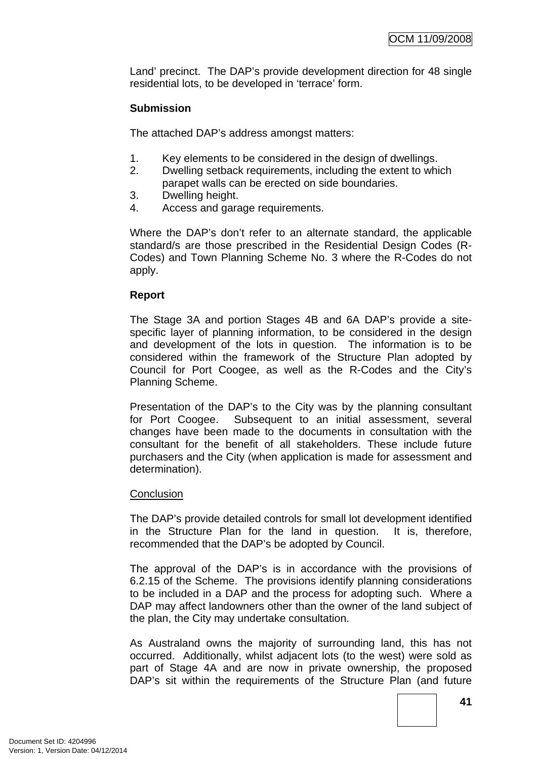Land' precinct. The DAP's provide development direction for 48 single residential lots, to be developed in 'terrace' form.

### **Submission**

The attached DAP's address amongst matters:

- 1. Key elements to be considered in the design of dwellings.
- 2. Dwelling setback requirements, including the extent to which parapet walls can be erected on side boundaries.
- 3. Dwelling height.
- 4. Access and garage requirements.

Where the DAP's don't refer to an alternate standard, the applicable standard/s are those prescribed in the Residential Design Codes (R-Codes) and Town Planning Scheme No. 3 where the R-Codes do not apply.

### **Report**

The Stage 3A and portion Stages 4B and 6A DAP's provide a sitespecific layer of planning information, to be considered in the design and development of the lots in question. The information is to be considered within the framework of the Structure Plan adopted by Council for Port Coogee, as well as the R-Codes and the City's Planning Scheme.

Presentation of the DAP's to the City was by the planning consultant for Port Coogee. Subsequent to an initial assessment, several changes have been made to the documents in consultation with the consultant for the benefit of all stakeholders. These include future purchasers and the City (when application is made for assessment and determination).

### **Conclusion**

The DAP's provide detailed controls for small lot development identified in the Structure Plan for the land in question. It is, therefore, recommended that the DAP's be adopted by Council.

The approval of the DAP's is in accordance with the provisions of 6.2.15 of the Scheme. The provisions identify planning considerations to be included in a DAP and the process for adopting such. Where a DAP may affect landowners other than the owner of the land subject of the plan, the City may undertake consultation.

As Australand owns the majority of surrounding land, this has not occurred. Additionally, whilst adjacent lots (to the west) were sold as part of Stage 4A and are now in private ownership, the proposed DAP's sit within the requirements of the Structure Plan (and future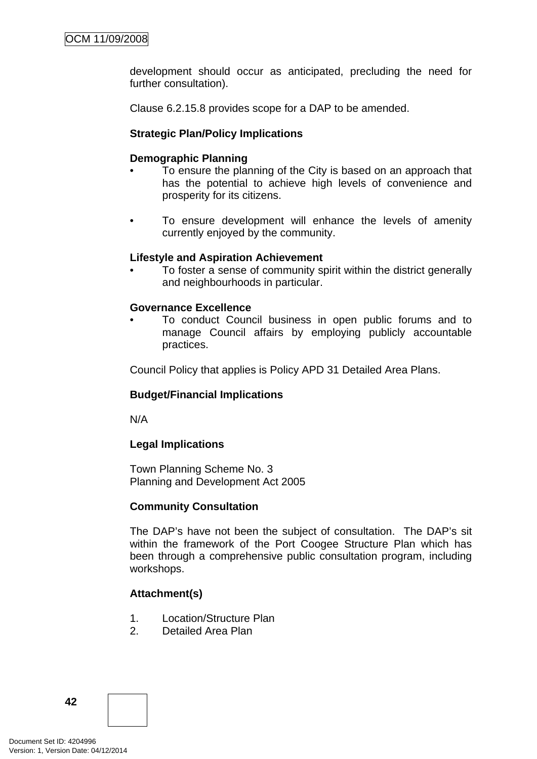development should occur as anticipated, precluding the need for further consultation).

Clause 6.2.15.8 provides scope for a DAP to be amended.

### **Strategic Plan/Policy Implications**

### **Demographic Planning**

- To ensure the planning of the City is based on an approach that has the potential to achieve high levels of convenience and prosperity for its citizens.
- To ensure development will enhance the levels of amenity currently enjoyed by the community.

### **Lifestyle and Aspiration Achievement**

• To foster a sense of community spirit within the district generally and neighbourhoods in particular.

### **Governance Excellence**

• To conduct Council business in open public forums and to manage Council affairs by employing publicly accountable practices.

Council Policy that applies is Policy APD 31 Detailed Area Plans.

### **Budget/Financial Implications**

N/A

### **Legal Implications**

Town Planning Scheme No. 3 Planning and Development Act 2005

### **Community Consultation**

The DAP's have not been the subject of consultation. The DAP's sit within the framework of the Port Coogee Structure Plan which has been through a comprehensive public consultation program, including workshops.

# **Attachment(s)**

- 1. Location/Structure Plan
- 2. Detailed Area Plan

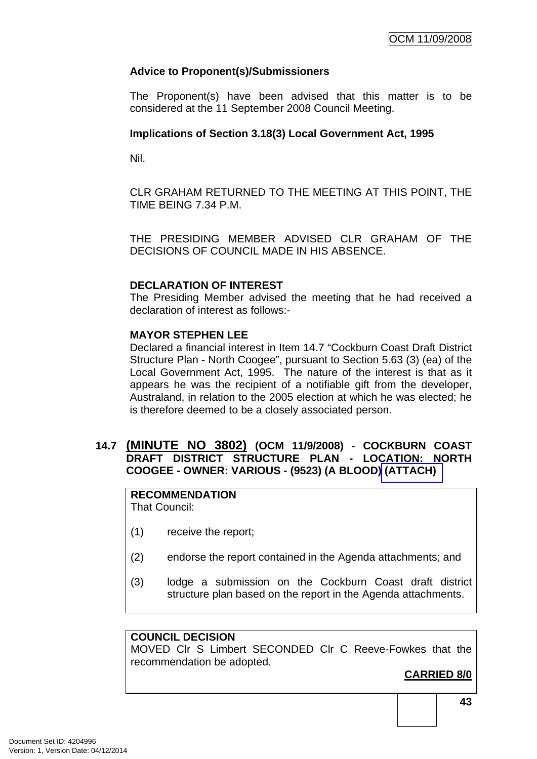### **Advice to Proponent(s)/Submissioners**

The Proponent(s) have been advised that this matter is to be considered at the 11 September 2008 Council Meeting.

### **Implications of Section 3.18(3) Local Government Act, 1995**

Nil.

CLR GRAHAM RETURNED TO THE MEETING AT THIS POINT, THE TIME BEING 7.34 P.M.

THE PRESIDING MEMBER ADVISED CLR GRAHAM OF THE DECISIONS OF COUNCIL MADE IN HIS ABSENCE.

### **DECLARATION OF INTEREST**

The Presiding Member advised the meeting that he had received a declaration of interest as follows:-

### **MAYOR STEPHEN LEE**

Declared a financial interest in Item 14.7 "Cockburn Coast Draft District Structure Plan - North Coogee", pursuant to Section 5.63 (3) (ea) of the Local Government Act, 1995. The nature of the interest is that as it appears he was the recipient of a notifiable gift from the developer, Australand, in relation to the 2005 election at which he was elected; he is therefore deemed to be a closely associated person.

### **14.7 (MINUTE NO 3802) (OCM 11/9/2008) - COCKBURN COAST DRAFT DISTRICT STRUCTURE PLAN - LOCATION: NORTH COOGEE - OWNER: VARIOUS - (9523) (A BLOOD) (ATTACH)**

#### **RECOMMENDATION** That Council:

- (1) receive the report;
- (2) endorse the report contained in the Agenda attachments; and
- (3) lodge a submission on the Cockburn Coast draft district structure plan based on the report in the Agenda attachments.

### **COUNCIL DECISION**

MOVED Clr S Limbert SECONDED Clr C Reeve-Fowkes that the recommendation be adopted.

**CARRIED 8/0**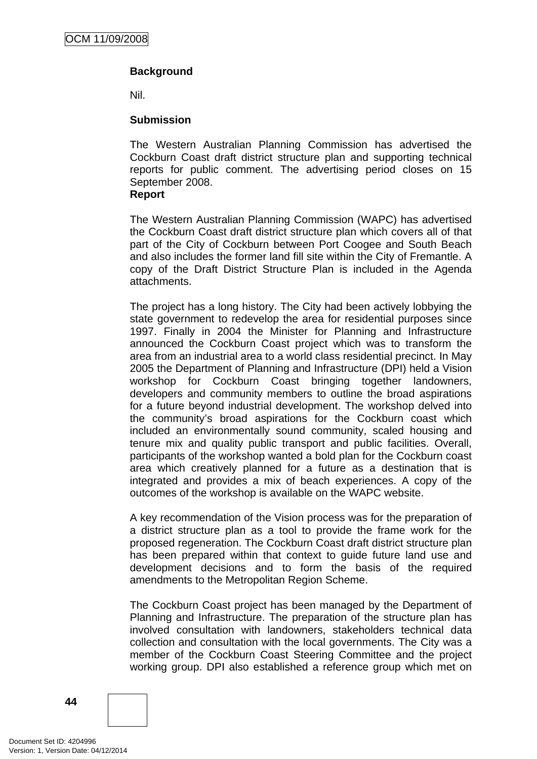# **Background**

Nil.

#### **Submission**

The Western Australian Planning Commission has advertised the Cockburn Coast draft district structure plan and supporting technical reports for public comment. The advertising period closes on 15 September 2008.

### **Report**

The Western Australian Planning Commission (WAPC) has advertised the Cockburn Coast draft district structure plan which covers all of that part of the City of Cockburn between Port Coogee and South Beach and also includes the former land fill site within the City of Fremantle. A copy of the Draft District Structure Plan is included in the Agenda attachments.

The project has a long history. The City had been actively lobbying the state government to redevelop the area for residential purposes since 1997. Finally in 2004 the Minister for Planning and Infrastructure announced the Cockburn Coast project which was to transform the area from an industrial area to a world class residential precinct. In May 2005 the Department of Planning and Infrastructure (DPI) held a Vision workshop for Cockburn Coast bringing together landowners, developers and community members to outline the broad aspirations for a future beyond industrial development. The workshop delved into the community's broad aspirations for the Cockburn coast which included an environmentally sound community, scaled housing and tenure mix and quality public transport and public facilities. Overall, participants of the workshop wanted a bold plan for the Cockburn coast area which creatively planned for a future as a destination that is integrated and provides a mix of beach experiences. A copy of the outcomes of the workshop is available on the WAPC website.

A key recommendation of the Vision process was for the preparation of a district structure plan as a tool to provide the frame work for the proposed regeneration. The Cockburn Coast draft district structure plan has been prepared within that context to guide future land use and development decisions and to form the basis of the required amendments to the Metropolitan Region Scheme.

The Cockburn Coast project has been managed by the Department of Planning and Infrastructure. The preparation of the structure plan has involved consultation with landowners, stakeholders technical data collection and consultation with the local governments. The City was a member of the Cockburn Coast Steering Committee and the project working group. DPI also established a reference group which met on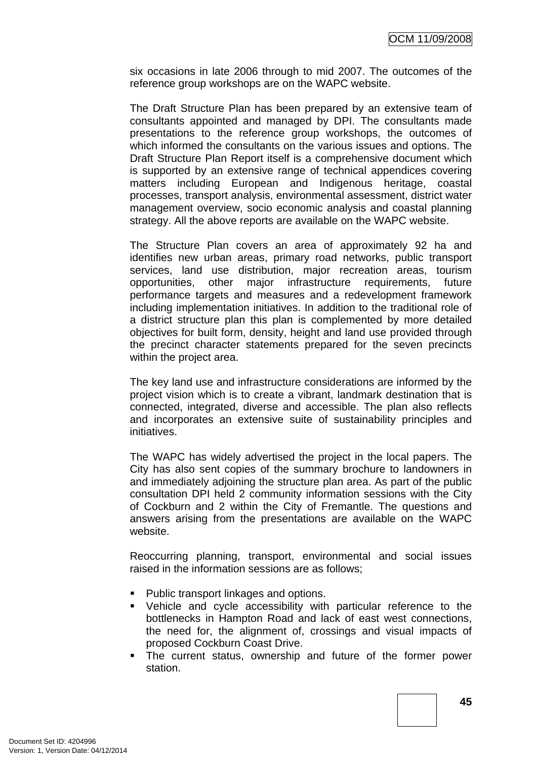six occasions in late 2006 through to mid 2007. The outcomes of the reference group workshops are on the WAPC website.

The Draft Structure Plan has been prepared by an extensive team of consultants appointed and managed by DPI. The consultants made presentations to the reference group workshops, the outcomes of which informed the consultants on the various issues and options. The Draft Structure Plan Report itself is a comprehensive document which is supported by an extensive range of technical appendices covering matters including European and Indigenous heritage, coastal processes, transport analysis, environmental assessment, district water management overview, socio economic analysis and coastal planning strategy. All the above reports are available on the WAPC website.

The Structure Plan covers an area of approximately 92 ha and identifies new urban areas, primary road networks, public transport services, land use distribution, major recreation areas, tourism opportunities, other major infrastructure requirements, future performance targets and measures and a redevelopment framework including implementation initiatives. In addition to the traditional role of a district structure plan this plan is complemented by more detailed objectives for built form, density, height and land use provided through the precinct character statements prepared for the seven precincts within the project area.

The key land use and infrastructure considerations are informed by the project vision which is to create a vibrant, landmark destination that is connected, integrated, diverse and accessible. The plan also reflects and incorporates an extensive suite of sustainability principles and initiatives.

The WAPC has widely advertised the project in the local papers. The City has also sent copies of the summary brochure to landowners in and immediately adjoining the structure plan area. As part of the public consultation DPI held 2 community information sessions with the City of Cockburn and 2 within the City of Fremantle. The questions and answers arising from the presentations are available on the WAPC website.

Reoccurring planning, transport, environmental and social issues raised in the information sessions are as follows;

- **Public transport linkages and options.**
- Vehicle and cycle accessibility with particular reference to the bottlenecks in Hampton Road and lack of east west connections, the need for, the alignment of, crossings and visual impacts of proposed Cockburn Coast Drive.
- The current status, ownership and future of the former power station.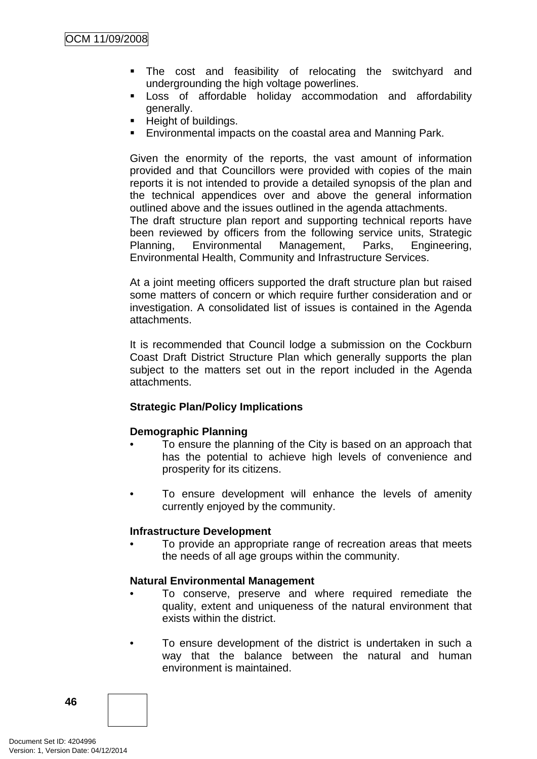- The cost and feasibility of relocating the switchyard and undergrounding the high voltage powerlines.
- Loss of affordable holiday accommodation and affordability generally.
- **Height of buildings.**
- **Environmental impacts on the coastal area and Manning Park.**

Given the enormity of the reports, the vast amount of information provided and that Councillors were provided with copies of the main reports it is not intended to provide a detailed synopsis of the plan and the technical appendices over and above the general information outlined above and the issues outlined in the agenda attachments.

The draft structure plan report and supporting technical reports have been reviewed by officers from the following service units, Strategic Planning, Environmental Management, Parks, Engineering, Environmental Health, Community and Infrastructure Services.

At a joint meeting officers supported the draft structure plan but raised some matters of concern or which require further consideration and or investigation. A consolidated list of issues is contained in the Agenda attachments.

It is recommended that Council lodge a submission on the Cockburn Coast Draft District Structure Plan which generally supports the plan subject to the matters set out in the report included in the Agenda attachments.

# **Strategic Plan/Policy Implications**

# **Demographic Planning**

- To ensure the planning of the City is based on an approach that has the potential to achieve high levels of convenience and prosperity for its citizens.
- To ensure development will enhance the levels of amenity currently enjoyed by the community.

### **Infrastructure Development**

• To provide an appropriate range of recreation areas that meets the needs of all age groups within the community.

# **Natural Environmental Management**

- To conserve, preserve and where required remediate the quality, extent and uniqueness of the natural environment that exists within the district.
- To ensure development of the district is undertaken in such a way that the balance between the natural and human environment is maintained.

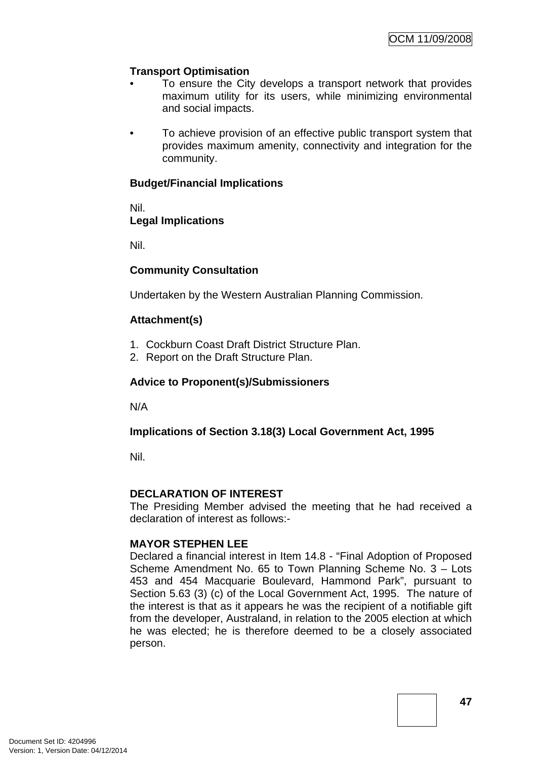# **Transport Optimisation**

- To ensure the City develops a transport network that provides maximum utility for its users, while minimizing environmental and social impacts.
- To achieve provision of an effective public transport system that provides maximum amenity, connectivity and integration for the community.

### **Budget/Financial Implications**

Nil.

# **Legal Implications**

Nil.

### **Community Consultation**

Undertaken by the Western Australian Planning Commission.

# **Attachment(s)**

- 1. Cockburn Coast Draft District Structure Plan.
- 2. Report on the Draft Structure Plan.

# **Advice to Proponent(s)/Submissioners**

N/A

# **Implications of Section 3.18(3) Local Government Act, 1995**

Nil.

### **DECLARATION OF INTEREST**

The Presiding Member advised the meeting that he had received a declaration of interest as follows:-

### **MAYOR STEPHEN LEE**

Declared a financial interest in Item 14.8 - "Final Adoption of Proposed Scheme Amendment No. 65 to Town Planning Scheme No. 3 – Lots 453 and 454 Macquarie Boulevard, Hammond Park", pursuant to Section 5.63 (3) (c) of the Local Government Act, 1995. The nature of the interest is that as it appears he was the recipient of a notifiable gift from the developer, Australand, in relation to the 2005 election at which he was elected; he is therefore deemed to be a closely associated person.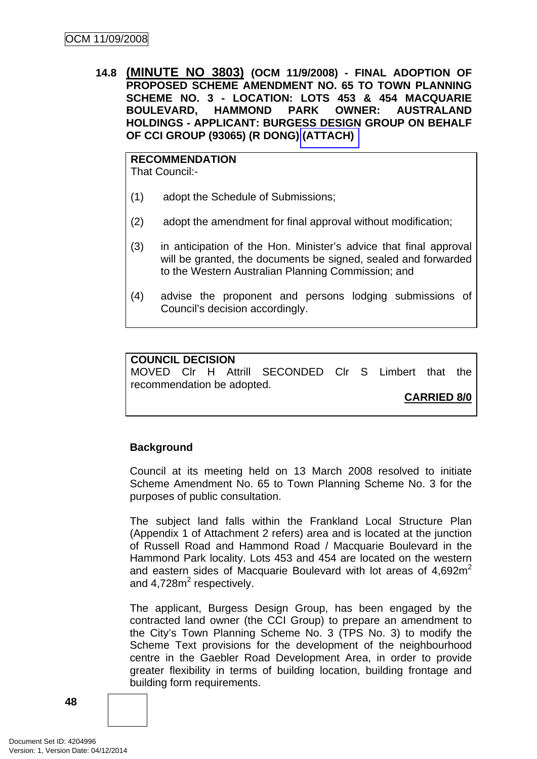**14.8 (MINUTE NO 3803) (OCM 11/9/2008) - FINAL ADOPTION OF PROPOSED SCHEME AMENDMENT NO. 65 TO TOWN PLANNING SCHEME NO. 3 - LOCATION: LOTS 453 & 454 MACQUARIE BOULEVARD, HAMMOND PARK OWNER: AUSTRALAND HOLDINGS - APPLICANT: BURGESS DESIGN GROUP ON BEHALF OF CCI GROUP (93065) (R DONG) (ATTACH)** 

**RECOMMENDATION** That Council:-

- (1) adopt the Schedule of Submissions;
- (2) adopt the amendment for final approval without modification;
- (3) in anticipation of the Hon. Minister's advice that final approval will be granted, the documents be signed, sealed and forwarded to the Western Australian Planning Commission; and
- (4) advise the proponent and persons lodging submissions of Council's decision accordingly.

### **COUNCIL DECISION**

MOVED Clr H Attrill SECONDED Clr S Limbert that the recommendation be adopted.

**CARRIED 8/0**

### **Background**

Council at its meeting held on 13 March 2008 resolved to initiate Scheme Amendment No. 65 to Town Planning Scheme No. 3 for the purposes of public consultation.

The subject land falls within the Frankland Local Structure Plan (Appendix 1 of Attachment 2 refers) area and is located at the junction of Russell Road and Hammond Road / Macquarie Boulevard in the Hammond Park locality. Lots 453 and 454 are located on the western and eastern sides of Macquarie Boulevard with lot areas of  $4.692m<sup>2</sup>$ and  $4,728m^2$  respectively.

The applicant, Burgess Design Group, has been engaged by the contracted land owner (the CCI Group) to prepare an amendment to the City's Town Planning Scheme No. 3 (TPS No. 3) to modify the Scheme Text provisions for the development of the neighbourhood centre in the Gaebler Road Development Area, in order to provide greater flexibility in terms of building location, building frontage and building form requirements.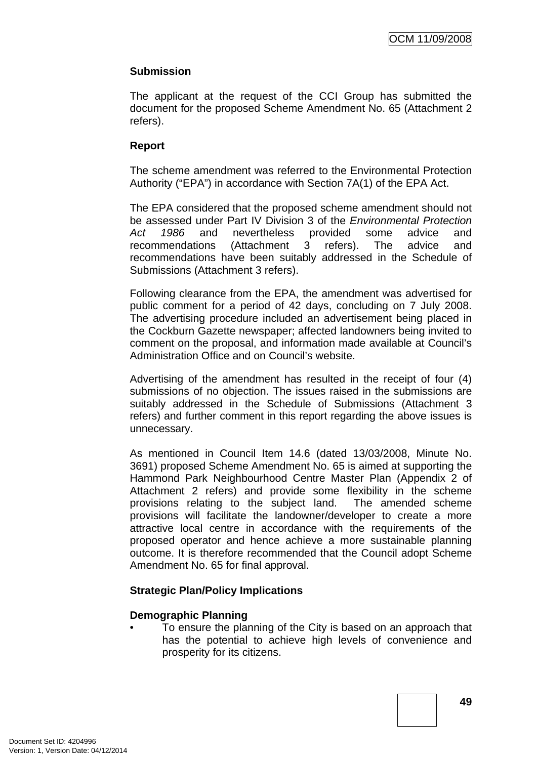### **Submission**

The applicant at the request of the CCI Group has submitted the document for the proposed Scheme Amendment No. 65 (Attachment 2 refers).

#### **Report**

The scheme amendment was referred to the Environmental Protection Authority ("EPA") in accordance with Section 7A(1) of the EPA Act.

The EPA considered that the proposed scheme amendment should not be assessed under Part IV Division 3 of the *Environmental Protection Act 1986* and nevertheless provided some advice and recommendations (Attachment 3 refers). The advice and recommendations have been suitably addressed in the Schedule of Submissions (Attachment 3 refers).

Following clearance from the EPA, the amendment was advertised for public comment for a period of 42 days, concluding on 7 July 2008. The advertising procedure included an advertisement being placed in the Cockburn Gazette newspaper; affected landowners being invited to comment on the proposal, and information made available at Council's Administration Office and on Council's website.

Advertising of the amendment has resulted in the receipt of four (4) submissions of no objection. The issues raised in the submissions are suitably addressed in the Schedule of Submissions (Attachment 3 refers) and further comment in this report regarding the above issues is unnecessary.

As mentioned in Council Item 14.6 (dated 13/03/2008, Minute No. 3691) proposed Scheme Amendment No. 65 is aimed at supporting the Hammond Park Neighbourhood Centre Master Plan (Appendix 2 of Attachment 2 refers) and provide some flexibility in the scheme provisions relating to the subject land. The amended scheme provisions will facilitate the landowner/developer to create a more attractive local centre in accordance with the requirements of the proposed operator and hence achieve a more sustainable planning outcome. It is therefore recommended that the Council adopt Scheme Amendment No. 65 for final approval.

### **Strategic Plan/Policy Implications**

### **Demographic Planning**

• To ensure the planning of the City is based on an approach that has the potential to achieve high levels of convenience and prosperity for its citizens.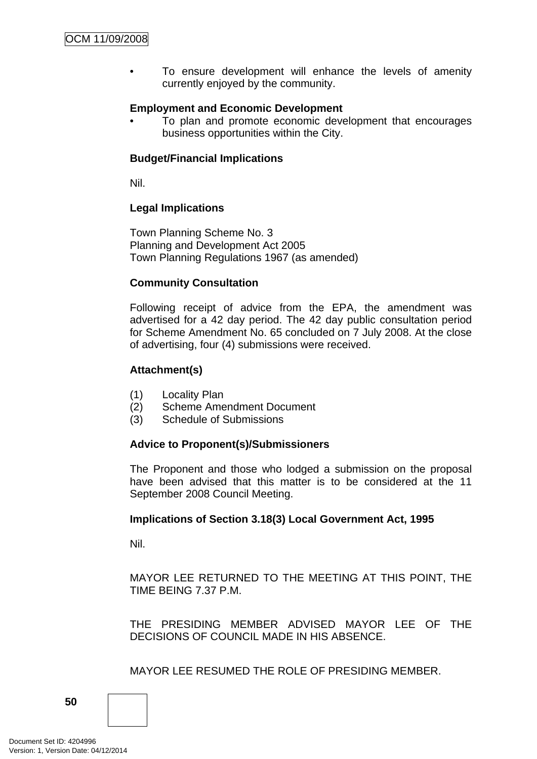To ensure development will enhance the levels of amenity currently enjoyed by the community.

# **Employment and Economic Development**

• To plan and promote economic development that encourages business opportunities within the City.

# **Budget/Financial Implications**

Nil.

### **Legal Implications**

Town Planning Scheme No. 3 Planning and Development Act 2005 Town Planning Regulations 1967 (as amended)

### **Community Consultation**

Following receipt of advice from the EPA, the amendment was advertised for a 42 day period. The 42 day public consultation period for Scheme Amendment No. 65 concluded on 7 July 2008. At the close of advertising, four (4) submissions were received.

### **Attachment(s)**

- (1) Locality Plan
- (2) Scheme Amendment Document
- (3) Schedule of Submissions

# **Advice to Proponent(s)/Submissioners**

The Proponent and those who lodged a submission on the proposal have been advised that this matter is to be considered at the 11 September 2008 Council Meeting.

# **Implications of Section 3.18(3) Local Government Act, 1995**

Nil.

MAYOR LEE RETURNED TO THE MEETING AT THIS POINT, THE TIME BEING 7.37 P.M.

THE PRESIDING MEMBER ADVISED MAYOR LEE OF THE DECISIONS OF COUNCIL MADE IN HIS ABSENCE.

MAYOR LEE RESUMED THE ROLE OF PRESIDING MEMBER.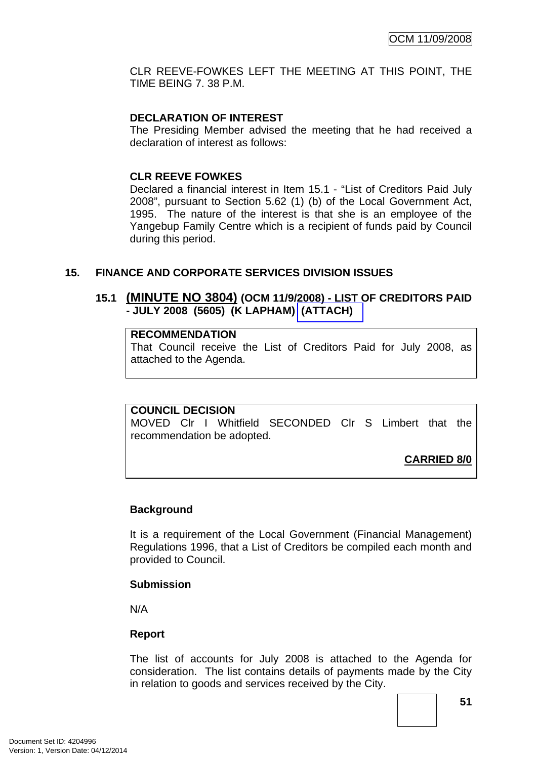CLR REEVE-FOWKES LEFT THE MEETING AT THIS POINT, THE TIME BEING 7. 38 P.M.

### **DECLARATION OF INTEREST**

The Presiding Member advised the meeting that he had received a declaration of interest as follows:

#### **CLR REEVE FOWKES**

Declared a financial interest in Item 15.1 - "List of Creditors Paid July 2008", pursuant to Section 5.62 (1) (b) of the Local Government Act, 1995. The nature of the interest is that she is an employee of the Yangebup Family Centre which is a recipient of funds paid by Council during this period.

# **15. FINANCE AND CORPORATE SERVICES DIVISION ISSUES**

### **15.1 (MINUTE NO 3804) (OCM 11/9/2008) - LIST OF CREDITORS PAID - JULY 2008 (5605) (K LAPHAM) (ATTACH)**

# **RECOMMENDATION**

That Council receive the List of Creditors Paid for July 2008, as attached to the Agenda.

### **COUNCIL DECISION**

MOVED Clr I Whitfield SECONDED Clr S Limbert that the recommendation be adopted.

**CARRIED 8/0**

### **Background**

It is a requirement of the Local Government (Financial Management) Regulations 1996, that a List of Creditors be compiled each month and provided to Council.

#### **Submission**

N/A

### **Report**

The list of accounts for July 2008 is attached to the Agenda for consideration. The list contains details of payments made by the City in relation to goods and services received by the City.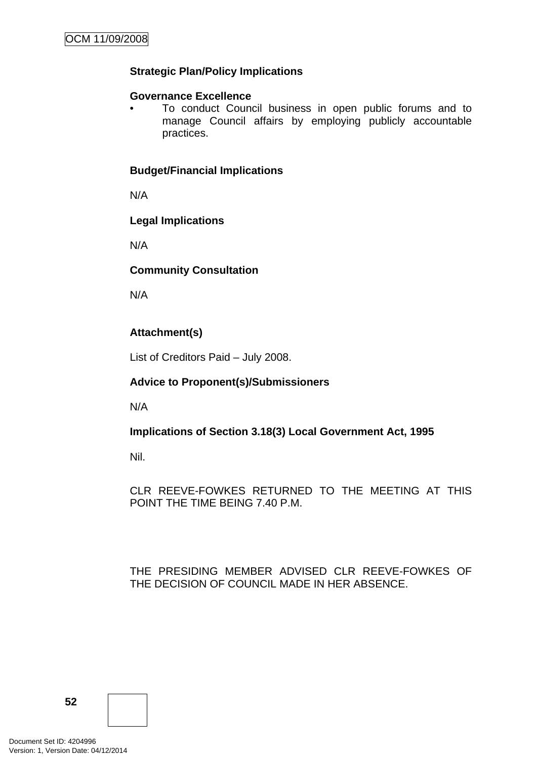# **Strategic Plan/Policy Implications**

#### **Governance Excellence**

• To conduct Council business in open public forums and to manage Council affairs by employing publicly accountable practices.

### **Budget/Financial Implications**

N/A

### **Legal Implications**

N/A

### **Community Consultation**

N/A

# **Attachment(s)**

List of Creditors Paid – July 2008.

# **Advice to Proponent(s)/Submissioners**

N/A

### **Implications of Section 3.18(3) Local Government Act, 1995**

Nil.

CLR REEVE-FOWKES RETURNED TO THE MEETING AT THIS POINT THE TIME BEING 7.40 P.M.

THE PRESIDING MEMBER ADVISED CLR REEVE-FOWKES OF THE DECISION OF COUNCIL MADE IN HER ABSENCE.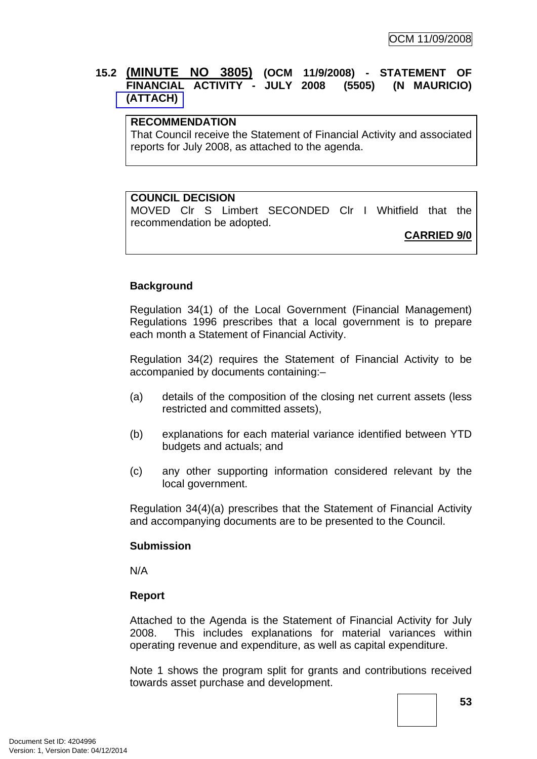### **15.2 (MINUTE NO 3805) (OCM 11/9/2008) - STATEMENT OF FINANCIAL ACTIVITY - JULY 2008 (5505) (N MAURICIO) (ATTACH)**

### **RECOMMENDATION**

That Council receive the Statement of Financial Activity and associated reports for July 2008, as attached to the agenda.

### **COUNCIL DECISION**

MOVED Clr S Limbert SECONDED Clr I Whitfield that the recommendation be adopted.

**CARRIED 9/0**

### **Background**

Regulation 34(1) of the Local Government (Financial Management) Regulations 1996 prescribes that a local government is to prepare each month a Statement of Financial Activity.

Regulation 34(2) requires the Statement of Financial Activity to be accompanied by documents containing:–

- (a) details of the composition of the closing net current assets (less restricted and committed assets),
- (b) explanations for each material variance identified between YTD budgets and actuals; and
- (c) any other supporting information considered relevant by the local government.

Regulation 34(4)(a) prescribes that the Statement of Financial Activity and accompanying documents are to be presented to the Council.

### **Submission**

N/A

### **Report**

Attached to the Agenda is the Statement of Financial Activity for July 2008. This includes explanations for material variances within operating revenue and expenditure, as well as capital expenditure.

Note 1 shows the program split for grants and contributions received towards asset purchase and development.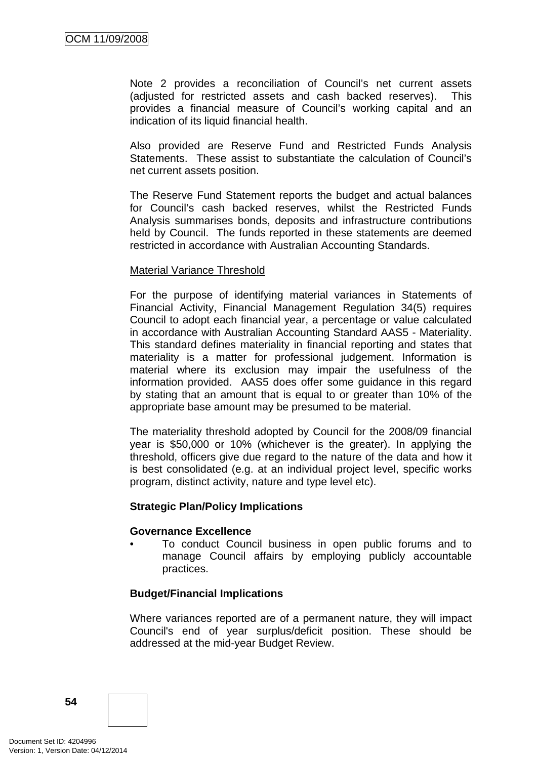Note 2 provides a reconciliation of Council's net current assets (adjusted for restricted assets and cash backed reserves). This provides a financial measure of Council's working capital and an indication of its liquid financial health.

Also provided are Reserve Fund and Restricted Funds Analysis Statements. These assist to substantiate the calculation of Council's net current assets position.

The Reserve Fund Statement reports the budget and actual balances for Council's cash backed reserves, whilst the Restricted Funds Analysis summarises bonds, deposits and infrastructure contributions held by Council. The funds reported in these statements are deemed restricted in accordance with Australian Accounting Standards.

#### Material Variance Threshold

For the purpose of identifying material variances in Statements of Financial Activity, Financial Management Regulation 34(5) requires Council to adopt each financial year, a percentage or value calculated in accordance with Australian Accounting Standard AAS5 - Materiality. This standard defines materiality in financial reporting and states that materiality is a matter for professional judgement. Information is material where its exclusion may impair the usefulness of the information provided. AAS5 does offer some guidance in this regard by stating that an amount that is equal to or greater than 10% of the appropriate base amount may be presumed to be material.

The materiality threshold adopted by Council for the 2008/09 financial year is \$50,000 or 10% (whichever is the greater). In applying the threshold, officers give due regard to the nature of the data and how it is best consolidated (e.g. at an individual project level, specific works program, distinct activity, nature and type level etc).

#### **Strategic Plan/Policy Implications**

#### **Governance Excellence**

• To conduct Council business in open public forums and to manage Council affairs by employing publicly accountable practices.

#### **Budget/Financial Implications**

Where variances reported are of a permanent nature, they will impact Council's end of year surplus/deficit position. These should be addressed at the mid-year Budget Review.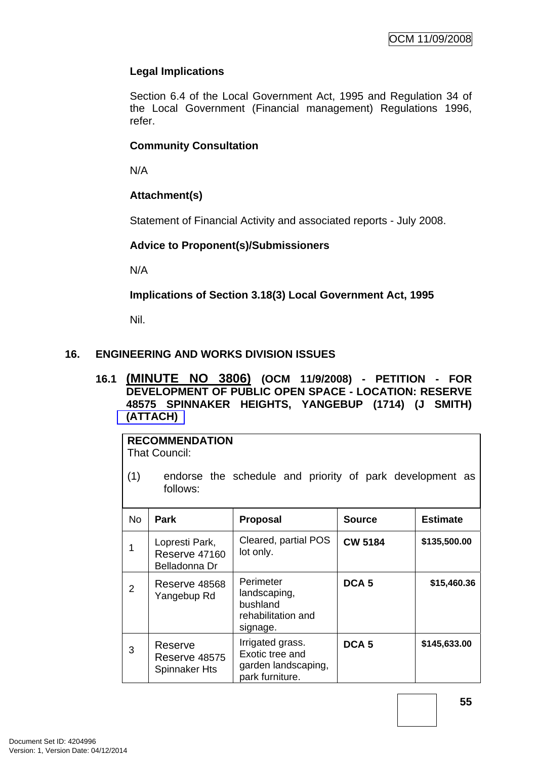# **Legal Implications**

Section 6.4 of the Local Government Act, 1995 and Regulation 34 of the Local Government (Financial management) Regulations 1996, refer.

# **Community Consultation**

N/A

# **Attachment(s)**

Statement of Financial Activity and associated reports - July 2008.

### **Advice to Proponent(s)/Submissioners**

N/A

**Implications of Section 3.18(3) Local Government Act, 1995**

Nil.

# **16. ENGINEERING AND WORKS DIVISION ISSUES**

**16.1 (MINUTE NO 3806) (OCM 11/9/2008) - PETITION - FOR DEVELOPMENT OF PUBLIC OPEN SPACE - LOCATION: RESERVE 48575 SPINNAKER HEIGHTS, YANGEBUP (1714) (J SMITH) (ATTACH)** 

**RECOMMENDATION** That Council:

(1) endorse the schedule and priority of park development as follows:

| No. | <b>Park</b>                                             | <b>Proposal</b>                                                               | <b>Source</b>    | <b>Estimate</b> |
|-----|---------------------------------------------------------|-------------------------------------------------------------------------------|------------------|-----------------|
|     | Lopresti Park,<br>Reserve 47160<br>Belladonna Dr        | Cleared, partial POS<br>lot only.                                             | <b>CW 5184</b>   | \$135,500.00    |
| 2   | Reserve 48568<br>Yangebup Rd                            | Perimeter<br>landscaping,<br>bushland<br>rehabilitation and<br>signage.       | DCA <sub>5</sub> | \$15,460.36     |
| 3   | Reserve<br><b>Reserve 48575</b><br><b>Spinnaker Hts</b> | Irrigated grass.<br>Exotic tree and<br>garden landscaping,<br>park furniture. | DCA <sub>5</sub> | \$145,633.00    |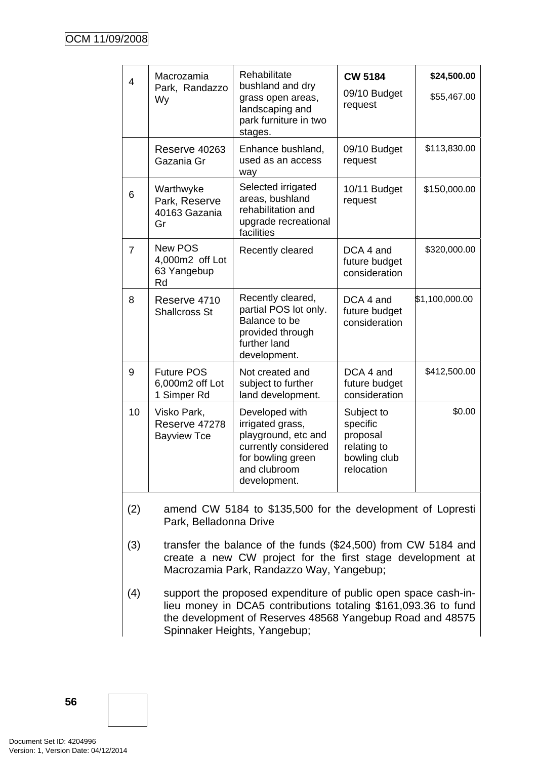| $\overline{4}$ | Macrozamia                                          | Rehabilitate                                                                                                                           | <b>CW 5184</b>                                                                  | \$24,500.00    |
|----------------|-----------------------------------------------------|----------------------------------------------------------------------------------------------------------------------------------------|---------------------------------------------------------------------------------|----------------|
|                | Park, Randazzo<br>Wy                                | bushland and dry<br>grass open areas,<br>landscaping and<br>park furniture in two<br>stages.                                           | 09/10 Budget<br>request                                                         | \$55,467.00    |
|                | Reserve 40263<br>Gazania Gr                         | Enhance bushland,<br>used as an access<br>way                                                                                          | 09/10 Budget<br>request                                                         | \$113,830.00   |
| 6              | Warthwyke<br>Park, Reserve<br>40163 Gazania<br>Gr   | Selected irrigated<br>areas, bushland<br>rehabilitation and<br>upgrade recreational<br>facilities                                      | 10/11 Budget<br>request                                                         | \$150,000.00   |
| $\overline{7}$ | New POS<br>4,000m2 off Lot<br>63 Yangebup<br>Rd     | Recently cleared                                                                                                                       | DCA 4 and<br>future budget<br>consideration                                     | \$320,000.00   |
| 8              | Reserve 4710<br><b>Shallcross St</b>                | Recently cleared,<br>partial POS lot only.<br>Balance to be<br>provided through<br>further land<br>development.                        | DCA 4 and<br>future budget<br>consideration                                     | \$1,100,000.00 |
| 9              | <b>Future POS</b><br>6,000m2 off Lot<br>1 Simper Rd | Not created and<br>subject to further<br>land development.                                                                             | DCA 4 and<br>future budget<br>consideration                                     | \$412,500.00   |
| 10             | Visko Park,<br>Reserve 47278<br><b>Bayview Tce</b>  | Developed with<br>irrigated grass,<br>playground, etc and<br>currently considered<br>for bowling green<br>and clubroom<br>development. | Subject to<br>specific<br>proposal<br>relating to<br>bowling club<br>relocation | \$0.00         |

- (2) amend CW 5184 to \$135,500 for the development of Lopresti Park, Belladonna Drive
- (3) transfer the balance of the funds (\$24,500) from CW 5184 and create a new CW project for the first stage development at Macrozamia Park, Randazzo Way, Yangebup;
- (4) support the proposed expenditure of public open space cash-inlieu money in DCA5 contributions totaling \$161,093.36 to fund the development of Reserves 48568 Yangebup Road and 48575 Spinnaker Heights, Yangebup;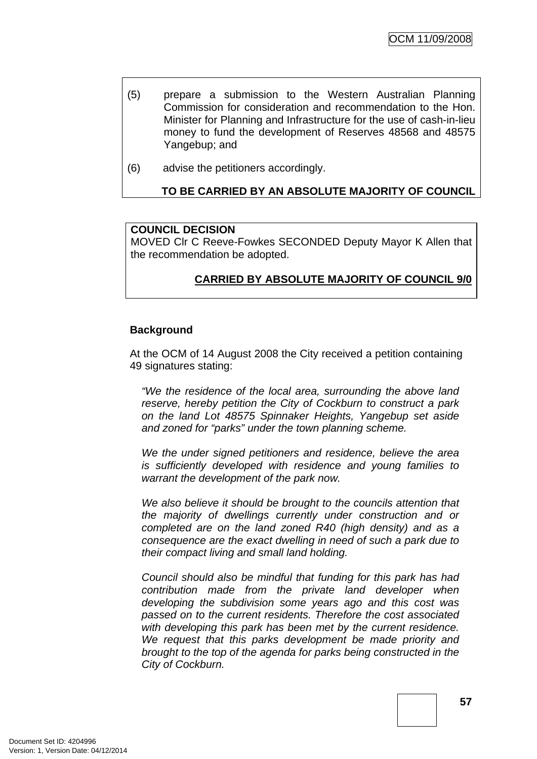- (5) prepare a submission to the Western Australian Planning Commission for consideration and recommendation to the Hon. Minister for Planning and Infrastructure for the use of cash-in-lieu money to fund the development of Reserves 48568 and 48575 Yangebup; and
- (6) advise the petitioners accordingly.

# **TO BE CARRIED BY AN ABSOLUTE MAJORITY OF COUNCIL**

### **COUNCIL DECISION**

MOVED Clr C Reeve-Fowkes SECONDED Deputy Mayor K Allen that the recommendation be adopted.

# **CARRIED BY ABSOLUTE MAJORITY OF COUNCIL 9/0**

### **Background**

At the OCM of 14 August 2008 the City received a petition containing 49 signatures stating:

*"We the residence of the local area, surrounding the above land reserve, hereby petition the City of Cockburn to construct a park on the land Lot 48575 Spinnaker Heights, Yangebup set aside and zoned for "parks" under the town planning scheme.* 

*We the under signed petitioners and residence, believe the area is sufficiently developed with residence and young families to warrant the development of the park now.* 

*We also believe it should be brought to the councils attention that the majority of dwellings currently under construction and or completed are on the land zoned R40 (high density) and as a consequence are the exact dwelling in need of such a park due to their compact living and small land holding.* 

*Council should also be mindful that funding for this park has had contribution made from the private land developer when developing the subdivision some years ago and this cost was passed on to the current residents. Therefore the cost associated with developing this park has been met by the current residence. We request that this parks development be made priority and brought to the top of the agenda for parks being constructed in the City of Cockburn.*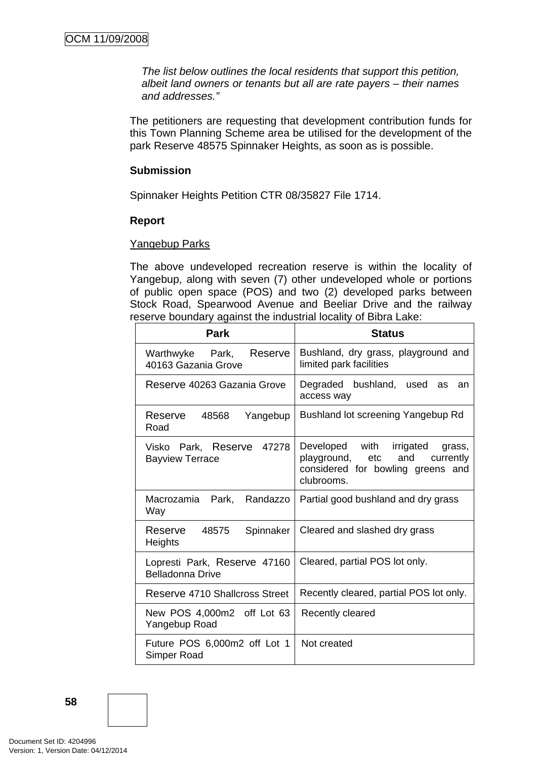*The list below outlines the local residents that support this petition, albeit land owners or tenants but all are rate payers – their names and addresses."* 

The petitioners are requesting that development contribution funds for this Town Planning Scheme area be utilised for the development of the park Reserve 48575 Spinnaker Heights, as soon as is possible.

### **Submission**

Spinnaker Heights Petition CTR 08/35827 File 1714.

### **Report**

### Yangebup Parks

The above undeveloped recreation reserve is within the locality of Yangebup, along with seven (7) other undeveloped whole or portions of public open space (POS) and two (2) developed parks between Stock Road, Spearwood Avenue and Beeliar Drive and the railway reserve boundary against the industrial locality of Bibra Lake:

| Park                                                    | <b>Status</b>                                                                                                                |  |  |
|---------------------------------------------------------|------------------------------------------------------------------------------------------------------------------------------|--|--|
| Warthwyke Park,<br>Reserve<br>40163 Gazania Grove       | Bushland, dry grass, playground and<br>limited park facilities                                                               |  |  |
| Reserve 40263 Gazania Grove                             | Degraded bushland, used<br>as<br>an<br>access way                                                                            |  |  |
| Reserve<br>48568<br>Yangebup<br>Road                    | Bushland lot screening Yangebup Rd                                                                                           |  |  |
| Visko Park, Reserve<br>47278<br><b>Bayview Terrace</b>  | Developed with irrigated<br>grass,<br>playground, etc<br>and<br>currently<br>considered for bowling greens and<br>clubrooms. |  |  |
| Macrozamia<br>Park, Randazzo<br>Way                     | Partial good bushland and dry grass                                                                                          |  |  |
| Reserve<br>48575<br>Spinnaker<br>Heights                | Cleared and slashed dry grass                                                                                                |  |  |
| Lopresti Park, Reserve 47160<br><b>Belladonna Drive</b> | Cleared, partial POS lot only.                                                                                               |  |  |
| Reserve 4710 Shallcross Street                          | Recently cleared, partial POS lot only.                                                                                      |  |  |
| New POS 4,000m2 off Lot 63<br>Yangebup Road             | Recently cleared                                                                                                             |  |  |
| Future POS 6,000m2 off Lot 1<br>Simper Road             | Not created                                                                                                                  |  |  |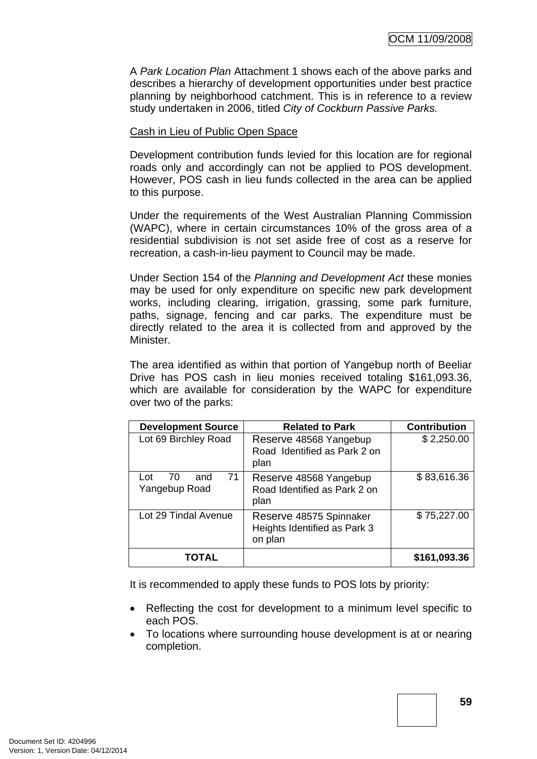A *Park Location Plan* Attachment 1 shows each of the above parks and describes a hierarchy of development opportunities under best practice planning by neighborhood catchment. This is in reference to a review study undertaken in 2006, titled *City of Cockburn Passive Parks.*

#### Cash in Lieu of Public Open Space

Development contribution funds levied for this location are for regional roads only and accordingly can not be applied to POS development. However, POS cash in lieu funds collected in the area can be applied to this purpose.

Under the requirements of the West Australian Planning Commission (WAPC), where in certain circumstances 10% of the gross area of a residential subdivision is not set aside free of cost as a reserve for recreation, a cash-in-lieu payment to Council may be made.

Under Section 154 of the *Planning and Development Act* these monies may be used for only expenditure on specific new park development works, including clearing, irrigation, grassing, some park furniture, paths, signage, fencing and car parks. The expenditure must be directly related to the area it is collected from and approved by the Minister.

The area identified as within that portion of Yangebup north of Beeliar Drive has POS cash in lieu monies received totaling \$161,093.36, which are available for consideration by the WAPC for expenditure over two of the parks:

| <b>Development Source</b>               | <b>Related to Park</b>                                             | <b>Contribution</b> |
|-----------------------------------------|--------------------------------------------------------------------|---------------------|
| Lot 69 Birchley Road                    | Reserve 48568 Yangebup<br>Road Identified as Park 2 on<br>plan     | \$2,250.00          |
| 71<br>70<br>and<br>Lot<br>Yangebup Road | Reserve 48568 Yangebup<br>Road Identified as Park 2 on<br>plan     | \$83,616.36         |
| Lot 29 Tindal Avenue                    | Reserve 48575 Spinnaker<br>Heights Identified as Park 3<br>on plan | \$75,227.00         |
| TOTAL                                   |                                                                    | \$161,093.36        |

It is recommended to apply these funds to POS lots by priority:

- Reflecting the cost for development to a minimum level specific to each POS.
- To locations where surrounding house development is at or nearing completion.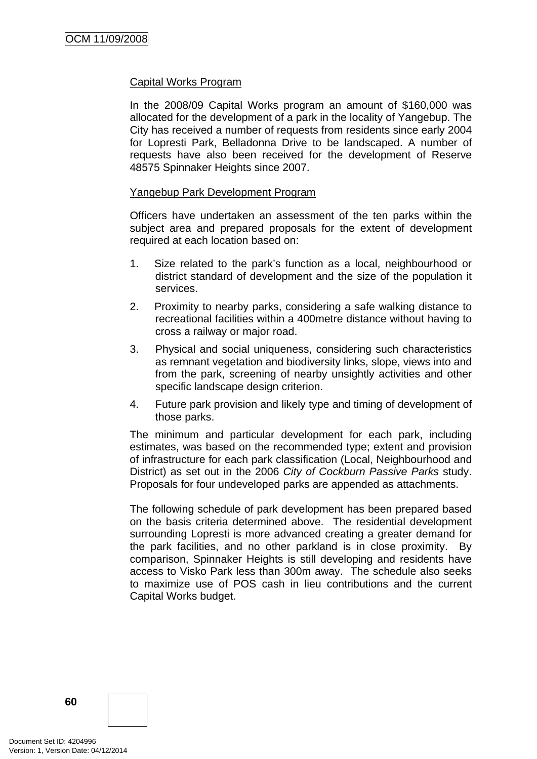#### Capital Works Program

In the 2008/09 Capital Works program an amount of \$160,000 was allocated for the development of a park in the locality of Yangebup. The City has received a number of requests from residents since early 2004 for Lopresti Park, Belladonna Drive to be landscaped. A number of requests have also been received for the development of Reserve 48575 Spinnaker Heights since 2007.

#### Yangebup Park Development Program

Officers have undertaken an assessment of the ten parks within the subject area and prepared proposals for the extent of development required at each location based on:

- 1. Size related to the park's function as a local, neighbourhood or district standard of development and the size of the population it services.
- 2. Proximity to nearby parks, considering a safe walking distance to recreational facilities within a 400metre distance without having to cross a railway or major road.
- 3. Physical and social uniqueness, considering such characteristics as remnant vegetation and biodiversity links, slope, views into and from the park, screening of nearby unsightly activities and other specific landscape design criterion.
- 4. Future park provision and likely type and timing of development of those parks.

The minimum and particular development for each park, including estimates, was based on the recommended type; extent and provision of infrastructure for each park classification (Local, Neighbourhood and District) as set out in the 2006 *City of Cockburn Passive Parks* study. Proposals for four undeveloped parks are appended as attachments.

The following schedule of park development has been prepared based on the basis criteria determined above. The residential development surrounding Lopresti is more advanced creating a greater demand for the park facilities, and no other parkland is in close proximity. By comparison, Spinnaker Heights is still developing and residents have access to Visko Park less than 300m away. The schedule also seeks to maximize use of POS cash in lieu contributions and the current Capital Works budget.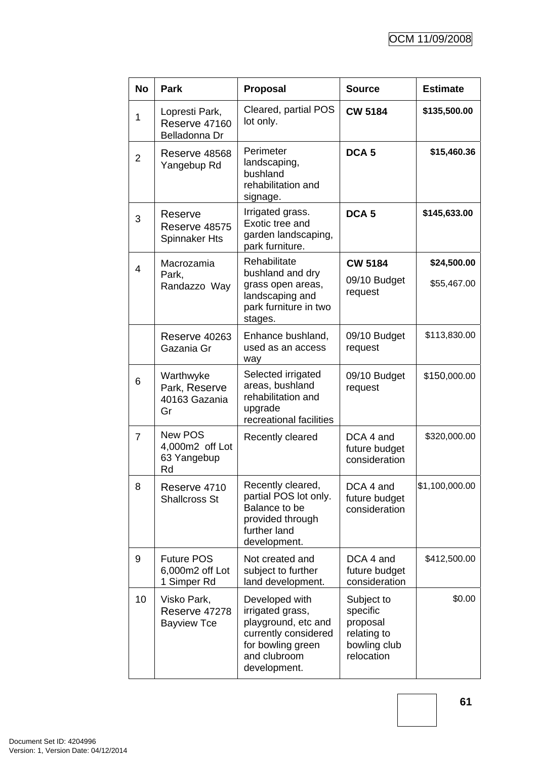| <b>No</b> | Park                                                | <b>Proposal</b>                                                                                                                        | <b>Source</b>                                                                   | <b>Estimate</b>            |
|-----------|-----------------------------------------------------|----------------------------------------------------------------------------------------------------------------------------------------|---------------------------------------------------------------------------------|----------------------------|
| 1         | Lopresti Park,<br>Reserve 47160<br>Belladonna Dr    | Cleared, partial POS<br>lot only.                                                                                                      | <b>CW 5184</b>                                                                  | \$135,500.00               |
| 2         | Reserve 48568<br>Yangebup Rd                        | Perimeter<br>landscaping,<br>bushland<br>rehabilitation and<br>signage.                                                                | DCA <sub>5</sub>                                                                | \$15,460.36                |
| 3         | Reserve<br>Reserve 48575<br><b>Spinnaker Hts</b>    | Irrigated grass.<br>Exotic tree and<br>garden landscaping,<br>park furniture.                                                          | DCA <sub>5</sub>                                                                | \$145,633.00               |
| 4         | Macrozamia<br>Park,<br>Randazzo Way                 | Rehabilitate<br>bushland and dry<br>grass open areas,<br>landscaping and<br>park furniture in two<br>stages.                           | <b>CW 5184</b><br>09/10 Budget<br>request                                       | \$24,500.00<br>\$55,467.00 |
|           | <b>Reserve 40263</b><br>Gazania Gr                  | Enhance bushland,<br>used as an access<br>way                                                                                          | 09/10 Budget<br>request                                                         | \$113,830.00               |
| 6         | Warthwyke<br>Park, Reserve<br>40163 Gazania<br>Gr   | Selected irrigated<br>areas, bushland<br>rehabilitation and<br>upgrade<br>recreational facilities                                      | 09/10 Budget<br>request                                                         | \$150,000.00               |
| 7         | New POS<br>4,000m2 off Lot<br>63 Yangebup<br>Rd     | Recently cleared                                                                                                                       | DCA 4 and<br>future budget<br>consideration                                     | \$320,000.00               |
| 8         | Reserve 4710<br><b>Shallcross St</b>                | Recently cleared,<br>partial POS lot only.<br>Balance to be<br>provided through<br>further land<br>development.                        | DCA 4 and<br>future budget<br>consideration                                     | \$1,100,000.00             |
| 9         | <b>Future POS</b><br>6,000m2 off Lot<br>1 Simper Rd | Not created and<br>subject to further<br>land development.                                                                             | DCA 4 and<br>future budget<br>consideration                                     | \$412,500.00               |
| 10        | Visko Park,<br>Reserve 47278<br><b>Bayview Tce</b>  | Developed with<br>irrigated grass,<br>playground, etc and<br>currently considered<br>for bowling green<br>and clubroom<br>development. | Subject to<br>specific<br>proposal<br>relating to<br>bowling club<br>relocation | \$0.00                     |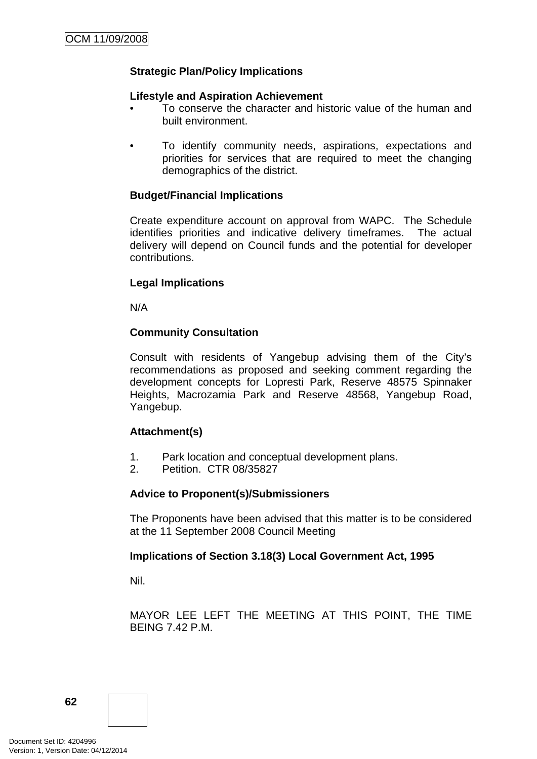# **Strategic Plan/Policy Implications**

#### **Lifestyle and Aspiration Achievement**

- To conserve the character and historic value of the human and built environment.
- To identify community needs, aspirations, expectations and priorities for services that are required to meet the changing demographics of the district.

### **Budget/Financial Implications**

Create expenditure account on approval from WAPC. The Schedule identifies priorities and indicative delivery timeframes. The actual delivery will depend on Council funds and the potential for developer contributions.

### **Legal Implications**

N/A

### **Community Consultation**

Consult with residents of Yangebup advising them of the City's recommendations as proposed and seeking comment regarding the development concepts for Lopresti Park, Reserve 48575 Spinnaker Heights, Macrozamia Park and Reserve 48568, Yangebup Road, Yangebup.

### **Attachment(s)**

- 1. Park location and conceptual development plans.
- 2. Petition. CTR 08/35827

# **Advice to Proponent(s)/Submissioners**

The Proponents have been advised that this matter is to be considered at the 11 September 2008 Council Meeting

### **Implications of Section 3.18(3) Local Government Act, 1995**

Nil.

MAYOR LEE LEFT THE MEETING AT THIS POINT, THE TIME BEING 7.42 P.M.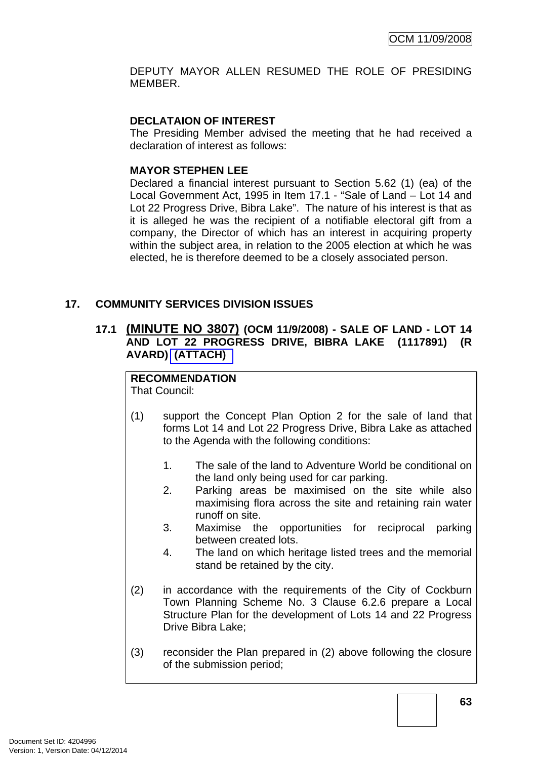#### DEPUTY MAYOR ALLEN RESUMED THE ROLE OF PRESIDING MEMBER.

# **DECLATAION OF INTEREST**

The Presiding Member advised the meeting that he had received a declaration of interest as follows:

#### **MAYOR STEPHEN LEE**

Declared a financial interest pursuant to Section 5.62 (1) (ea) of the Local Government Act, 1995 in Item 17.1 - "Sale of Land – Lot 14 and Lot 22 Progress Drive, Bibra Lake". The nature of his interest is that as it is alleged he was the recipient of a notifiable electoral gift from a company, the Director of which has an interest in acquiring property within the subject area, in relation to the 2005 election at which he was elected, he is therefore deemed to be a closely associated person.

### **17. COMMUNITY SERVICES DIVISION ISSUES**

### **17.1 (MINUTE NO 3807) (OCM 11/9/2008) - SALE OF LAND - LOT 14 AND LOT 22 PROGRESS DRIVE, BIBRA LAKE (1117891) (R AVARD) (ATTACH)**

# **RECOMMENDATION**

That Council:

- (1) support the Concept Plan Option 2 for the sale of land that forms Lot 14 and Lot 22 Progress Drive, Bibra Lake as attached to the Agenda with the following conditions:
	- 1. The sale of the land to Adventure World be conditional on the land only being used for car parking.
	- 2. Parking areas be maximised on the site while also maximising flora across the site and retaining rain water runoff on site.
	- 3. Maximise the opportunities for reciprocal parking between created lots.
	- 4. The land on which heritage listed trees and the memorial stand be retained by the city.
- (2) in accordance with the requirements of the City of Cockburn Town Planning Scheme No. 3 Clause 6.2.6 prepare a Local Structure Plan for the development of Lots 14 and 22 Progress Drive Bibra Lake;
- (3) reconsider the Plan prepared in (2) above following the closure of the submission period;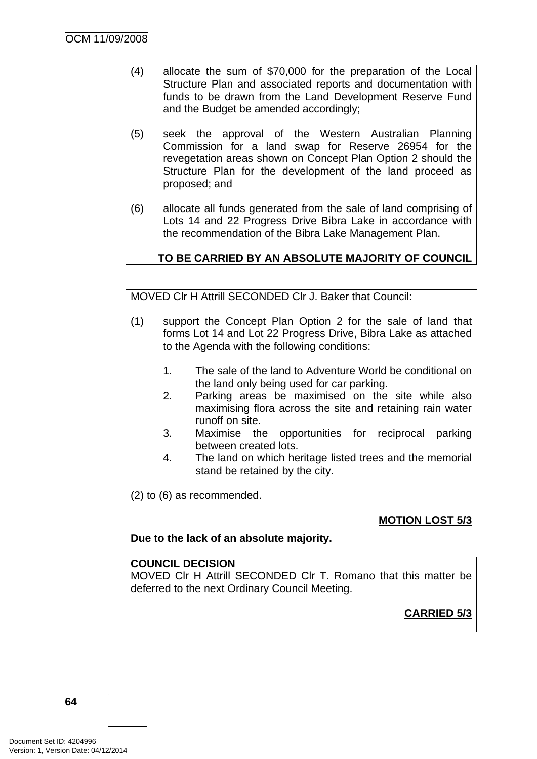- (4) allocate the sum of \$70,000 for the preparation of the Local Structure Plan and associated reports and documentation with funds to be drawn from the Land Development Reserve Fund and the Budget be amended accordingly;
- (5) seek the approval of the Western Australian Planning Commission for a land swap for Reserve 26954 for the revegetation areas shown on Concept Plan Option 2 should the Structure Plan for the development of the land proceed as proposed; and
- (6) allocate all funds generated from the sale of land comprising of Lots 14 and 22 Progress Drive Bibra Lake in accordance with the recommendation of the Bibra Lake Management Plan.

# **TO BE CARRIED BY AN ABSOLUTE MAJORITY OF COUNCIL**

MOVED Clr H Attrill SECONDED Clr J. Baker that Council:

- (1) support the Concept Plan Option 2 for the sale of land that forms Lot 14 and Lot 22 Progress Drive, Bibra Lake as attached to the Agenda with the following conditions:
	- 1. The sale of the land to Adventure World be conditional on the land only being used for car parking.
	- 2. Parking areas be maximised on the site while also maximising flora across the site and retaining rain water runoff on site.
	- 3. Maximise the opportunities for reciprocal parking between created lots.
	- 4. The land on which heritage listed trees and the memorial stand be retained by the city.

(2) to (6) as recommended.

**MOTION LOST 5/3**

### **Due to the lack of an absolute majority.**

### **COUNCIL DECISION**

MOVED Clr H Attrill SECONDED Clr T. Romano that this matter be deferred to the next Ordinary Council Meeting.

**CARRIED 5/3**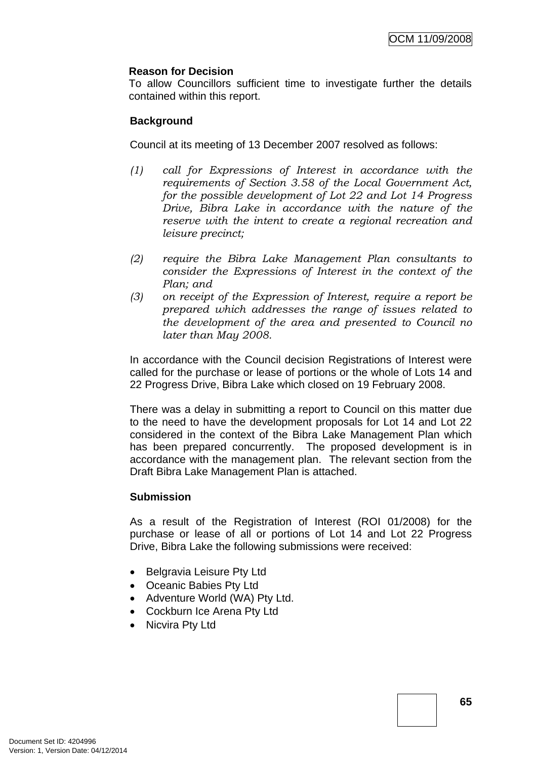### **Reason for Decision**

To allow Councillors sufficient time to investigate further the details contained within this report.

### **Background**

Council at its meeting of 13 December 2007 resolved as follows:

- *(1) call for Expressions of Interest in accordance with the requirements of Section 3.58 of the Local Government Act, for the possible development of Lot 22 and Lot 14 Progress Drive, Bibra Lake in accordance with the nature of the reserve with the intent to create a regional recreation and leisure precinct;*
- *(2) require the Bibra Lake Management Plan consultants to consider the Expressions of Interest in the context of the Plan; and*
- *(3) on receipt of the Expression of Interest, require a report be prepared which addresses the range of issues related to the development of the area and presented to Council no later than May 2008.*

In accordance with the Council decision Registrations of Interest were called for the purchase or lease of portions or the whole of Lots 14 and 22 Progress Drive, Bibra Lake which closed on 19 February 2008.

There was a delay in submitting a report to Council on this matter due to the need to have the development proposals for Lot 14 and Lot 22 considered in the context of the Bibra Lake Management Plan which has been prepared concurrently. The proposed development is in accordance with the management plan. The relevant section from the Draft Bibra Lake Management Plan is attached.

### **Submission**

As a result of the Registration of Interest (ROI 01/2008) for the purchase or lease of all or portions of Lot 14 and Lot 22 Progress Drive, Bibra Lake the following submissions were received:

- Belgravia Leisure Pty Ltd
- Oceanic Babies Pty Ltd
- Adventure World (WA) Pty Ltd.
- Cockburn Ice Arena Pty Ltd
- Nicvira Pty Ltd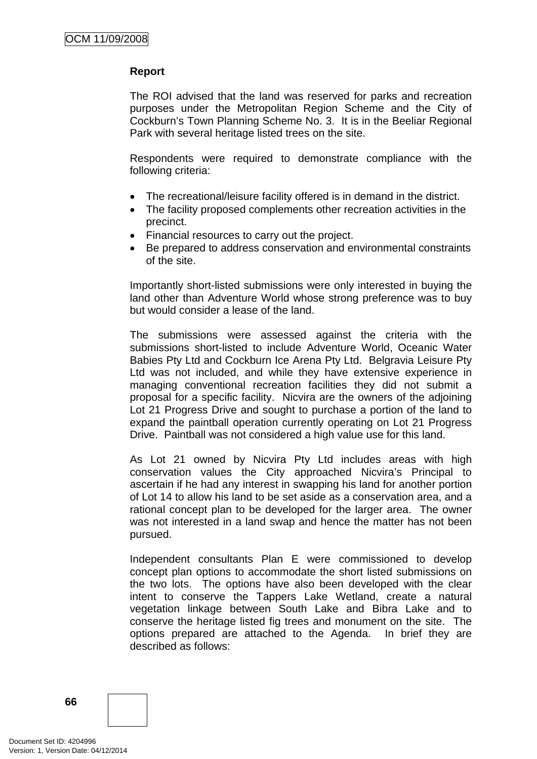### **Report**

The ROI advised that the land was reserved for parks and recreation purposes under the Metropolitan Region Scheme and the City of Cockburn's Town Planning Scheme No. 3. It is in the Beeliar Regional Park with several heritage listed trees on the site.

Respondents were required to demonstrate compliance with the following criteria:

- The recreational/leisure facility offered is in demand in the district.
- The facility proposed complements other recreation activities in the precinct.
- Financial resources to carry out the project.
- Be prepared to address conservation and environmental constraints of the site.

Importantly short-listed submissions were only interested in buying the land other than Adventure World whose strong preference was to buy but would consider a lease of the land.

The submissions were assessed against the criteria with the submissions short-listed to include Adventure World, Oceanic Water Babies Pty Ltd and Cockburn Ice Arena Pty Ltd. Belgravia Leisure Pty Ltd was not included, and while they have extensive experience in managing conventional recreation facilities they did not submit a proposal for a specific facility. Nicvira are the owners of the adjoining Lot 21 Progress Drive and sought to purchase a portion of the land to expand the paintball operation currently operating on Lot 21 Progress Drive. Paintball was not considered a high value use for this land.

As Lot 21 owned by Nicvira Pty Ltd includes areas with high conservation values the City approached Nicvira's Principal to ascertain if he had any interest in swapping his land for another portion of Lot 14 to allow his land to be set aside as a conservation area, and a rational concept plan to be developed for the larger area. The owner was not interested in a land swap and hence the matter has not been pursued.

Independent consultants Plan E were commissioned to develop concept plan options to accommodate the short listed submissions on the two lots. The options have also been developed with the clear intent to conserve the Tappers Lake Wetland, create a natural vegetation linkage between South Lake and Bibra Lake and to conserve the heritage listed fig trees and monument on the site. The options prepared are attached to the Agenda. In brief they are described as follows: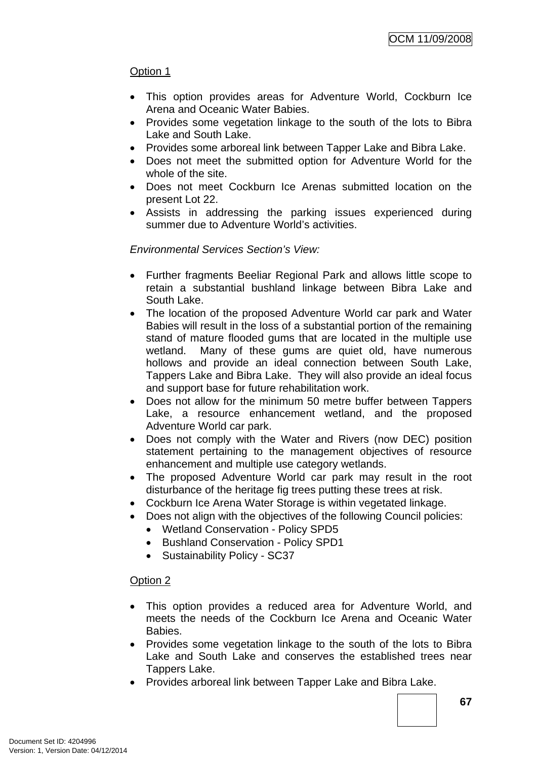# Option 1

- This option provides areas for Adventure World, Cockburn Ice Arena and Oceanic Water Babies.
- Provides some vegetation linkage to the south of the lots to Bibra Lake and South Lake.
- Provides some arboreal link between Tapper Lake and Bibra Lake.
- Does not meet the submitted option for Adventure World for the whole of the site.
- Does not meet Cockburn Ice Arenas submitted location on the present Lot 22.
- Assists in addressing the parking issues experienced during summer due to Adventure World's activities.

# *Environmental Services Section's View:*

- Further fragments Beeliar Regional Park and allows little scope to retain a substantial bushland linkage between Bibra Lake and South Lake.
- The location of the proposed Adventure World car park and Water Babies will result in the loss of a substantial portion of the remaining stand of mature flooded gums that are located in the multiple use wetland. Many of these gums are quiet old, have numerous hollows and provide an ideal connection between South Lake, Tappers Lake and Bibra Lake. They will also provide an ideal focus and support base for future rehabilitation work.
- Does not allow for the minimum 50 metre buffer between Tappers Lake, a resource enhancement wetland, and the proposed Adventure World car park.
- Does not comply with the Water and Rivers (now DEC) position statement pertaining to the management objectives of resource enhancement and multiple use category wetlands.
- The proposed Adventure World car park may result in the root disturbance of the heritage fig trees putting these trees at risk.
- Cockburn Ice Arena Water Storage is within vegetated linkage.
- Does not align with the objectives of the following Council policies:
	- Wetland Conservation Policy SPD5
	- Bushland Conservation Policy SPD1
	- Sustainability Policy SC37

# Option 2

- This option provides a reduced area for Adventure World, and meets the needs of the Cockburn Ice Arena and Oceanic Water Babies.
- Provides some vegetation linkage to the south of the lots to Bibra Lake and South Lake and conserves the established trees near Tappers Lake.
- Provides arboreal link between Tapper Lake and Bibra Lake.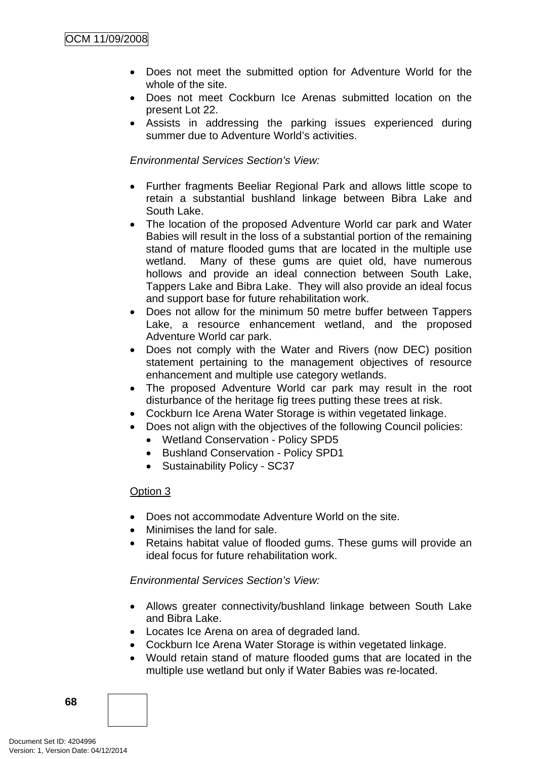- Does not meet the submitted option for Adventure World for the whole of the site.
- Does not meet Cockburn Ice Arenas submitted location on the present Lot 22.
- Assists in addressing the parking issues experienced during summer due to Adventure World's activities.

### *Environmental Services Section's View:*

- Further fragments Beeliar Regional Park and allows little scope to retain a substantial bushland linkage between Bibra Lake and South Lake.
- The location of the proposed Adventure World car park and Water Babies will result in the loss of a substantial portion of the remaining stand of mature flooded gums that are located in the multiple use wetland. Many of these gums are quiet old, have numerous hollows and provide an ideal connection between South Lake, Tappers Lake and Bibra Lake. They will also provide an ideal focus and support base for future rehabilitation work.
- Does not allow for the minimum 50 metre buffer between Tappers Lake, a resource enhancement wetland, and the proposed Adventure World car park.
- Does not comply with the Water and Rivers (now DEC) position statement pertaining to the management objectives of resource enhancement and multiple use category wetlands.
- The proposed Adventure World car park may result in the root disturbance of the heritage fig trees putting these trees at risk.
- Cockburn Ice Arena Water Storage is within vegetated linkage.
- Does not align with the objectives of the following Council policies:
	- Wetland Conservation Policy SPD5
	- Bushland Conservation Policy SPD1
	- Sustainability Policy SC37

### Option 3

- Does not accommodate Adventure World on the site.
- Minimises the land for sale.
- Retains habitat value of flooded gums. These gums will provide an ideal focus for future rehabilitation work.

### *Environmental Services Section's View:*

- Allows greater connectivity/bushland linkage between South Lake and Bibra Lake.
- Locates Ice Arena on area of degraded land.
- Cockburn Ice Arena Water Storage is within vegetated linkage.
- Would retain stand of mature flooded gums that are located in the multiple use wetland but only if Water Babies was re-located.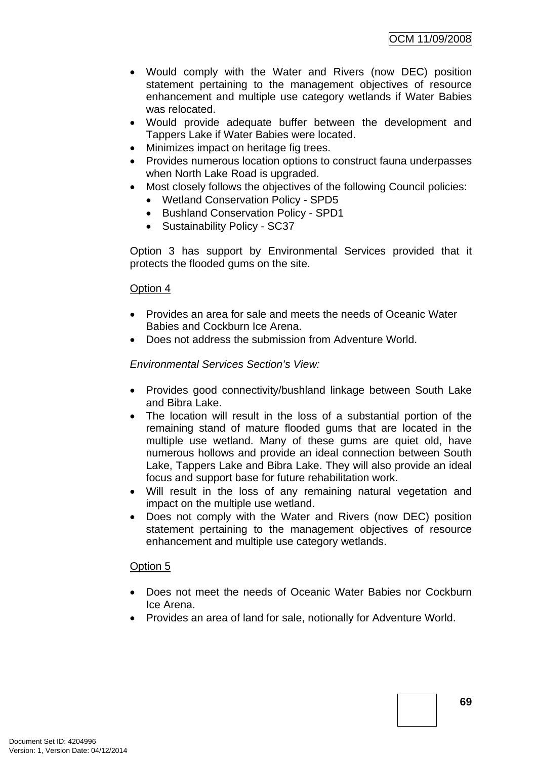- Would comply with the Water and Rivers (now DEC) position statement pertaining to the management objectives of resource enhancement and multiple use category wetlands if Water Babies was relocated.
- Would provide adequate buffer between the development and Tappers Lake if Water Babies were located.
- Minimizes impact on heritage fig trees.
- Provides numerous location options to construct fauna underpasses when North Lake Road is upgraded.
- Most closely follows the objectives of the following Council policies:
	- Wetland Conservation Policy SPD5
	- Bushland Conservation Policy SPD1
	- Sustainability Policy SC37

Option 3 has support by Environmental Services provided that it protects the flooded gums on the site.

#### Option 4

- Provides an area for sale and meets the needs of Oceanic Water Babies and Cockburn Ice Arena.
- Does not address the submission from Adventure World.

### *Environmental Services Section's View:*

- Provides good connectivity/bushland linkage between South Lake and Bibra Lake.
- The location will result in the loss of a substantial portion of the remaining stand of mature flooded gums that are located in the multiple use wetland. Many of these gums are quiet old, have numerous hollows and provide an ideal connection between South Lake, Tappers Lake and Bibra Lake. They will also provide an ideal focus and support base for future rehabilitation work.
- Will result in the loss of any remaining natural vegetation and impact on the multiple use wetland.
- Does not comply with the Water and Rivers (now DEC) position statement pertaining to the management objectives of resource enhancement and multiple use category wetlands.

#### Option 5

- Does not meet the needs of Oceanic Water Babies nor Cockburn Ice Arena.
- Provides an area of land for sale, notionally for Adventure World.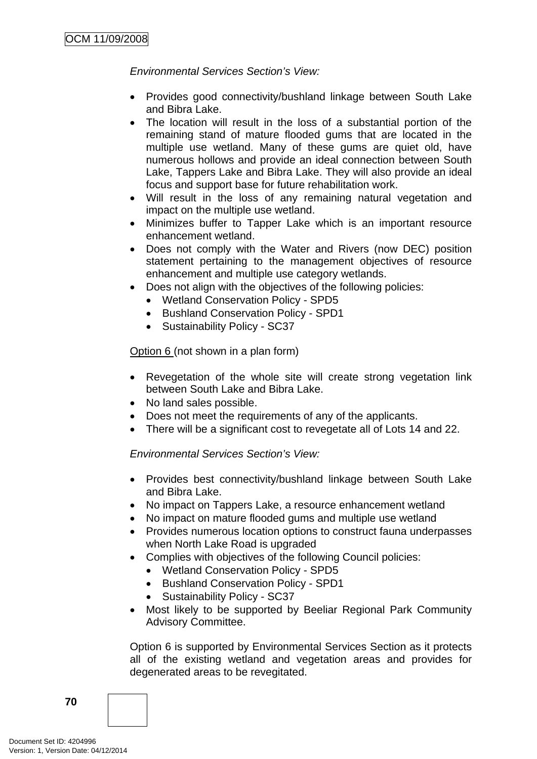*Environmental Services Section's View:* 

- Provides good connectivity/bushland linkage between South Lake and Bibra Lake.
- The location will result in the loss of a substantial portion of the remaining stand of mature flooded gums that are located in the multiple use wetland. Many of these gums are quiet old, have numerous hollows and provide an ideal connection between South Lake, Tappers Lake and Bibra Lake. They will also provide an ideal focus and support base for future rehabilitation work.
- Will result in the loss of any remaining natural vegetation and impact on the multiple use wetland.
- Minimizes buffer to Tapper Lake which is an important resource enhancement wetland.
- Does not comply with the Water and Rivers (now DEC) position statement pertaining to the management objectives of resource enhancement and multiple use category wetlands.
- Does not align with the objectives of the following policies:
	- Wetland Conservation Policy SPD5
	- Bushland Conservation Policy SPD1
	- Sustainability Policy SC37

Option 6 (not shown in a plan form)

- Revegetation of the whole site will create strong vegetation link between South Lake and Bibra Lake.
- No land sales possible.
- Does not meet the requirements of any of the applicants.
- There will be a significant cost to revegetate all of Lots 14 and 22.

*Environmental Services Section's View:* 

- Provides best connectivity/bushland linkage between South Lake and Bibra Lake.
- No impact on Tappers Lake, a resource enhancement wetland
- No impact on mature flooded gums and multiple use wetland
- Provides numerous location options to construct fauna underpasses when North Lake Road is upgraded
- Complies with objectives of the following Council policies:
	- Wetland Conservation Policy SPD5
	- Bushland Conservation Policy SPD1
	- Sustainability Policy SC37
- Most likely to be supported by Beeliar Regional Park Community Advisory Committee.

Option 6 is supported by Environmental Services Section as it protects all of the existing wetland and vegetation areas and provides for degenerated areas to be revegitated.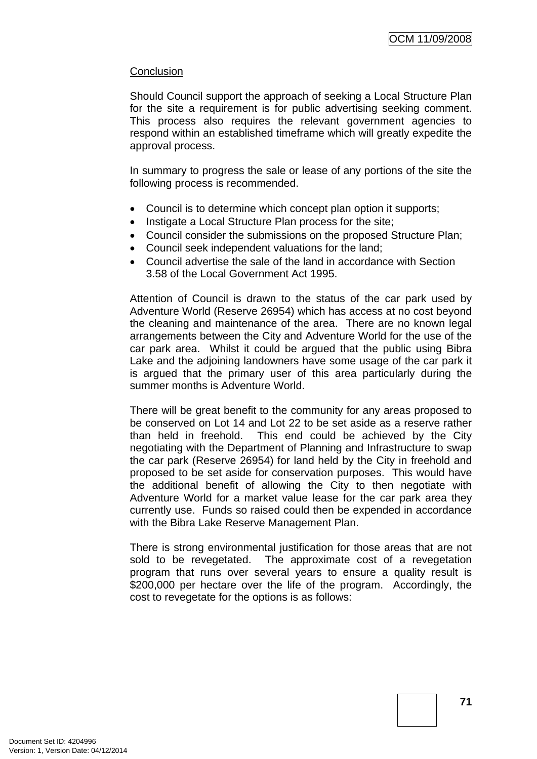### **Conclusion**

Should Council support the approach of seeking a Local Structure Plan for the site a requirement is for public advertising seeking comment. This process also requires the relevant government agencies to respond within an established timeframe which will greatly expedite the approval process.

In summary to progress the sale or lease of any portions of the site the following process is recommended.

- Council is to determine which concept plan option it supports;
- Instigate a Local Structure Plan process for the site;
- Council consider the submissions on the proposed Structure Plan;
- Council seek independent valuations for the land;
- Council advertise the sale of the land in accordance with Section 3.58 of the Local Government Act 1995.

Attention of Council is drawn to the status of the car park used by Adventure World (Reserve 26954) which has access at no cost beyond the cleaning and maintenance of the area. There are no known legal arrangements between the City and Adventure World for the use of the car park area. Whilst it could be argued that the public using Bibra Lake and the adjoining landowners have some usage of the car park it is argued that the primary user of this area particularly during the summer months is Adventure World.

There will be great benefit to the community for any areas proposed to be conserved on Lot 14 and Lot 22 to be set aside as a reserve rather than held in freehold. This end could be achieved by the City negotiating with the Department of Planning and Infrastructure to swap the car park (Reserve 26954) for land held by the City in freehold and proposed to be set aside for conservation purposes. This would have the additional benefit of allowing the City to then negotiate with Adventure World for a market value lease for the car park area they currently use. Funds so raised could then be expended in accordance with the Bibra Lake Reserve Management Plan.

There is strong environmental justification for those areas that are not sold to be revegetated. The approximate cost of a revegetation program that runs over several years to ensure a quality result is \$200,000 per hectare over the life of the program. Accordingly, the cost to revegetate for the options is as follows: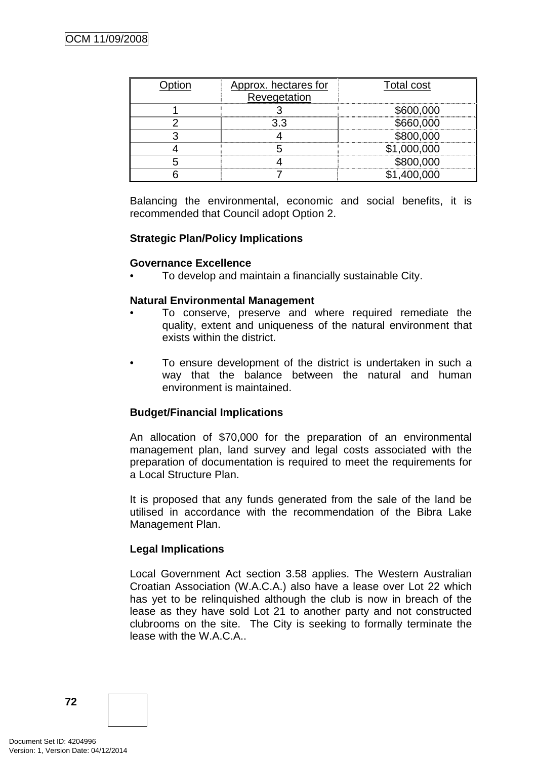| Approx. hectares for<br>Revegetation | <b>Total cost</b> |  |  |
|--------------------------------------|-------------------|--|--|
|                                      | \$600,000         |  |  |
| 33                                   | 660,000           |  |  |
|                                      | \$800,000         |  |  |
|                                      | ,000,000          |  |  |
|                                      | 800,000           |  |  |
|                                      |                   |  |  |

Balancing the environmental, economic and social benefits, it is recommended that Council adopt Option 2.

### **Strategic Plan/Policy Implications**

#### **Governance Excellence**

• To develop and maintain a financially sustainable City.

#### **Natural Environmental Management**

- To conserve, preserve and where required remediate the quality, extent and uniqueness of the natural environment that exists within the district.
- To ensure development of the district is undertaken in such a way that the balance between the natural and human environment is maintained.

### **Budget/Financial Implications**

An allocation of \$70,000 for the preparation of an environmental management plan, land survey and legal costs associated with the preparation of documentation is required to meet the requirements for a Local Structure Plan.

It is proposed that any funds generated from the sale of the land be utilised in accordance with the recommendation of the Bibra Lake Management Plan.

### **Legal Implications**

Local Government Act section 3.58 applies. The Western Australian Croatian Association (W.A.C.A.) also have a lease over Lot 22 which has yet to be relinquished although the club is now in breach of the lease as they have sold Lot 21 to another party and not constructed clubrooms on the site. The City is seeking to formally terminate the lease with the W.A.C.A..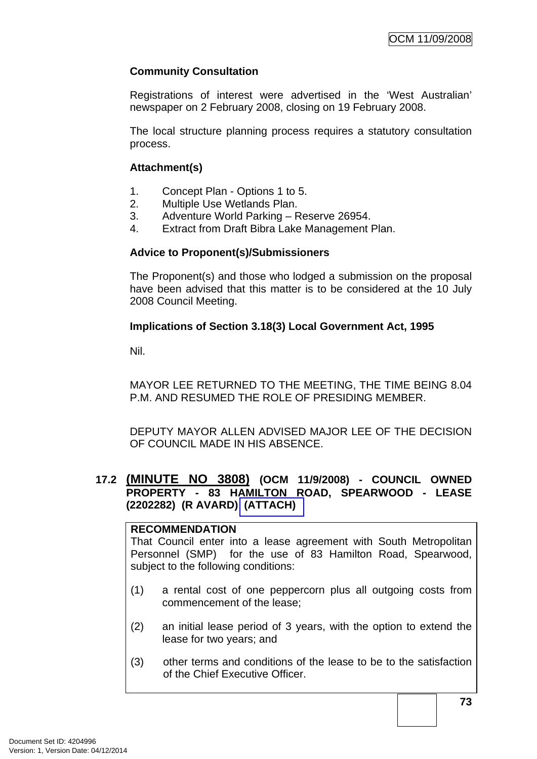# **Community Consultation**

Registrations of interest were advertised in the 'West Australian' newspaper on 2 February 2008, closing on 19 February 2008.

The local structure planning process requires a statutory consultation process.

## **Attachment(s)**

- 1. Concept Plan Options 1 to 5.
- 2. Multiple Use Wetlands Plan.
- 3. Adventure World Parking Reserve 26954.
- 4. Extract from Draft Bibra Lake Management Plan.

## **Advice to Proponent(s)/Submissioners**

The Proponent(s) and those who lodged a submission on the proposal have been advised that this matter is to be considered at the 10 July 2008 Council Meeting.

## **Implications of Section 3.18(3) Local Government Act, 1995**

Nil.

MAYOR LEE RETURNED TO THE MEETING, THE TIME BEING 8.04 P.M. AND RESUMED THE ROLE OF PRESIDING MEMBER.

DEPUTY MAYOR ALLEN ADVISED MAJOR LEE OF THE DECISION OF COUNCIL MADE IN HIS ABSENCE.

## **17.2 (MINUTE NO 3808) (OCM 11/9/2008) - COUNCIL OWNED PROPERTY - 83 HAMILTON ROAD, SPEARWOOD - LEASE (2202282) (R AVARD) (ATTACH)**

## **RECOMMENDATION**

That Council enter into a lease agreement with South Metropolitan Personnel (SMP) for the use of 83 Hamilton Road, Spearwood, subject to the following conditions:

- (1) a rental cost of one peppercorn plus all outgoing costs from commencement of the lease;
- (2) an initial lease period of 3 years, with the option to extend the lease for two years; and
- (3) other terms and conditions of the lease to be to the satisfaction of the Chief Executive Officer.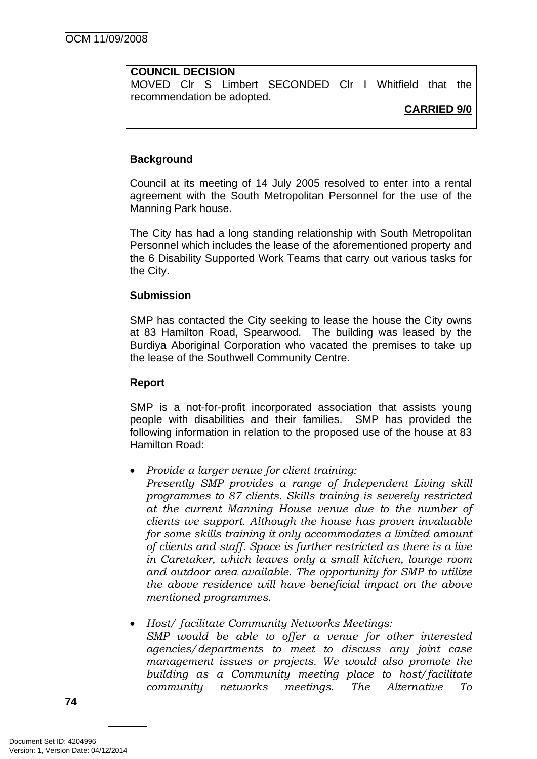### **COUNCIL DECISION**  MOVED Clr S Limbert SECONDED Clr I Whitfield that the recommendation be adopted. **CARRIED 9/0**

# **Background**

Council at its meeting of 14 July 2005 resolved to enter into a rental agreement with the South Metropolitan Personnel for the use of the Manning Park house.

The City has had a long standing relationship with South Metropolitan Personnel which includes the lease of the aforementioned property and the 6 Disability Supported Work Teams that carry out various tasks for the City.

## **Submission**

SMP has contacted the City seeking to lease the house the City owns at 83 Hamilton Road, Spearwood. The building was leased by the Burdiya Aboriginal Corporation who vacated the premises to take up the lease of the Southwell Community Centre.

### **Report**

SMP is a not-for-profit incorporated association that assists young people with disabilities and their families. SMP has provided the following information in relation to the proposed use of the house at 83 Hamilton Road:

• *Provide a larger venue for client training:* 

*Presently SMP provides a range of Independent Living skill programmes to 87 clients. Skills training is severely restricted at the current Manning House venue due to the number of clients we support. Although the house has proven invaluable for some skills training it only accommodates a limited amount of clients and staff. Space is further restricted as there is a live in Caretaker, which leaves only a small kitchen, lounge room and outdoor area available. The opportunity for SMP to utilize the above residence will have beneficial impact on the above mentioned programmes.* 

• *Host/ facilitate Community Networks Meetings: SMP would be able to offer a venue for other interested agencies/departments to meet to discuss any joint case management issues or projects. We would also promote the building as a Community meeting place to host/facilitate community networks meetings. The Alternative To*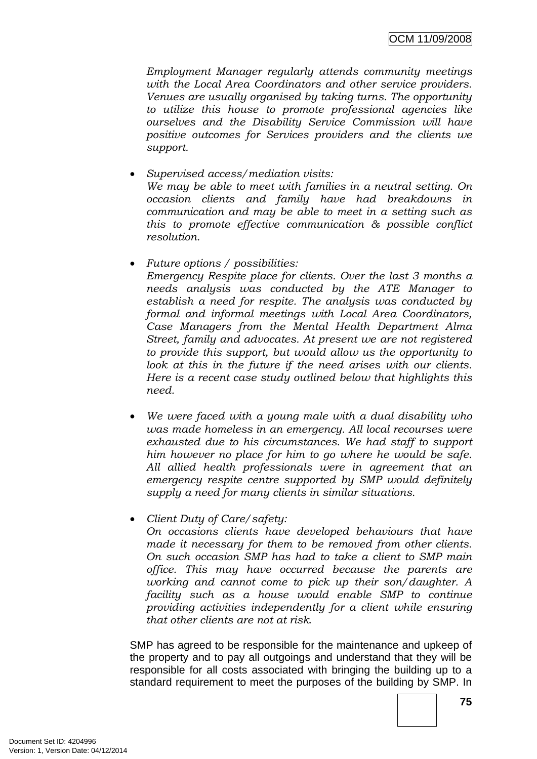*Employment Manager regularly attends community meetings with the Local Area Coordinators and other service providers. Venues are usually organised by taking turns. The opportunity to utilize this house to promote professional agencies like ourselves and the Disability Service Commission will have positive outcomes for Services providers and the clients we support.* 

• *Supervised access/mediation visits: We may be able to meet with families in a neutral setting. On occasion clients and family have had breakdowns in communication and may be able to meet in a setting such as this to promote effective communication & possible conflict resolution.* 

• *Future options / possibilities:* 

*Emergency Respite place for clients. Over the last 3 months a needs analysis was conducted by the ATE Manager to establish a need for respite. The analysis was conducted by formal and informal meetings with Local Area Coordinators, Case Managers from the Mental Health Department Alma Street, family and advocates. At present we are not registered to provide this support, but would allow us the opportunity to look at this in the future if the need arises with our clients. Here is a recent case study outlined below that highlights this need.* 

- *We were faced with a young male with a dual disability who was made homeless in an emergency. All local recourses were exhausted due to his circumstances. We had staff to support him however no place for him to go where he would be safe. All allied health professionals were in agreement that an emergency respite centre supported by SMP would definitely supply a need for many clients in similar situations.*
- *Client Duty of Care/safety:*

*On occasions clients have developed behaviours that have made it necessary for them to be removed from other clients. On such occasion SMP has had to take a client to SMP main office. This may have occurred because the parents are working and cannot come to pick up their son/daughter. A facility such as a house would enable SMP to continue providing activities independently for a client while ensuring that other clients are not at risk.* 

SMP has agreed to be responsible for the maintenance and upkeep of the property and to pay all outgoings and understand that they will be responsible for all costs associated with bringing the building up to a standard requirement to meet the purposes of the building by SMP. In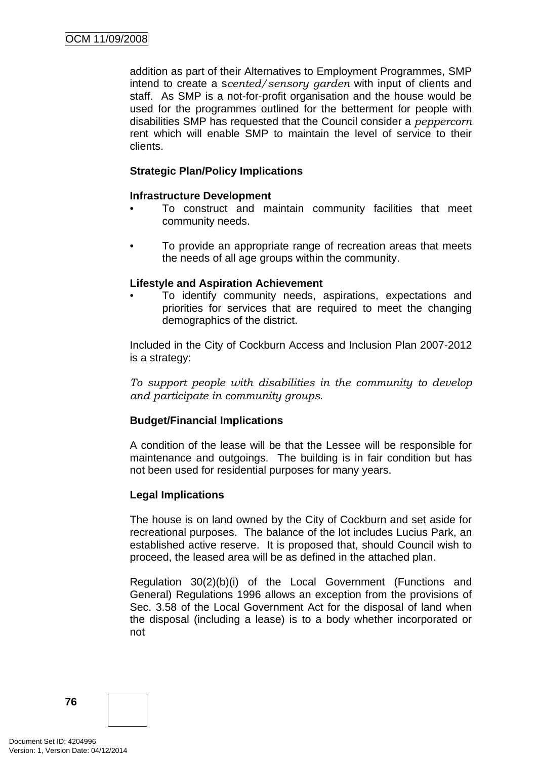addition as part of their Alternatives to Employment Programmes, SMP intend to create a s*cented/sensory garden* with input of clients and staff. As SMP is a not-for-profit organisation and the house would be used for the programmes outlined for the betterment for people with disabilities SMP has requested that the Council consider a *peppercorn* rent which will enable SMP to maintain the level of service to their clients.

### **Strategic Plan/Policy Implications**

## **Infrastructure Development**

- To construct and maintain community facilities that meet community needs.
- To provide an appropriate range of recreation areas that meets the needs of all age groups within the community.

### **Lifestyle and Aspiration Achievement**

• To identify community needs, aspirations, expectations and priorities for services that are required to meet the changing demographics of the district.

Included in the City of Cockburn Access and Inclusion Plan 2007-2012 is a strategy:

*To support people with disabilities in the community to develop and participate in community groups*.

# **Budget/Financial Implications**

A condition of the lease will be that the Lessee will be responsible for maintenance and outgoings. The building is in fair condition but has not been used for residential purposes for many years.

# **Legal Implications**

The house is on land owned by the City of Cockburn and set aside for recreational purposes. The balance of the lot includes Lucius Park, an established active reserve. It is proposed that, should Council wish to proceed, the leased area will be as defined in the attached plan.

Regulation 30(2)(b)(i) of the Local Government (Functions and General) Regulations 1996 allows an exception from the provisions of Sec. 3.58 of the Local Government Act for the disposal of land when the disposal (including a lease) is to a body whether incorporated or not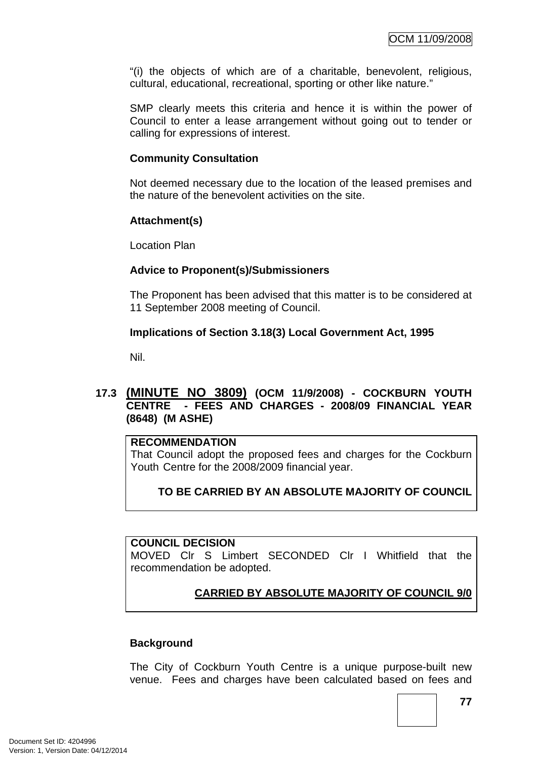"(i) the objects of which are of a charitable, benevolent, religious, cultural, educational, recreational, sporting or other like nature."

SMP clearly meets this criteria and hence it is within the power of Council to enter a lease arrangement without going out to tender or calling for expressions of interest.

### **Community Consultation**

Not deemed necessary due to the location of the leased premises and the nature of the benevolent activities on the site.

## **Attachment(s)**

Location Plan

## **Advice to Proponent(s)/Submissioners**

The Proponent has been advised that this matter is to be considered at 11 September 2008 meeting of Council.

# **Implications of Section 3.18(3) Local Government Act, 1995**

Nil.

# **17.3 (MINUTE NO 3809) (OCM 11/9/2008) - COCKBURN YOUTH CENTRE - FEES AND CHARGES - 2008/09 FINANCIAL YEAR (8648) (M ASHE)**

### **RECOMMENDATION**

That Council adopt the proposed fees and charges for the Cockburn Youth Centre for the 2008/2009 financial year.

# **TO BE CARRIED BY AN ABSOLUTE MAJORITY OF COUNCIL**

### **COUNCIL DECISION**

MOVED Clr S Limbert SECONDED Clr I Whitfield that the recommendation be adopted.

# **CARRIED BY ABSOLUTE MAJORITY OF COUNCIL 9/0**

# **Background**

The City of Cockburn Youth Centre is a unique purpose-built new venue. Fees and charges have been calculated based on fees and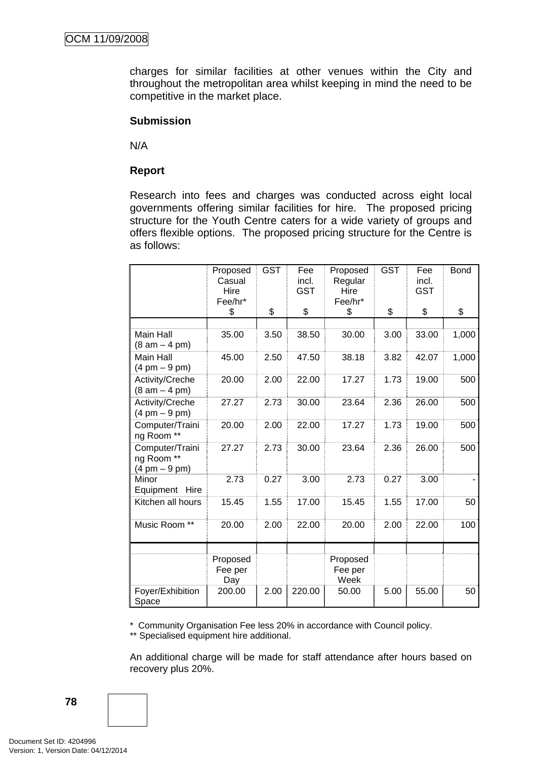charges for similar facilities at other venues within the City and throughout the metropolitan area whilst keeping in mind the need to be competitive in the market place.

#### **Submission**

N/A

#### **Report**

Research into fees and charges was conducted across eight local governments offering similar facilities for hire. The proposed pricing structure for the Youth Centre caters for a wide variety of groups and offers flexible options. The proposed pricing structure for the Centre is as follows:

|                                                                  | Proposed<br>Casual<br>Hire | <b>GST</b> | Fee<br>incl.<br><b>GST</b> | Proposed<br>Regular<br>Hire | <b>GST</b> | Fee<br>incl.<br><b>GST</b> | <b>Bond</b> |
|------------------------------------------------------------------|----------------------------|------------|----------------------------|-----------------------------|------------|----------------------------|-------------|
|                                                                  | Fee/hr*<br>\$              | \$         | \$                         | Fee/hr*<br>\$               | \$         | \$                         | \$          |
|                                                                  |                            |            |                            |                             |            |                            |             |
| <b>Main Hall</b><br>$(8 am - 4 pm)$                              | 35.00                      | 3.50       | 38.50                      | 30.00                       | 3.00       | 33.00                      | 1,000       |
| Main Hall<br>$(4 \text{ pm} - 9 \text{ pm})$                     | 45.00                      | 2.50       | 47.50                      | 38.18                       | 3.82       | 42.07                      | 1,000       |
| Activity/Creche<br>$(8 am - 4 pm)$                               | 20.00                      | 2.00       | 22.00                      | 17.27                       | 1.73       | 19.00                      | 500         |
| Activity/Creche<br>$(4 \text{ pm} - 9 \text{ pm})$               | 27.27                      | 2.73       | 30.00                      | 23.64                       | 2.36       | 26.00                      | 500         |
| Computer/Traini<br>ng Room **                                    | 20.00                      | 2.00       | 22.00                      | 17.27                       | 1.73       | 19.00                      | 500         |
| Computer/Traini<br>ng Room **<br>$(4 \text{ pm} - 9 \text{ pm})$ | 27.27                      | 2.73       | 30.00                      | 23.64                       | 2.36       | 26.00                      | 500         |
| Minor<br>Equipment Hire                                          | 2.73                       | 0.27       | 3.00                       | 2.73                        | 0.27       | 3.00                       |             |
| Kitchen all hours                                                | 15.45                      | 1.55       | 17.00                      | 15.45                       | 1.55       | 17.00                      | 50          |
| Music Room **                                                    | 20.00                      | 2.00       | 22.00                      | 20.00                       | 2.00       | 22.00                      | 100         |
|                                                                  |                            |            |                            |                             |            |                            |             |
|                                                                  | Proposed<br>Fee per<br>Day |            |                            | Proposed<br>Fee per<br>Week |            |                            |             |
| Foyer/Exhibition<br>Space                                        | 200.00                     | 2.00       | 220.00                     | 50.00                       | 5.00       | 55.00                      | 50          |

\* Community Organisation Fee less 20% in accordance with Council policy.

\*\* Specialised equipment hire additional.

An additional charge will be made for staff attendance after hours based on recovery plus 20%.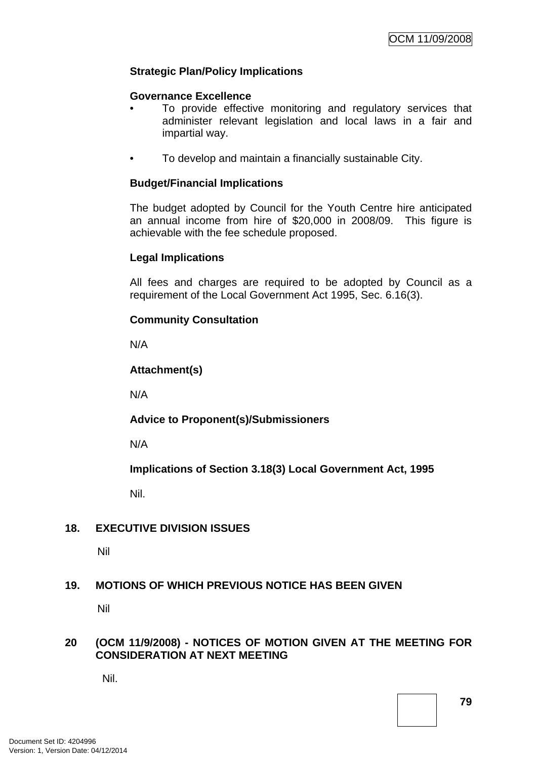## **Strategic Plan/Policy Implications**

#### **Governance Excellence**

- To provide effective monitoring and regulatory services that administer relevant legislation and local laws in a fair and impartial way.
- To develop and maintain a financially sustainable City.

#### **Budget/Financial Implications**

The budget adopted by Council for the Youth Centre hire anticipated an annual income from hire of \$20,000 in 2008/09. This figure is achievable with the fee schedule proposed.

### **Legal Implications**

All fees and charges are required to be adopted by Council as a requirement of the Local Government Act 1995, Sec. 6.16(3).

### **Community Consultation**

N/A

**Attachment(s)**

N/A

### **Advice to Proponent(s)/Submissioners**

N/A

# **Implications of Section 3.18(3) Local Government Act, 1995**

Nil.

### **18. EXECUTIVE DIVISION ISSUES**

Nil

### **19. MOTIONS OF WHICH PREVIOUS NOTICE HAS BEEN GIVEN**

Nil

#### **20 (OCM 11/9/2008) - NOTICES OF MOTION GIVEN AT THE MEETING FOR CONSIDERATION AT NEXT MEETING**

Nil.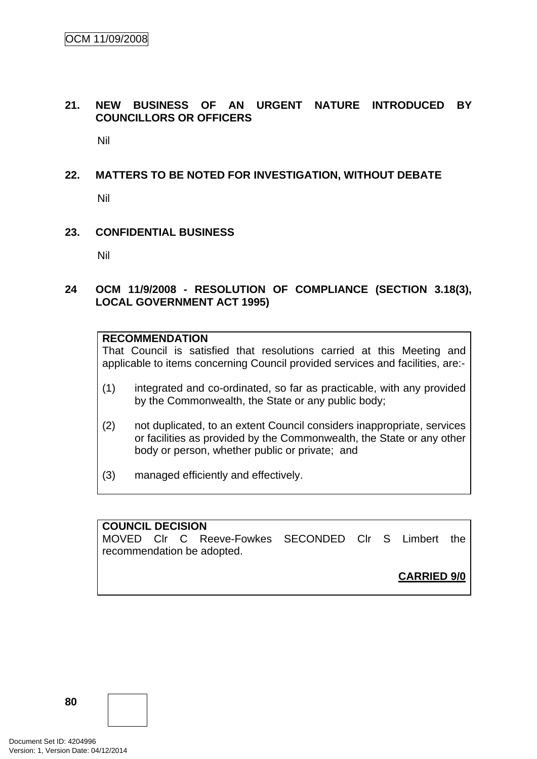## **21. NEW BUSINESS OF AN URGENT NATURE INTRODUCED BY COUNCILLORS OR OFFICERS**

Nil

#### **22. MATTERS TO BE NOTED FOR INVESTIGATION, WITHOUT DEBATE**

Nil

#### **23. CONFIDENTIAL BUSINESS**

Nil

### **24 OCM 11/9/2008 - RESOLUTION OF COMPLIANCE (SECTION 3.18(3), LOCAL GOVERNMENT ACT 1995)**

#### **RECOMMENDATION**

That Council is satisfied that resolutions carried at this Meeting and applicable to items concerning Council provided services and facilities, are:-

- (1) integrated and co-ordinated, so far as practicable, with any provided by the Commonwealth, the State or any public body;
- (2) not duplicated, to an extent Council considers inappropriate, services or facilities as provided by the Commonwealth, the State or any other body or person, whether public or private; and
- (3) managed efficiently and effectively.

**COUNCIL DECISION** MOVED Clr C Reeve-Fowkes SECONDED Clr S Limbert the recommendation be adopted.

**CARRIED 9/0**